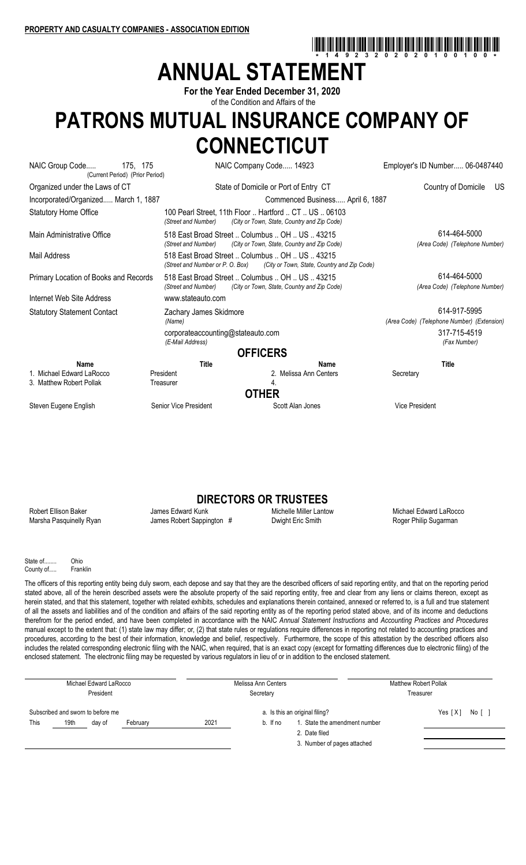# **ANNUAL STATEMENT**

**For the Year Ended December 31, 2020** of the Condition and Affairs of the

## **PATRONS MUTUAL INSURANCE COMPANY OF CONNECTICUT**

| NAIC Group Code<br>175, 175<br>(Current Period) (Prior Period) |                                                                                    | NAIC Company Code 14923<br>Employer's ID Number 06-0487440 |                                                            |
|----------------------------------------------------------------|------------------------------------------------------------------------------------|------------------------------------------------------------|------------------------------------------------------------|
| Organized under the Laws of CT                                 |                                                                                    | State of Domicile or Port of Entry CT                      | Country of Domicile<br>US.                                 |
| Incorporated/Organized March 1, 1887                           |                                                                                    | Commenced Business April 6, 1887                           |                                                            |
| <b>Statutory Home Office</b>                                   | 100 Pearl Street, 11th Floor  Hartford  CT  US  06103<br>(Street and Number)       | (City or Town, State, Country and Zip Code)                |                                                            |
| Main Administrative Office                                     | 518 East Broad Street  Columbus  OH  US  43215<br>(Street and Number)              | (City or Town, State, Country and Zip Code)                | 614-464-5000<br>(Area Code) (Telephone Number)             |
| Mail Address                                                   | 518 East Broad Street  Columbus  OH  US  43215<br>(Street and Number or P. O. Box) | (City or Town, State, Country and Zip Code)                |                                                            |
| Primary Location of Books and Records                          | 518 East Broad Street  Columbus  OH  US  43215<br>(Street and Number)              | (City or Town, State, Country and Zip Code)                | 614-464-5000<br>(Area Code) (Telephone Number)             |
| Internet Web Site Address                                      | www.stateauto.com                                                                  |                                                            |                                                            |
| <b>Statutory Statement Contact</b>                             | Zachary James Skidmore<br>(Name)                                                   |                                                            | 614-917-5995<br>(Area Code) (Telephone Number) (Extension) |
|                                                                | corporateaccounting@stateauto.com<br>(E-Mail Address)                              |                                                            | 317-715-4519<br>(Fax Number)                               |
|                                                                | <b>OFFICERS</b>                                                                    |                                                            |                                                            |
| Name                                                           | <b>Title</b>                                                                       | Name                                                       | <b>Title</b>                                               |
| 1. Michael Edward LaRocco                                      | President                                                                          | 2. Melissa Ann Centers                                     | Secretary                                                  |
| 3. Matthew Robert Pollak                                       | Treasurer                                                                          | 4.                                                         |                                                            |
|                                                                | <b>OTHER</b>                                                                       |                                                            |                                                            |
| Steven Eugene English                                          | Senior Vice President                                                              | Scott Alan Jones                                           | <b>Vice President</b>                                      |

## **DIRECTORS OR TRUSTEES**<br>Michelle Miller Lantow

Robert Ellison Baker **Michael Edward James Edward Kunk** Michelle Miller Lantow Michael Edward LaRocco Marsha Pasquinelly Ryan James Robert Sappington # Dwight Eric Smith Roger Philip Sugarman

\*14923202020100100\*

State of ...... Ohio County of..... Franklin

The officers of this reporting entity being duly sworn, each depose and say that they are the described officers of said reporting entity, and that on the reporting period stated above, all of the herein described assets were the absolute property of the said reporting entity, free and clear from any liens or claims thereon, except as herein stated, and that this statement, together with related exhibits, schedules and explanations therein contained, annexed or referred to, is a full and true statement of all the assets and liabilities and of the condition and affairs of the said reporting entity as of the reporting period stated above, and of its income and deductions therefrom for the period ended, and have been completed in accordance with the NAIC *Annual Statement Instructions* and *Accounting Practices and Procedures* manual except to the extent that: (1) state law may differ; or, (2) that state rules or regulations require differences in reporting not related to accounting practices and procedures, according to the best of their information, knowledge and belief, respectively. Furthermore, the scope of this attestation by the described officers also includes the related corresponding electronic filing with the NAIC, when required, that is an exact copy (except for formatting differences due to electronic filing) of the enclosed statement. The electronic filing may be requested by various regulators in lieu of or in addition to the enclosed statement.

| Michael Edward LaRocco<br>President                                     |  | Melissa Ann Centers<br>Secretary |          |                                                                 | <b>Matthew Robert Pollak</b><br>Treasurer |                                              |  |  |  |
|-------------------------------------------------------------------------|--|----------------------------------|----------|-----------------------------------------------------------------|-------------------------------------------|----------------------------------------------|--|--|--|
| Subscribed and sworn to before me<br>19th<br>This<br>February<br>dav of |  | 2021                             | b. If no | a. Is this an original filing?<br>1. State the amendment number | Yes $[X]$                                 |                                              |  |  |  |
|                                                                         |  |                                  |          |                                                                 |                                           | 2. Date filed<br>3. Number of pages attached |  |  |  |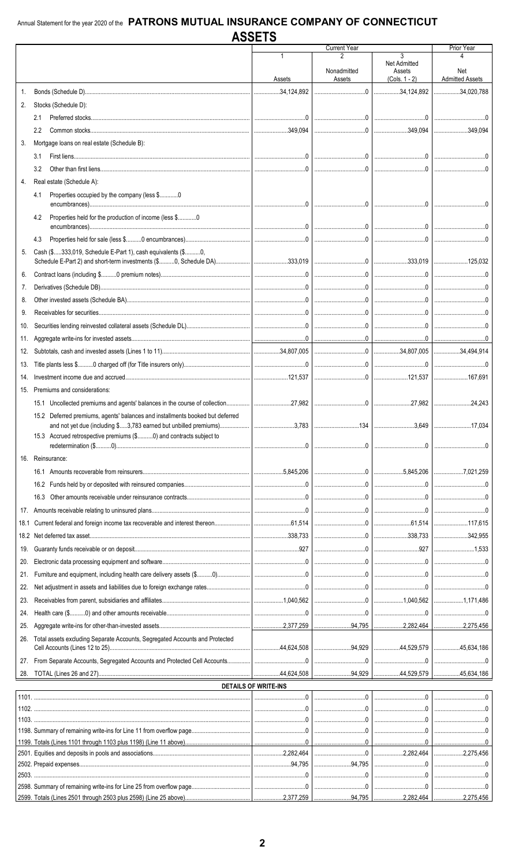|      |                                                                               |                             | <b>Current Year</b> |                     | Prior Year             |
|------|-------------------------------------------------------------------------------|-----------------------------|---------------------|---------------------|------------------------|
|      |                                                                               |                             |                     | 3                   |                        |
|      |                                                                               |                             |                     | <b>Net Admitted</b> |                        |
|      |                                                                               |                             | Nonadmitted         | Assets              | Net                    |
|      |                                                                               | Assets                      | Assets              | $(Cols. 1 - 2)$     | <b>Admitted Assets</b> |
| 1.   |                                                                               |                             |                     | $\ldots$ 34.124.892 | 34,020,788             |
| 2.   | Stocks (Schedule D):                                                          |                             |                     |                     |                        |
|      |                                                                               |                             |                     |                     |                        |
|      | 2.1                                                                           |                             |                     |                     |                        |
|      | 2.2                                                                           |                             |                     |                     |                        |
| 3.   | Mortgage loans on real estate (Schedule B):                                   |                             |                     |                     |                        |
|      |                                                                               |                             |                     |                     |                        |
|      | 3.1                                                                           |                             |                     |                     |                        |
|      | 3.2                                                                           |                             |                     |                     | l 0                    |
| 4.   | Real estate (Schedule A):                                                     |                             |                     |                     |                        |
|      |                                                                               |                             |                     |                     |                        |
|      | Properties occupied by the company (less \$0<br>4.1                           |                             |                     |                     |                        |
|      |                                                                               |                             |                     |                     |                        |
|      | Properties held for the production of income (less \$0<br>4.2                 |                             |                     |                     |                        |
|      |                                                                               |                             |                     |                     |                        |
|      | 4.3                                                                           |                             |                     |                     |                        |
|      | Cash (\$333,019, Schedule E-Part 1), cash equivalents (\$0,                   |                             |                     |                     |                        |
| 5.   |                                                                               |                             |                     |                     |                        |
|      |                                                                               |                             |                     |                     |                        |
| 6.   |                                                                               |                             |                     |                     |                        |
| 7.   |                                                                               |                             |                     |                     |                        |
| 8.   |                                                                               |                             |                     |                     |                        |
|      |                                                                               |                             |                     |                     |                        |
| 9.   |                                                                               |                             |                     |                     |                        |
| 10.  |                                                                               |                             |                     |                     |                        |
| 11.  |                                                                               |                             |                     |                     |                        |
|      |                                                                               |                             |                     |                     |                        |
| 12.  |                                                                               |                             |                     |                     |                        |
| 13.  |                                                                               |                             |                     |                     |                        |
| 14.  |                                                                               |                             |                     |                     |                        |
|      |                                                                               |                             |                     |                     |                        |
| 15.  | Premiums and considerations:                                                  |                             |                     |                     |                        |
|      |                                                                               |                             |                     |                     |                        |
|      | 15.2 Deferred premiums, agents' balances and installments booked but deferred |                             |                     |                     |                        |
|      | and not yet due (including \$3,783 earned but unbilled premiums)              | $\ldots$                    |                     | 3,649               | 17,034                 |
|      |                                                                               |                             |                     |                     |                        |
|      | 15.3 Accrued retrospective premiums (\$0) and contracts subject to            |                             |                     |                     |                        |
|      |                                                                               |                             |                     |                     |                        |
|      | 16. Reinsurance:                                                              |                             |                     |                     |                        |
|      |                                                                               |                             |                     |                     |                        |
|      |                                                                               |                             |                     |                     |                        |
|      |                                                                               |                             |                     |                     |                        |
|      |                                                                               |                             |                     |                     |                        |
|      |                                                                               |                             |                     |                     |                        |
| 18.1 |                                                                               |                             |                     |                     |                        |
|      |                                                                               |                             |                     |                     |                        |
| 18.2 |                                                                               |                             |                     |                     | 342,955                |
| 19.  |                                                                               |                             |                     |                     |                        |
| 20.  |                                                                               |                             |                     |                     |                        |
|      |                                                                               |                             |                     |                     |                        |
| 21.  |                                                                               |                             |                     |                     |                        |
| 22.  |                                                                               |                             |                     |                     |                        |
| 23.  |                                                                               |                             |                     |                     |                        |
|      |                                                                               |                             |                     |                     |                        |
| 24.  |                                                                               |                             |                     |                     |                        |
| 25.  |                                                                               |                             |                     |                     |                        |
| 26.  | Total assets excluding Separate Accounts, Segregated Accounts and Protected   |                             |                     |                     |                        |
|      |                                                                               |                             |                     |                     |                        |
|      |                                                                               |                             |                     |                     |                        |
| 27.  |                                                                               |                             |                     |                     |                        |
| 28.  |                                                                               |                             |                     |                     |                        |
|      |                                                                               | <b>DETAILS OF WRITE-INS</b> |                     |                     |                        |
|      |                                                                               |                             |                     |                     |                        |
|      |                                                                               |                             |                     |                     |                        |
|      |                                                                               |                             |                     |                     |                        |
|      |                                                                               |                             |                     |                     |                        |
|      |                                                                               |                             |                     |                     |                        |
|      |                                                                               |                             |                     |                     |                        |
|      |                                                                               |                             |                     |                     |                        |
|      |                                                                               |                             |                     |                     |                        |
|      |                                                                               |                             |                     |                     |                        |
|      |                                                                               |                             |                     |                     |                        |
|      |                                                                               |                             |                     |                     |                        |
|      |                                                                               |                             |                     |                     |                        |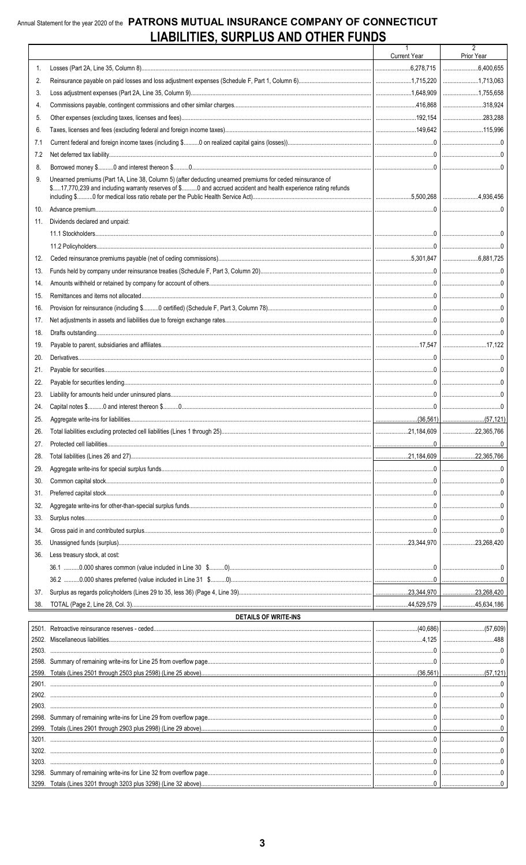### Annual Statement for the year 2020 of the PATRONS MUTUAL INSURANCE COMPANY OF CONNECTICUT LIABILITIES, SURPLUS AND OTHER FUNDS

|     |                                                                                                                                                                                                                             | Current Year | 2<br>Prior Year                                                                                                                                                                                                                                                                                                            |
|-----|-----------------------------------------------------------------------------------------------------------------------------------------------------------------------------------------------------------------------------|--------------|----------------------------------------------------------------------------------------------------------------------------------------------------------------------------------------------------------------------------------------------------------------------------------------------------------------------------|
| 1.  |                                                                                                                                                                                                                             |              |                                                                                                                                                                                                                                                                                                                            |
| 2.  |                                                                                                                                                                                                                             |              |                                                                                                                                                                                                                                                                                                                            |
| 3.  |                                                                                                                                                                                                                             |              | 1,755,658                                                                                                                                                                                                                                                                                                                  |
| 4.  |                                                                                                                                                                                                                             |              | 318,924                                                                                                                                                                                                                                                                                                                    |
| 5.  |                                                                                                                                                                                                                             |              |                                                                                                                                                                                                                                                                                                                            |
| 6.  |                                                                                                                                                                                                                             |              |                                                                                                                                                                                                                                                                                                                            |
| 7.1 |                                                                                                                                                                                                                             |              |                                                                                                                                                                                                                                                                                                                            |
| 7.2 |                                                                                                                                                                                                                             |              |                                                                                                                                                                                                                                                                                                                            |
| 8.  |                                                                                                                                                                                                                             |              |                                                                                                                                                                                                                                                                                                                            |
| 9.  | Unearned premiums (Part 1A, Line 38, Column 5) (after deducting unearned premiums for ceded reinsurance of<br>\$17,770,239 and including warranty reserves of \$0 and accrued accident and health experience rating refunds |              |                                                                                                                                                                                                                                                                                                                            |
| 10. |                                                                                                                                                                                                                             |              |                                                                                                                                                                                                                                                                                                                            |
| 11. | Dividends declared and unpaid:                                                                                                                                                                                              |              |                                                                                                                                                                                                                                                                                                                            |
|     |                                                                                                                                                                                                                             |              |                                                                                                                                                                                                                                                                                                                            |
|     |                                                                                                                                                                                                                             |              |                                                                                                                                                                                                                                                                                                                            |
| 12. |                                                                                                                                                                                                                             |              |                                                                                                                                                                                                                                                                                                                            |
| 13. |                                                                                                                                                                                                                             |              |                                                                                                                                                                                                                                                                                                                            |
| 14. |                                                                                                                                                                                                                             |              |                                                                                                                                                                                                                                                                                                                            |
| 15. |                                                                                                                                                                                                                             |              |                                                                                                                                                                                                                                                                                                                            |
| 16. |                                                                                                                                                                                                                             |              |                                                                                                                                                                                                                                                                                                                            |
| 17. |                                                                                                                                                                                                                             |              |                                                                                                                                                                                                                                                                                                                            |
| 18. |                                                                                                                                                                                                                             |              |                                                                                                                                                                                                                                                                                                                            |
| 19. |                                                                                                                                                                                                                             |              |                                                                                                                                                                                                                                                                                                                            |
| 20. |                                                                                                                                                                                                                             |              |                                                                                                                                                                                                                                                                                                                            |
| 21. |                                                                                                                                                                                                                             |              |                                                                                                                                                                                                                                                                                                                            |
| 22. |                                                                                                                                                                                                                             |              |                                                                                                                                                                                                                                                                                                                            |
| 23. |                                                                                                                                                                                                                             |              |                                                                                                                                                                                                                                                                                                                            |
| 24. |                                                                                                                                                                                                                             |              |                                                                                                                                                                                                                                                                                                                            |
| 25. |                                                                                                                                                                                                                             |              |                                                                                                                                                                                                                                                                                                                            |
| 26. |                                                                                                                                                                                                                             |              |                                                                                                                                                                                                                                                                                                                            |
| 27. |                                                                                                                                                                                                                             |              |                                                                                                                                                                                                                                                                                                                            |
| 28. |                                                                                                                                                                                                                             |              |                                                                                                                                                                                                                                                                                                                            |
| 29. |                                                                                                                                                                                                                             |              |                                                                                                                                                                                                                                                                                                                            |
| 30. |                                                                                                                                                                                                                             |              |                                                                                                                                                                                                                                                                                                                            |
| 31. |                                                                                                                                                                                                                             |              |                                                                                                                                                                                                                                                                                                                            |
| 32. |                                                                                                                                                                                                                             |              |                                                                                                                                                                                                                                                                                                                            |
| 33. |                                                                                                                                                                                                                             |              |                                                                                                                                                                                                                                                                                                                            |
| 34. |                                                                                                                                                                                                                             |              |                                                                                                                                                                                                                                                                                                                            |
| 35. |                                                                                                                                                                                                                             |              |                                                                                                                                                                                                                                                                                                                            |
| 36. | Less treasury stock, at cost:                                                                                                                                                                                               |              |                                                                                                                                                                                                                                                                                                                            |
|     |                                                                                                                                                                                                                             |              |                                                                                                                                                                                                                                                                                                                            |
|     |                                                                                                                                                                                                                             |              |                                                                                                                                                                                                                                                                                                                            |
| 37. |                                                                                                                                                                                                                             |              |                                                                                                                                                                                                                                                                                                                            |
| 38. |                                                                                                                                                                                                                             |              |                                                                                                                                                                                                                                                                                                                            |
|     | DETAILS OF WRITE-INS                                                                                                                                                                                                        |              |                                                                                                                                                                                                                                                                                                                            |
|     |                                                                                                                                                                                                                             |              |                                                                                                                                                                                                                                                                                                                            |
|     | 2502. Miscellaneous liabilities.                                                                                                                                                                                            |              | $.4.125$ $\frac{1}{2}$ $\frac{1}{2}$ $\frac{1}{2}$ $\frac{1}{2}$ $\frac{1}{2}$ $\frac{1}{2}$ $\frac{1}{2}$ $\frac{1}{2}$ $\frac{1}{2}$ $\frac{1}{2}$ $\frac{1}{2}$ $\frac{1}{2}$ $\frac{1}{2}$ $\frac{1}{2}$ $\frac{1}{2}$ $\frac{1}{2}$ $\frac{1}{2}$ $\frac{1}{2}$ $\frac{1}{2}$ $\frac{1}{2}$ $\frac{1}{2}$ $\$<br>.488 |

|       | 2001. Religiouve lellisulative leselves - ceueu |  |
|-------|-------------------------------------------------|--|
|       |                                                 |  |
| 2503. |                                                 |  |
|       |                                                 |  |
| 2599. |                                                 |  |
| 2901  |                                                 |  |
| 2902  |                                                 |  |
| 2903  |                                                 |  |
| 2998. |                                                 |  |
|       |                                                 |  |
| 3201  |                                                 |  |
| 3202  |                                                 |  |
| 3203  |                                                 |  |
|       |                                                 |  |
|       |                                                 |  |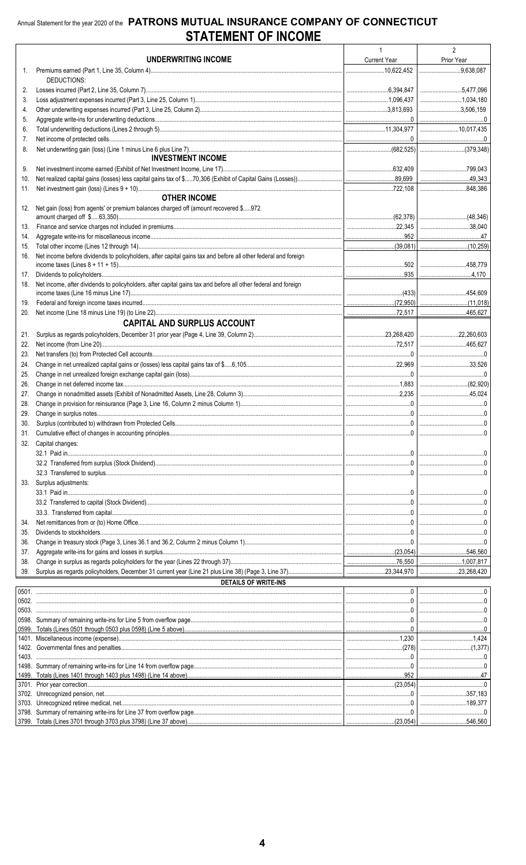|            |                                                                                                                | $\mathbf{1}$        | $\overline{2}$     |
|------------|----------------------------------------------------------------------------------------------------------------|---------------------|--------------------|
|            | UNDERWRITING INCOME                                                                                            | <b>Current Year</b> | Prior Year         |
| 1.         |                                                                                                                |                     | $\vert$ 9,638,087  |
| 2.         | DEDUCTIONS:                                                                                                    |                     | $\ldots$ 5,477,096 |
| 3.         |                                                                                                                |                     | 1,034,180          |
| 4.         |                                                                                                                |                     | 3,506,159          |
| 5.         |                                                                                                                |                     |                    |
| 6.         |                                                                                                                |                     |                    |
| 7.         |                                                                                                                |                     |                    |
| 8.         |                                                                                                                |                     |                    |
|            | <b>INVESTMENT INCOME</b>                                                                                       |                     |                    |
| 9.         |                                                                                                                |                     |                    |
| 10.        |                                                                                                                |                     |                    |
| 11.        | <b>OTHER INCOME</b>                                                                                            |                     | 848,386            |
| 12.        | Net gain (loss) from agents' or premium balances charged off (amount recovered \$972                           |                     |                    |
|            |                                                                                                                |                     |                    |
| 13.        |                                                                                                                |                     |                    |
| 14.        |                                                                                                                |                     |                    |
| 15.        |                                                                                                                |                     |                    |
| 16.        | Net income before dividends to policyholders, after capital gains tax and before all other federal and foreign |                     |                    |
|            |                                                                                                                |                     |                    |
| 17.        | Net income, after dividends to policyholders, after capital gains tax and before all other federal and foreign |                     |                    |
| 18.        |                                                                                                                |                     |                    |
| 19.        |                                                                                                                |                     |                    |
| 20.        |                                                                                                                |                     |                    |
|            | <b>CAPITAL AND SURPLUS ACCOUNT</b>                                                                             |                     |                    |
| 21.        |                                                                                                                |                     |                    |
| 22.        |                                                                                                                |                     |                    |
| 23.        |                                                                                                                |                     |                    |
| 24.        |                                                                                                                |                     | 33,526             |
| 25.        |                                                                                                                |                     |                    |
| 26.        |                                                                                                                |                     |                    |
| 27.        |                                                                                                                |                     |                    |
| 28.        |                                                                                                                |                     |                    |
| 29.<br>30. |                                                                                                                |                     |                    |
| 31.        |                                                                                                                |                     |                    |
| 32.        | Capital changes:                                                                                               |                     |                    |
|            |                                                                                                                |                     |                    |
|            |                                                                                                                |                     |                    |
|            |                                                                                                                |                     |                    |
| 33.        | Surplus adjustments:                                                                                           |                     |                    |
|            |                                                                                                                |                     |                    |
|            |                                                                                                                |                     |                    |
|            |                                                                                                                |                     |                    |
| 34.        |                                                                                                                |                     |                    |
| 35.<br>36. |                                                                                                                |                     |                    |
| 37.        |                                                                                                                |                     |                    |
| 38.        |                                                                                                                |                     |                    |
| 39.        |                                                                                                                |                     |                    |
|            | <b>DETAILS OF WRITE-INS</b>                                                                                    |                     |                    |
|            |                                                                                                                |                     |                    |
|            |                                                                                                                |                     |                    |
|            |                                                                                                                |                     |                    |
|            |                                                                                                                |                     |                    |
|            |                                                                                                                |                     |                    |
|            |                                                                                                                |                     |                    |
| 1403.      |                                                                                                                |                     |                    |
|            |                                                                                                                |                     |                    |
|            |                                                                                                                |                     |                    |
|            |                                                                                                                |                     |                    |
|            |                                                                                                                |                     |                    |
|            |                                                                                                                |                     |                    |
|            |                                                                                                                |                     |                    |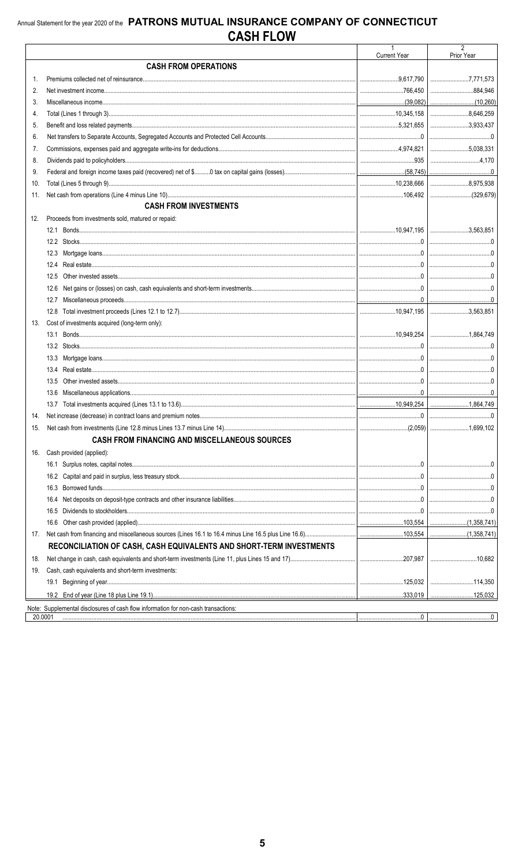|         |                                                                                    | <b>Current Year</b> | 2<br>Prior Year   |
|---------|------------------------------------------------------------------------------------|---------------------|-------------------|
|         | <b>CASH FROM OPERATIONS</b>                                                        |                     |                   |
| 1.      |                                                                                    |                     |                   |
| 2.      |                                                                                    |                     | 884.946           |
| 3.      |                                                                                    |                     |                   |
| 4.      |                                                                                    |                     | 8,646,259         |
| 5.      |                                                                                    |                     |                   |
| 6.      |                                                                                    |                     |                   |
| 7.      |                                                                                    |                     |                   |
| 8.      |                                                                                    |                     | 1.170             |
| 9.      |                                                                                    |                     |                   |
| 10.     |                                                                                    |                     | $\vert$ 8,975,938 |
| 11.     |                                                                                    |                     |                   |
|         | <b>CASH FROM INVESTMENTS</b>                                                       |                     |                   |
| 12.     | Proceeds from investments sold, matured or repaid:                                 |                     |                   |
|         |                                                                                    |                     |                   |
|         |                                                                                    |                     |                   |
|         |                                                                                    |                     |                   |
|         |                                                                                    |                     |                   |
|         | 12.5                                                                               |                     |                   |
|         | 12.6                                                                               |                     |                   |
|         |                                                                                    |                     |                   |
|         |                                                                                    |                     |                   |
| 13.     | Cost of investments acquired (long-term only):                                     |                     |                   |
|         |                                                                                    |                     |                   |
|         |                                                                                    |                     |                   |
|         |                                                                                    |                     |                   |
|         | 13.4                                                                               |                     |                   |
|         | 13.5                                                                               |                     |                   |
|         |                                                                                    |                     |                   |
|         |                                                                                    |                     |                   |
| 14.     |                                                                                    |                     |                   |
| 15.     |                                                                                    |                     |                   |
|         | <b>CASH FROM FINANCING AND MISCELLANEOUS SOURCES</b>                               |                     |                   |
| 16.     | Cash provided (applied):                                                           |                     |                   |
|         |                                                                                    |                     |                   |
|         | 16.2                                                                               |                     |                   |
|         | 16.3                                                                               |                     |                   |
|         | 16.4                                                                               |                     |                   |
|         | 16.5                                                                               |                     |                   |
|         | 16.6                                                                               |                     |                   |
| 17.     |                                                                                    |                     | (1,358,741)       |
|         | RECONCILIATION OF CASH, CASH EQUIVALENTS AND SHORT-TERM INVESTMENTS                |                     |                   |
| 18.     |                                                                                    |                     |                   |
| 19.     | Cash, cash equivalents and short-term investments:                                 |                     |                   |
|         |                                                                                    | 125,032             |                   |
|         |                                                                                    |                     |                   |
|         | Note: Supplemental disclosures of cash flow information for non-cash transactions: |                     |                   |
| 20.0001 |                                                                                    |                     |                   |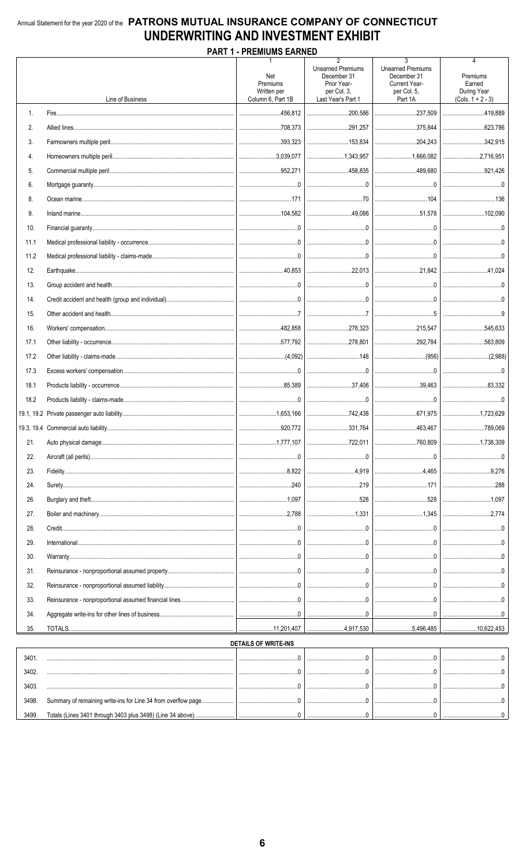### Annual Statement for the year 2020 of the PATRONS MUTUAL INSURANCE COMPANY OF CONNECTICUT UNDERWRITING AND INVESTMENT EXHIBIT **DADT 4 DDEMILIMS EADNED**

|       |                  | PART 1 - PREMIUMS EARNED                                                                                                                                                                                                                                                                                                                             |                                                                                                                                                                                                                                                                                                                                                                             |                                                                                         |                                                               |
|-------|------------------|------------------------------------------------------------------------------------------------------------------------------------------------------------------------------------------------------------------------------------------------------------------------------------------------------------------------------------------------------|-----------------------------------------------------------------------------------------------------------------------------------------------------------------------------------------------------------------------------------------------------------------------------------------------------------------------------------------------------------------------------|-----------------------------------------------------------------------------------------|---------------------------------------------------------------|
|       | Line of Business | Net<br>Premiums<br>Written per<br>Column 6. Part 1B                                                                                                                                                                                                                                                                                                  | $\overline{2}$<br><b>Unearned Premiums</b><br>December 31<br>Prior Year-<br>per Col. 3.<br>Last Year's Part 1                                                                                                                                                                                                                                                               | 3<br><b>Unearned Premiums</b><br>December 31<br>Current Year-<br>per Col. 5,<br>Part 1A | 4<br>Premiums<br>Earned<br>During Year<br>$(Cols. 1 + 2 - 3)$ |
|       |                  |                                                                                                                                                                                                                                                                                                                                                      |                                                                                                                                                                                                                                                                                                                                                                             |                                                                                         |                                                               |
| 1.    |                  |                                                                                                                                                                                                                                                                                                                                                      | 200,586                                                                                                                                                                                                                                                                                                                                                                     | 237,509                                                                                 | 419,889                                                       |
| 2.    |                  |                                                                                                                                                                                                                                                                                                                                                      |                                                                                                                                                                                                                                                                                                                                                                             | 375,844                                                                                 |                                                               |
| 3.    |                  |                                                                                                                                                                                                                                                                                                                                                      |                                                                                                                                                                                                                                                                                                                                                                             |                                                                                         | $\ldots$ 342.915                                              |
| 4.    |                  |                                                                                                                                                                                                                                                                                                                                                      |                                                                                                                                                                                                                                                                                                                                                                             |                                                                                         | 2,716,951                                                     |
| 5.    |                  |                                                                                                                                                                                                                                                                                                                                                      |                                                                                                                                                                                                                                                                                                                                                                             | 489,680                                                                                 | 921,426                                                       |
| 6.    |                  |                                                                                                                                                                                                                                                                                                                                                      |                                                                                                                                                                                                                                                                                                                                                                             |                                                                                         |                                                               |
| 8.    |                  |                                                                                                                                                                                                                                                                                                                                                      |                                                                                                                                                                                                                                                                                                                                                                             |                                                                                         |                                                               |
| 9.    |                  |                                                                                                                                                                                                                                                                                                                                                      |                                                                                                                                                                                                                                                                                                                                                                             |                                                                                         |                                                               |
| 10.   |                  |                                                                                                                                                                                                                                                                                                                                                      |                                                                                                                                                                                                                                                                                                                                                                             |                                                                                         |                                                               |
| 11.1  |                  |                                                                                                                                                                                                                                                                                                                                                      |                                                                                                                                                                                                                                                                                                                                                                             |                                                                                         |                                                               |
| 11.2  |                  |                                                                                                                                                                                                                                                                                                                                                      |                                                                                                                                                                                                                                                                                                                                                                             |                                                                                         |                                                               |
| 12.   |                  |                                                                                                                                                                                                                                                                                                                                                      |                                                                                                                                                                                                                                                                                                                                                                             |                                                                                         |                                                               |
| 13.   |                  |                                                                                                                                                                                                                                                                                                                                                      |                                                                                                                                                                                                                                                                                                                                                                             |                                                                                         |                                                               |
| 14.   |                  |                                                                                                                                                                                                                                                                                                                                                      |                                                                                                                                                                                                                                                                                                                                                                             |                                                                                         |                                                               |
| 15.   |                  |                                                                                                                                                                                                                                                                                                                                                      |                                                                                                                                                                                                                                                                                                                                                                             |                                                                                         |                                                               |
| 16.   |                  |                                                                                                                                                                                                                                                                                                                                                      |                                                                                                                                                                                                                                                                                                                                                                             |                                                                                         |                                                               |
| 17.1  |                  |                                                                                                                                                                                                                                                                                                                                                      |                                                                                                                                                                                                                                                                                                                                                                             |                                                                                         | 563,809                                                       |
| 17.2  |                  |                                                                                                                                                                                                                                                                                                                                                      |                                                                                                                                                                                                                                                                                                                                                                             |                                                                                         |                                                               |
| 17.3  |                  |                                                                                                                                                                                                                                                                                                                                                      |                                                                                                                                                                                                                                                                                                                                                                             |                                                                                         |                                                               |
| 18.1  |                  |                                                                                                                                                                                                                                                                                                                                                      | $\begin{array}{c c} \hline \end{array}$                                                                                                                                                                                                                                                                                                                                     | 39,463                                                                                  |                                                               |
| 18.2  |                  |                                                                                                                                                                                                                                                                                                                                                      |                                                                                                                                                                                                                                                                                                                                                                             |                                                                                         |                                                               |
|       |                  |                                                                                                                                                                                                                                                                                                                                                      |                                                                                                                                                                                                                                                                                                                                                                             |                                                                                         |                                                               |
|       |                  |                                                                                                                                                                                                                                                                                                                                                      |                                                                                                                                                                                                                                                                                                                                                                             |                                                                                         | 789,069                                                       |
| 21.   |                  |                                                                                                                                                                                                                                                                                                                                                      | 722,011                                                                                                                                                                                                                                                                                                                                                                     |                                                                                         | 1,738,309                                                     |
|       |                  |                                                                                                                                                                                                                                                                                                                                                      |                                                                                                                                                                                                                                                                                                                                                                             |                                                                                         |                                                               |
| 22.   |                  |                                                                                                                                                                                                                                                                                                                                                      |                                                                                                                                                                                                                                                                                                                                                                             |                                                                                         |                                                               |
| 23.   |                  | $8,822$                                                                                                                                                                                                                                                                                                                                              |                                                                                                                                                                                                                                                                                                                                                                             | $\cdots$                                                                                | 9.276                                                         |
| 24.   |                  | $\begin{array}{ccc}\n&\mathbf{240}\n\end{array}$                                                                                                                                                                                                                                                                                                     |                                                                                                                                                                                                                                                                                                                                                                             | $\frac{1}{2}$                                                                           | 288                                                           |
| 26.   |                  |                                                                                                                                                                                                                                                                                                                                                      |                                                                                                                                                                                                                                                                                                                                                                             |                                                                                         |                                                               |
| 27.   |                  |                                                                                                                                                                                                                                                                                                                                                      |                                                                                                                                                                                                                                                                                                                                                                             |                                                                                         |                                                               |
| 28.   |                  |                                                                                                                                                                                                                                                                                                                                                      |                                                                                                                                                                                                                                                                                                                                                                             |                                                                                         |                                                               |
| 29.   |                  |                                                                                                                                                                                                                                                                                                                                                      | $\begin{picture}(20,10) \put(0,0){\vector(1,0){100}} \put(15,0){\vector(1,0){100}} \put(15,0){\vector(1,0){100}} \put(15,0){\vector(1,0){100}} \put(15,0){\vector(1,0){100}} \put(15,0){\vector(1,0){100}} \put(15,0){\vector(1,0){100}} \put(15,0){\vector(1,0){100}} \put(15,0){\vector(1,0){100}} \put(15,0){\vector(1,0){100}} \put(15,0){\vector(1,0){100}} \$         |                                                                                         |                                                               |
| 30.   |                  | $\begin{array}{l} \rule{0.2cm}{0.15mm} \rule{0.2cm}{0.15mm} \rule{0.2cm}{0.15mm} \rule{0.2cm}{0.15mm} \rule{0.2cm}{0.15mm} \rule{0.2cm}{0.15mm} \rule{0.2cm}{0.15mm} \rule{0.2cm}{0.15mm} \rule{0.2cm}{0.15mm} \rule{0.2cm}{0.15mm} \rule{0.2cm}{0.15mm} \rule{0.2cm}{0.15mm} \rule{0.2cm}{0.15mm} \rule{0.2cm}{0.15mm} \rule{0.2cm}{0.15mm} \rule{$ |                                                                                                                                                                                                                                                                                                                                                                             |                                                                                         |                                                               |
| 31.   |                  |                                                                                                                                                                                                                                                                                                                                                      |                                                                                                                                                                                                                                                                                                                                                                             |                                                                                         |                                                               |
| 32.   |                  |                                                                                                                                                                                                                                                                                                                                                      | $\begin{picture}(20,10) \put(0,0){\vector(1,0){10}} \put(15,0){\vector(1,0){10}} \put(15,0){\vector(1,0){10}} \put(15,0){\vector(1,0){10}} \put(15,0){\vector(1,0){10}} \put(15,0){\vector(1,0){10}} \put(15,0){\vector(1,0){10}} \put(15,0){\vector(1,0){10}} \put(15,0){\vector(1,0){10}} \put(15,0){\vector(1,0){10}} \put(15,0){\vector(1,0){10}} \put(15,0){\vector(1$ |                                                                                         |                                                               |
| 33.   |                  |                                                                                                                                                                                                                                                                                                                                                      |                                                                                                                                                                                                                                                                                                                                                                             |                                                                                         |                                                               |
| 34.   |                  |                                                                                                                                                                                                                                                                                                                                                      |                                                                                                                                                                                                                                                                                                                                                                             |                                                                                         |                                                               |
| 35.   |                  | 11,201,407                                                                                                                                                                                                                                                                                                                                           | 4,917,530                                                                                                                                                                                                                                                                                                                                                                   |                                                                                         |                                                               |
|       |                  | <b>DETAILS OF WRITE-INS</b>                                                                                                                                                                                                                                                                                                                          |                                                                                                                                                                                                                                                                                                                                                                             |                                                                                         |                                                               |
| 3401. |                  |                                                                                                                                                                                                                                                                                                                                                      |                                                                                                                                                                                                                                                                                                                                                                             |                                                                                         |                                                               |
| 3402. |                  |                                                                                                                                                                                                                                                                                                                                                      |                                                                                                                                                                                                                                                                                                                                                                             |                                                                                         |                                                               |
| 3403. |                  |                                                                                                                                                                                                                                                                                                                                                      |                                                                                                                                                                                                                                                                                                                                                                             |                                                                                         |                                                               |
| 3498. |                  |                                                                                                                                                                                                                                                                                                                                                      | $\begin{array}{l} \rule{0.2cm}{0.15mm} \rule{0.2cm}{0.15mm} \rule{0.2cm}{0.15mm} \rule{0.2cm}{0.15mm} \rule{0.2cm}{0.15mm} \rule{0.2cm}{0.15mm} \rule{0.2cm}{0.15mm} \rule{0.2cm}{0.15mm} \rule{0.2cm}{0.15mm} \rule{0.2cm}{0.15mm} \rule{0.2cm}{0.15mm} \rule{0.2cm}{0.15mm} \rule{0.2cm}{0.15mm} \rule{0.2cm}{0.15mm} \rule{0.2cm}{0.15mm} \rule{$                        |                                                                                         |                                                               |
| 3499. |                  |                                                                                                                                                                                                                                                                                                                                                      |                                                                                                                                                                                                                                                                                                                                                                             |                                                                                         |                                                               |
|       |                  |                                                                                                                                                                                                                                                                                                                                                      |                                                                                                                                                                                                                                                                                                                                                                             |                                                                                         |                                                               |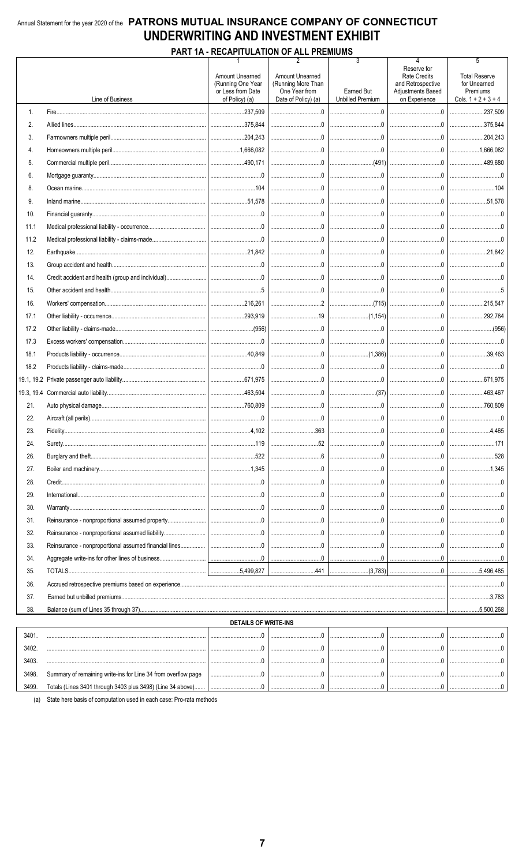### Annual Statement for the year 2020 of the PATRONS MUTUAL INSURANCE COMPANY OF CONNECTICUT UNDERWRITING AND INVESTMENT EXHIBIT

### **PART 1A - RECAPITULATION OF ALL PREMIUMS**

|       |                  | 1                                                                           | 2                                                                                    | 3                                     |                                                                                                                                                                                                                                                                                                                                                      | 5                                                                         |
|-------|------------------|-----------------------------------------------------------------------------|--------------------------------------------------------------------------------------|---------------------------------------|------------------------------------------------------------------------------------------------------------------------------------------------------------------------------------------------------------------------------------------------------------------------------------------------------------------------------------------------------|---------------------------------------------------------------------------|
|       | Line of Business | Amount Unearned<br>(Running One Year<br>or Less from Date<br>of Policy) (a) | <b>Amount Unearned</b><br>(Running More Than<br>One Year from<br>Date of Policy) (a) | Earned But<br><b>Unbilled Premium</b> | Reserve for<br><b>Rate Credits</b><br>and Retrospective<br><b>Adiustments Based</b><br>on Experience                                                                                                                                                                                                                                                 | <b>Total Reserve</b><br>for Unearned<br>Premiums<br>Cols. $1 + 2 + 3 + 4$ |
| 1.    |                  |                                                                             |                                                                                      |                                       |                                                                                                                                                                                                                                                                                                                                                      | 237,509                                                                   |
| 2.    |                  |                                                                             |                                                                                      |                                       | 0                                                                                                                                                                                                                                                                                                                                                    | 375,844                                                                   |
| 3.    |                  |                                                                             |                                                                                      |                                       |                                                                                                                                                                                                                                                                                                                                                      | 204,243                                                                   |
| 4.    |                  |                                                                             |                                                                                      |                                       |                                                                                                                                                                                                                                                                                                                                                      | 1,666,082                                                                 |
| 5.    |                  |                                                                             |                                                                                      |                                       |                                                                                                                                                                                                                                                                                                                                                      | 489.680                                                                   |
| 6.    |                  |                                                                             |                                                                                      |                                       |                                                                                                                                                                                                                                                                                                                                                      |                                                                           |
| 8.    |                  |                                                                             |                                                                                      |                                       |                                                                                                                                                                                                                                                                                                                                                      |                                                                           |
| 9.    |                  |                                                                             |                                                                                      |                                       |                                                                                                                                                                                                                                                                                                                                                      | 51.578                                                                    |
| 10.   |                  |                                                                             |                                                                                      |                                       |                                                                                                                                                                                                                                                                                                                                                      |                                                                           |
| 11.1  |                  |                                                                             |                                                                                      |                                       |                                                                                                                                                                                                                                                                                                                                                      |                                                                           |
| 11.2  |                  |                                                                             |                                                                                      |                                       |                                                                                                                                                                                                                                                                                                                                                      |                                                                           |
| 12.   |                  |                                                                             |                                                                                      |                                       |                                                                                                                                                                                                                                                                                                                                                      | 21.842                                                                    |
| 13.   |                  |                                                                             |                                                                                      |                                       |                                                                                                                                                                                                                                                                                                                                                      |                                                                           |
| 14.   |                  |                                                                             |                                                                                      |                                       |                                                                                                                                                                                                                                                                                                                                                      |                                                                           |
| 15.   |                  |                                                                             |                                                                                      |                                       |                                                                                                                                                                                                                                                                                                                                                      |                                                                           |
| 16.   |                  |                                                                             |                                                                                      |                                       |                                                                                                                                                                                                                                                                                                                                                      |                                                                           |
| 17.1  |                  |                                                                             |                                                                                      |                                       |                                                                                                                                                                                                                                                                                                                                                      | 292,784                                                                   |
| 17.2  |                  |                                                                             |                                                                                      |                                       |                                                                                                                                                                                                                                                                                                                                                      |                                                                           |
| 17.3  |                  |                                                                             |                                                                                      |                                       |                                                                                                                                                                                                                                                                                                                                                      | 0                                                                         |
| 18.1  |                  |                                                                             |                                                                                      |                                       |                                                                                                                                                                                                                                                                                                                                                      |                                                                           |
| 18.2  |                  |                                                                             |                                                                                      |                                       |                                                                                                                                                                                                                                                                                                                                                      | 0                                                                         |
|       |                  |                                                                             |                                                                                      |                                       |                                                                                                                                                                                                                                                                                                                                                      | 671,975                                                                   |
|       |                  |                                                                             |                                                                                      |                                       |                                                                                                                                                                                                                                                                                                                                                      |                                                                           |
| 21.   |                  |                                                                             |                                                                                      |                                       |                                                                                                                                                                                                                                                                                                                                                      |                                                                           |
| 22.   |                  |                                                                             |                                                                                      |                                       |                                                                                                                                                                                                                                                                                                                                                      |                                                                           |
| 23.   |                  |                                                                             |                                                                                      |                                       |                                                                                                                                                                                                                                                                                                                                                      |                                                                           |
| 24.   | Surety.          |                                                                             | 52                                                                                   | 0                                     | $\begin{array}{l} \rule{0.2cm}{0.15mm} \rule{0.2cm}{0.15mm} \rule{0.2cm}{0.15mm} \rule{0.2cm}{0.15mm} \rule{0.2cm}{0.15mm} \rule{0.2cm}{0.15mm} \rule{0.2cm}{0.15mm} \rule{0.2cm}{0.15mm} \rule{0.2cm}{0.15mm} \rule{0.2cm}{0.15mm} \rule{0.2cm}{0.15mm} \rule{0.2cm}{0.15mm} \rule{0.2cm}{0.15mm} \rule{0.2cm}{0.15mm} \rule{0.2cm}{0.15mm} \rule{$ | .171                                                                      |
| 26.   |                  |                                                                             |                                                                                      |                                       |                                                                                                                                                                                                                                                                                                                                                      |                                                                           |
| 27.   |                  |                                                                             |                                                                                      |                                       |                                                                                                                                                                                                                                                                                                                                                      |                                                                           |
| 28.   |                  |                                                                             |                                                                                      |                                       |                                                                                                                                                                                                                                                                                                                                                      |                                                                           |
| 29.   |                  |                                                                             |                                                                                      |                                       |                                                                                                                                                                                                                                                                                                                                                      |                                                                           |
| 30.   |                  |                                                                             |                                                                                      |                                       |                                                                                                                                                                                                                                                                                                                                                      |                                                                           |
| 31.   |                  |                                                                             |                                                                                      |                                       |                                                                                                                                                                                                                                                                                                                                                      |                                                                           |
| 32.   |                  |                                                                             |                                                                                      |                                       |                                                                                                                                                                                                                                                                                                                                                      |                                                                           |
| 33.   |                  |                                                                             |                                                                                      |                                       |                                                                                                                                                                                                                                                                                                                                                      |                                                                           |
| 34.   |                  |                                                                             |                                                                                      |                                       |                                                                                                                                                                                                                                                                                                                                                      |                                                                           |
| 35.   |                  |                                                                             |                                                                                      |                                       |                                                                                                                                                                                                                                                                                                                                                      | 5,496,485                                                                 |
| 36.   |                  |                                                                             |                                                                                      |                                       |                                                                                                                                                                                                                                                                                                                                                      |                                                                           |
| 37.   |                  |                                                                             |                                                                                      |                                       |                                                                                                                                                                                                                                                                                                                                                      |                                                                           |
| 38.   |                  |                                                                             |                                                                                      |                                       |                                                                                                                                                                                                                                                                                                                                                      |                                                                           |
|       |                  | <b>DETAILS OF WRITE-INS</b>                                                 |                                                                                      |                                       |                                                                                                                                                                                                                                                                                                                                                      |                                                                           |
| 3401. |                  | $\Omega$                                                                    | $0$ .                                                                                | 0                                     | $\Omega$ .                                                                                                                                                                                                                                                                                                                                           |                                                                           |

| 340'  |                                                               |  |  |  |
|-------|---------------------------------------------------------------|--|--|--|
| 3402  |                                                               |  |  |  |
| 3403  |                                                               |  |  |  |
| 3498. | Summary of remaining write-ins for Line 34 from overflow page |  |  |  |
| 3499. | Totals (Lines 3401 through 3403 plus 3498) (Line 34 above)    |  |  |  |

(a) State here basis of computation used in each case: Pro-rata methods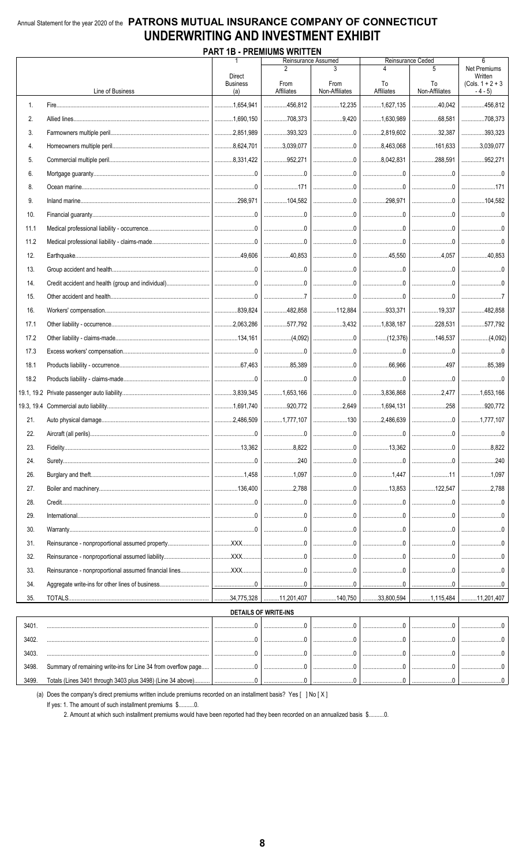### Annual Statement for the year 2020 of the PATRONS MUTUAL INSURANCE COMPANY OF CONNECTICUT UNDERWRITING AND INVESTMENT EXHIBIT **DADT 1D DDEMILIMS WDITTEN**

| PART 1B - PREMIUMS WRITTEN |                  |                        |                                                                                                                                                                                                                                                                                                                                |                                  |                                 |                                                                                                                                                                                                                                                                                                                                                                             |                                            |  |
|----------------------------|------------------|------------------------|--------------------------------------------------------------------------------------------------------------------------------------------------------------------------------------------------------------------------------------------------------------------------------------------------------------------------------|----------------------------------|---------------------------------|-----------------------------------------------------------------------------------------------------------------------------------------------------------------------------------------------------------------------------------------------------------------------------------------------------------------------------------------------------------------------------|--------------------------------------------|--|
|                            |                  | <b>Direct</b>          |                                                                                                                                                                                                                                                                                                                                | Reinsurance Assumed              |                                 | Reinsurance Ceded<br>5                                                                                                                                                                                                                                                                                                                                                      | $6\overline{6}$<br>Net Premiums<br>Written |  |
|                            | Line of Business | <b>Business</b><br>(a) | From<br>Affiliates                                                                                                                                                                                                                                                                                                             | From<br>Non-Affiliates           | To<br>Affiliates                | To<br>Non-Affiliates                                                                                                                                                                                                                                                                                                                                                        | (Cols. $1 + 2 + 3$<br>$-4-5$               |  |
| 1.                         |                  | 1,654,941              | 456,812                                                                                                                                                                                                                                                                                                                        |                                  | 1,627,135                       | 40,042                                                                                                                                                                                                                                                                                                                                                                      | 456.812                                    |  |
|                            |                  |                        | 708,373                                                                                                                                                                                                                                                                                                                        | $\dots\dots\dots\dots\dots9,420$ |                                 |                                                                                                                                                                                                                                                                                                                                                                             | 708,373                                    |  |
| 2.                         |                  |                        |                                                                                                                                                                                                                                                                                                                                |                                  | 1,630,989                       |                                                                                                                                                                                                                                                                                                                                                                             |                                            |  |
| 3.                         |                  |                        | 393,323                                                                                                                                                                                                                                                                                                                        |                                  |                                 | 32,387                                                                                                                                                                                                                                                                                                                                                                      | 393,323                                    |  |
| 4.                         |                  |                        | 3,039,077                                                                                                                                                                                                                                                                                                                      |                                  |                                 | 161,633                                                                                                                                                                                                                                                                                                                                                                     | 3,039,077                                  |  |
| 5.                         |                  |                        | 352,271                                                                                                                                                                                                                                                                                                                        |                                  |                                 | 288,591                                                                                                                                                                                                                                                                                                                                                                     | 952,271                                    |  |
| 6.                         |                  |                        | $\overline{a}$                                                                                                                                                                                                                                                                                                                 |                                  |                                 |                                                                                                                                                                                                                                                                                                                                                                             |                                            |  |
| 8.                         |                  |                        |                                                                                                                                                                                                                                                                                                                                |                                  |                                 |                                                                                                                                                                                                                                                                                                                                                                             |                                            |  |
| 9.                         |                  |                        |                                                                                                                                                                                                                                                                                                                                |                                  |                                 |                                                                                                                                                                                                                                                                                                                                                                             |                                            |  |
| 10.                        |                  |                        | $\begin{array}{ccc} \end{array} \begin{array}{ccc} \end{array}$                                                                                                                                                                                                                                                                |                                  |                                 |                                                                                                                                                                                                                                                                                                                                                                             |                                            |  |
| 11.1                       |                  |                        |                                                                                                                                                                                                                                                                                                                                |                                  |                                 |                                                                                                                                                                                                                                                                                                                                                                             |                                            |  |
| 11.2                       |                  |                        |                                                                                                                                                                                                                                                                                                                                |                                  |                                 |                                                                                                                                                                                                                                                                                                                                                                             |                                            |  |
| 12.                        |                  |                        |                                                                                                                                                                                                                                                                                                                                |                                  |                                 |                                                                                                                                                                                                                                                                                                                                                                             |                                            |  |
| 13.                        |                  |                        |                                                                                                                                                                                                                                                                                                                                |                                  |                                 |                                                                                                                                                                                                                                                                                                                                                                             |                                            |  |
| 14.                        |                  |                        |                                                                                                                                                                                                                                                                                                                                |                                  |                                 |                                                                                                                                                                                                                                                                                                                                                                             |                                            |  |
| 15.                        |                  |                        |                                                                                                                                                                                                                                                                                                                                |                                  |                                 |                                                                                                                                                                                                                                                                                                                                                                             |                                            |  |
| 16.                        |                  |                        | 482,858                                                                                                                                                                                                                                                                                                                        |                                  | 112,884   933,371               | $\ldots$                                                                                                                                                                                                                                                                                                                                                                    | 482.858                                    |  |
| 17.1                       |                  |                        |                                                                                                                                                                                                                                                                                                                                |                                  | 577,792   3,432   1,838,187     | 228,531                                                                                                                                                                                                                                                                                                                                                                     | 577,792                                    |  |
| 17.2                       |                  |                        |                                                                                                                                                                                                                                                                                                                                |                                  |                                 |                                                                                                                                                                                                                                                                                                                                                                             |                                            |  |
| 17.3                       |                  |                        | 0                                                                                                                                                                                                                                                                                                                              |                                  |                                 | 00                                                                                                                                                                                                                                                                                                                                                                          |                                            |  |
| 18.1                       |                  |                        | $\ldots$ 85,389                                                                                                                                                                                                                                                                                                                |                                  |                                 |                                                                                                                                                                                                                                                                                                                                                                             | 85,389                                     |  |
| 18.2                       |                  |                        | 0                                                                                                                                                                                                                                                                                                                              |                                  |                                 |                                                                                                                                                                                                                                                                                                                                                                             |                                            |  |
|                            |                  |                        | 1,653,166                                                                                                                                                                                                                                                                                                                      |                                  |                                 | 2,477                                                                                                                                                                                                                                                                                                                                                                       | 1,653,166                                  |  |
|                            |                  |                        |                                                                                                                                                                                                                                                                                                                                |                                  | 920,772 2,649 1,694,131 920,772 |                                                                                                                                                                                                                                                                                                                                                                             |                                            |  |
| 21.                        |                  |                        | 1,777,107                                                                                                                                                                                                                                                                                                                      |                                  |                                 |                                                                                                                                                                                                                                                                                                                                                                             |                                            |  |
| 22.                        |                  |                        |                                                                                                                                                                                                                                                                                                                                |                                  |                                 |                                                                                                                                                                                                                                                                                                                                                                             |                                            |  |
| 23.                        |                  |                        |                                                                                                                                                                                                                                                                                                                                |                                  |                                 |                                                                                                                                                                                                                                                                                                                                                                             |                                            |  |
| 24.                        |                  |                        | 240                                                                                                                                                                                                                                                                                                                            |                                  |                                 | 0                                                                                                                                                                                                                                                                                                                                                                           | 240                                        |  |
| 26.                        |                  |                        |                                                                                                                                                                                                                                                                                                                                |                                  |                                 | 11                                                                                                                                                                                                                                                                                                                                                                          |                                            |  |
| 27.                        |                  |                        | 2,788                                                                                                                                                                                                                                                                                                                          |                                  |                                 | 122,547                                                                                                                                                                                                                                                                                                                                                                     | 2.788<br>                                  |  |
| 28.                        |                  |                        | $\begin{array}{l} \rule{0.2cm}{0.15mm} \ldots \end{array} \qquad \begin{array}{ll} \rule{0.2cm}{0.15mm} \ldots \end{array} \qquad \begin{array}{ll} \rule{0.2cm}{0.15mm} \ldots \end{array} \qquad \begin{array}{ll} \rule{0.2cm}{0.15mm} \ldots \end{array} \qquad \begin{array}{ll} \rule{0.2cm}{0.15mm} \ldots \end{array}$ |                                  |                                 | $\begin{picture}(20,10) \put(0,0){\vector(1,0){10}} \put(15,0){\vector(1,0){10}} \put(15,0){\vector(1,0){10}} \put(15,0){\vector(1,0){10}} \put(15,0){\vector(1,0){10}} \put(15,0){\vector(1,0){10}} \put(15,0){\vector(1,0){10}} \put(15,0){\vector(1,0){10}} \put(15,0){\vector(1,0){10}} \put(15,0){\vector(1,0){10}} \put(15,0){\vector(1,0){10}} \put(15,0){\vector(1$ |                                            |  |
| 29.                        |                  |                        |                                                                                                                                                                                                                                                                                                                                | 0                                | $\sim$ 0 $\sim$                 | $\begin{array}{l} \rule{0.2cm}{0.15mm} \ldots \end{array} \begin{array}{ll} \ldots \end{array}$                                                                                                                                                                                                                                                                             |                                            |  |
| 30.                        |                  |                        | $\begin{array}{l} \rule{0.2cm}{0.15mm} \ldots \end{array}$                                                                                                                                                                                                                                                                     |                                  |                                 | $\begin{picture}(20,20) \put(0,0){\vector(1,0){100}} \put(15,0){\vector(1,0){100}} \put(15,0){\vector(1,0){100}} \put(15,0){\vector(1,0){100}} \put(15,0){\vector(1,0){100}} \put(15,0){\vector(1,0){100}} \put(15,0){\vector(1,0){100}} \put(15,0){\vector(1,0){100}} \put(15,0){\vector(1,0){100}} \put(15,0){\vector(1,0){100}} \put(15,0){\vector(1,0){100}} \$         |                                            |  |
| 31.                        |                  |                        |                                                                                                                                                                                                                                                                                                                                |                                  |                                 |                                                                                                                                                                                                                                                                                                                                                                             |                                            |  |
| 32.                        |                  |                        |                                                                                                                                                                                                                                                                                                                                |                                  | $\sim$ 0 $\sim$                 |                                                                                                                                                                                                                                                                                                                                                                             |                                            |  |
|                            |                  |                        |                                                                                                                                                                                                                                                                                                                                |                                  |                                 | 0                                                                                                                                                                                                                                                                                                                                                                           |                                            |  |
| 33.                        |                  |                        |                                                                                                                                                                                                                                                                                                                                |                                  |                                 |                                                                                                                                                                                                                                                                                                                                                                             |                                            |  |
| 34.                        |                  |                        |                                                                                                                                                                                                                                                                                                                                |                                  |                                 |                                                                                                                                                                                                                                                                                                                                                                             |                                            |  |
| 35.                        |                  |                        |                                                                                                                                                                                                                                                                                                                                |                                  |                                 |                                                                                                                                                                                                                                                                                                                                                                             |                                            |  |
|                            |                  |                        | <b>DETAILS OF WRITE-INS</b>                                                                                                                                                                                                                                                                                                    |                                  |                                 |                                                                                                                                                                                                                                                                                                                                                                             |                                            |  |
| 3401.                      |                  |                        | $\begin{array}{l} \rule{0.2cm}{0.15mm} \ldots \end{array} \begin{array}{l} \rule{0.2cm}{0.15mm} \ldots \end{array} \begin{array}{l} \rule{0.2cm}{0.15mm} \ldots \end{array} \begin{array}{l} \rule{0.2cm}{0.15mm} \ldots \end{array} \begin{array}{l} \rule{0.2cm}{0.15mm} \ldots \end{array}$                                 |                                  |                                 |                                                                                                                                                                                                                                                                                                                                                                             |                                            |  |
| 3402.                      |                  | . 0<br>.               | . 0<br>.                                                                                                                                                                                                                                                                                                                       |                                  |                                 | 0                                                                                                                                                                                                                                                                                                                                                                           |                                            |  |
| 3403                       |                  | $\cap$                 | $\cap$                                                                                                                                                                                                                                                                                                                         | $\cap$                           | $\cap$                          | $\cap$                                                                                                                                                                                                                                                                                                                                                                      |                                            |  |

(a) Does the company's direct premiums written include premiums recorded on an installment basis? Yes [ ] No [X]

If yes: 1. The amount of such installment premiums \$..........0.

Totals (Lines 3401 through 3403 plus 3498) (Line 34 above).

3498. Summary of remaining write-ins for Line 34 from overflow page...

3499.

2. Amount at which such installment premiums would have been reported had they been recorded on an annualized basis \$...........0.

 $0$ .

 $\overline{\mathbf{0}}$ 

 $\overline{\mathbf{0}}$ .

 $\overline{0}$ 

 $0$ ..

 $\overline{0}$ 

 $0$ .

 $\mathbf{0}$ 

 $0$ ..

 $\overline{0}$ 

 $\overline{\mathbf{0}}$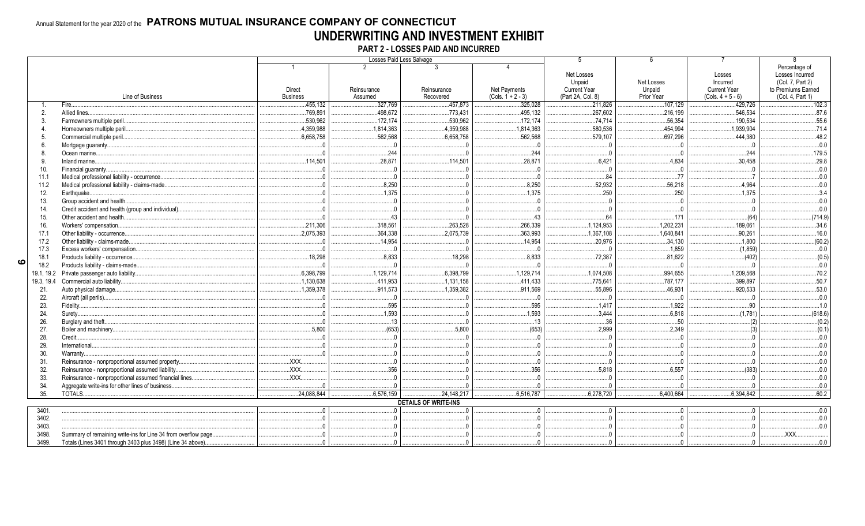### Annual Statement for the year 2020 of the PATRONS MUTUAL INSURANCE COMPANY OF CONNECTICUT UNDERWRITING AND INVESTMENT EXHIBIT

PART 2 - LOSSES PAID AND INCURRED

|   |                |                                                                |                                                                                                                                                                                                                                                                                                                                                                                      |                        | Losses Paid Less Salvage    |                                     |                                                    |                                    |                                                        |                                                            |
|---|----------------|----------------------------------------------------------------|--------------------------------------------------------------------------------------------------------------------------------------------------------------------------------------------------------------------------------------------------------------------------------------------------------------------------------------------------------------------------------------|------------------------|-----------------------------|-------------------------------------|----------------------------------------------------|------------------------------------|--------------------------------------------------------|------------------------------------------------------------|
|   |                |                                                                |                                                                                                                                                                                                                                                                                                                                                                                      |                        |                             |                                     | Net Losses                                         |                                    | Losses                                                 | Percentage of<br>Losses Incurred                           |
|   |                | Line of Business                                               | Direct<br><b>Business</b>                                                                                                                                                                                                                                                                                                                                                            | Reinsurance<br>Assumed | Reinsurance<br>Recovered    | Net Payments<br>$(Cols. 1 + 2 - 3)$ | Unpaid<br><b>Current Year</b><br>(Part 2A, Col. 8) | Net Losses<br>Unpaid<br>Prior Year | Incurred<br><b>Current Year</b><br>$(Cols. 4 + 5 - 6)$ | (Col. 7, Part 2)<br>to Premiums Earned<br>(Col. 4, Part 1) |
|   |                | Fire.                                                          | .455.132                                                                                                                                                                                                                                                                                                                                                                             | .327.769               | .457.873                    | .325,028                            | .211.826                                           | .107,129                           | .429.726                                               | .102.3                                                     |
|   | $\overline{2}$ | Allied lines.                                                  | 769,891                                                                                                                                                                                                                                                                                                                                                                              | .498,672               | 773,431                     | .495,132                            | 267,602                                            | 216,199                            | .546.534                                               | .87.6                                                      |
|   |                | Farmowners multiple peril.                                     | 530,962                                                                                                                                                                                                                                                                                                                                                                              | 172,174                | 530,962                     | 172,174                             | .74,714                                            | 56,354                             | .190,534                                               | .55.6                                                      |
|   |                | Homeowners multiple peril                                      | .4,359,988                                                                                                                                                                                                                                                                                                                                                                           | .1,814,363             | .4,359,988                  | 1,814,363                           | .580,536                                           | .454,994                           | 1,939,904                                              | .71.4                                                      |
|   |                | Commercial multiple peril.                                     | 6,658,758                                                                                                                                                                                                                                                                                                                                                                            | .562,568               | .6,658,758                  | .562.568                            | 579.107                                            | 697,296                            | .444.380                                               | .48.2                                                      |
|   |                | Mortgage quaranty                                              |                                                                                                                                                                                                                                                                                                                                                                                      | $\sqrt{ }$             |                             |                                     | $\sqrt{ }$                                         |                                    |                                                        | .0.0                                                       |
|   |                | Ocean marine                                                   |                                                                                                                                                                                                                                                                                                                                                                                      | .244                   |                             | .244                                | $\overline{0}$                                     |                                    | .244                                                   | .179.5                                                     |
|   |                | Inland marine.                                                 | .114,501                                                                                                                                                                                                                                                                                                                                                                             | .28,871                | .114,501                    | .28,871                             | .6,421                                             | .4.834                             | .30,458                                                | .29.8                                                      |
|   | 10.            | Financial quaranty                                             |                                                                                                                                                                                                                                                                                                                                                                                      | $\overline{0}$         |                             |                                     | 0 <sup>1</sup>                                     |                                    |                                                        | 0.0.                                                       |
|   | 11.1           | Medical professional liability - occurrence.                   |                                                                                                                                                                                                                                                                                                                                                                                      | $\ldots 0$             |                             |                                     | 84                                                 | .77                                |                                                        | 0.0.                                                       |
|   | 11.2           | Medical professional liability - claims-made.                  |                                                                                                                                                                                                                                                                                                                                                                                      | .8,250                 |                             | .8,250                              | 52,932                                             | .56,218                            | .4,964                                                 | 0.0.                                                       |
|   | 12.            | Earthquake                                                     |                                                                                                                                                                                                                                                                                                                                                                                      | .1,375                 |                             | .1.375                              | 250                                                | .250                               | .1.375                                                 | .3.4                                                       |
|   | 13.            | Group accident and health                                      |                                                                                                                                                                                                                                                                                                                                                                                      | $\overline{0}$         |                             |                                     | 0                                                  |                                    |                                                        | 0.0                                                        |
|   | 14.            | Credit accident and health (group and individual).             |                                                                                                                                                                                                                                                                                                                                                                                      | $\sqrt{ }$             |                             |                                     | $\Omega$                                           |                                    |                                                        | 0.0                                                        |
|   | 15.            | Other accident and health.                                     |                                                                                                                                                                                                                                                                                                                                                                                      | .43                    |                             | .43                                 | .64                                                | .171                               | (64)                                                   | (714.9)                                                    |
|   | 16.            | Workers' compensation.                                         | 211,306                                                                                                                                                                                                                                                                                                                                                                              | .318,561               | 263,528                     | .266,339                            | .1,124,953                                         | 1,202,231                          | .189,061                                               | .34.6                                                      |
|   | 17.1           | Other liability - occurrence.                                  | .2,075,393                                                                                                                                                                                                                                                                                                                                                                           | .364,338               | 2,075,739                   | .363,993                            | 1,367,108                                          | 1,640,841                          | .90,261                                                | .16.0                                                      |
|   | 17.2           | Other liability - claims-made.                                 |                                                                                                                                                                                                                                                                                                                                                                                      | 14,954                 |                             | .14,954                             | 20,976                                             | 34,130                             | .1.800                                                 | (60.2)                                                     |
|   | 17.3           | Excess workers' compensation.                                  | - 0                                                                                                                                                                                                                                                                                                                                                                                  |                        |                             |                                     | - 0                                                | 1,859                              | (1,859)                                                | $0.0$                                                      |
|   | 18.1           | Products liability - occurrence.                               | .18,298                                                                                                                                                                                                                                                                                                                                                                              | 8,833                  | 18,298                      | .8,833                              | 72,387                                             | 81.622                             | (402)                                                  | (0.5)                                                      |
| ဖ | 18.2           | Products liability - claims-made.                              | $\sqrt{ }$                                                                                                                                                                                                                                                                                                                                                                           | $\bigcap$              |                             |                                     | $\sqrt{ }$                                         |                                    | $\bigcap$                                              | 0.0                                                        |
|   |                | 19.1, 19.2 Private passenger auto liability.                   | 6,398,799                                                                                                                                                                                                                                                                                                                                                                            | .1,129,714             | .6,398,799                  | 1,129,714                           | .1,074,508                                         | .994,655                           | .1,209,568                                             | .70.2                                                      |
|   |                | 19.3, 19.4 Commercial auto liability                           | 1,130,638                                                                                                                                                                                                                                                                                                                                                                            | .411,953               | .1,131,158                  | .411,433                            | .775.641                                           | 787,177                            | .399.897                                               | .50.7                                                      |
|   | 21.            | Auto physical damage                                           | 1,359,378                                                                                                                                                                                                                                                                                                                                                                            | .911,573               | 1,359,382                   | .911,569                            | .55,896                                            | .46,931                            | .920.533                                               | .53.0                                                      |
|   | 22.            | Aircraft (all perils)                                          |                                                                                                                                                                                                                                                                                                                                                                                      |                        |                             |                                     | - 0                                                |                                    |                                                        | 0.0.                                                       |
|   | 23.            | Fidelity                                                       |                                                                                                                                                                                                                                                                                                                                                                                      | 595                    |                             | .595                                | .1,417                                             | .1,922                             | .90                                                    | .1.0                                                       |
|   | 24.            | Suretv                                                         |                                                                                                                                                                                                                                                                                                                                                                                      | .1,593                 |                             | .1,593                              | .3,444                                             | .6.818                             | (1.781)                                                | (618.6)                                                    |
|   | 26.            | Burglary and theft.                                            |                                                                                                                                                                                                                                                                                                                                                                                      | .13                    |                             | .13                                 | .36                                                | .50                                |                                                        | (0.2)                                                      |
|   | 27.            | Boiler and machinery.                                          | 5.800                                                                                                                                                                                                                                                                                                                                                                                | (653)                  | .5.800                      | (653)                               | .2,999                                             | 2.349                              |                                                        | (0.1)                                                      |
|   | 28.            | Credit.                                                        |                                                                                                                                                                                                                                                                                                                                                                                      | - 0                    |                             |                                     | $\Omega$                                           |                                    |                                                        | 0.0                                                        |
|   | 29.            | International                                                  |                                                                                                                                                                                                                                                                                                                                                                                      | $\Omega$               |                             |                                     | $\Omega$                                           |                                    |                                                        | 0.0.                                                       |
|   | 30.            | Warranty                                                       |                                                                                                                                                                                                                                                                                                                                                                                      | $\sqrt{ }$             |                             |                                     | - 0                                                |                                    |                                                        | 0.0.                                                       |
|   | 31.            | Reinsurance - nonproportional assumed property.                | $\overline{X}$ $\overline{X}$ $\overline{X}$ $\overline{X}$ $\overline{X}$ $\overline{X}$ $\overline{X}$ $\overline{X}$ $\overline{X}$ $\overline{X}$ $\overline{X}$ $\overline{X}$ $\overline{X}$ $\overline{X}$ $\overline{X}$ $\overline{X}$ $\overline{X}$ $\overline{X}$ $\overline{X}$ $\overline{X}$ $\overline{X}$ $\overline{X}$ $\overline{X}$ $\overline{X}$ $\overline{$ | $\Omega$               |                             |                                     | $\Omega$                                           |                                    |                                                        | 0.0.                                                       |
|   | 32.            | Reinsurance - nonproportional assumed liability                | .XXX.                                                                                                                                                                                                                                                                                                                                                                                | .356                   |                             | .356                                | .5.818                                             | .6,557                             | (383)                                                  | 0 <sub>0</sub>                                             |
|   | 33.            | Reinsurance - nonproportional assumed financial lines.         | $\mathsf{XXX}$                                                                                                                                                                                                                                                                                                                                                                       | $\sqrt{ }$             |                             |                                     | $\sqrt{ }$                                         |                                    |                                                        | 0 <sub>0</sub>                                             |
|   | 34.            | Aggregate write-ins for other lines of business.               |                                                                                                                                                                                                                                                                                                                                                                                      |                        |                             |                                     |                                                    |                                    |                                                        | 0 <sub>0</sub>                                             |
|   | 35.            | TOTALS.                                                        | .24,088,844                                                                                                                                                                                                                                                                                                                                                                          | .6,576,159             | 24,148,217                  | 6,516,787                           | .6,278,720                                         | .6,400,664                         | 6,394,842                                              | .60.2                                                      |
|   |                |                                                                |                                                                                                                                                                                                                                                                                                                                                                                      |                        | <b>DETAILS OF WRITE-INS</b> |                                     |                                                    |                                    |                                                        |                                                            |
|   | 3401.          |                                                                | $\Omega$                                                                                                                                                                                                                                                                                                                                                                             |                        |                             | $\cap$                              | $\Omega$                                           |                                    |                                                        | 0.0                                                        |
|   | 3402.          |                                                                |                                                                                                                                                                                                                                                                                                                                                                                      |                        |                             |                                     | $\cap$                                             |                                    |                                                        | 0.0                                                        |
|   | 3403.          |                                                                |                                                                                                                                                                                                                                                                                                                                                                                      |                        |                             |                                     |                                                    |                                    |                                                        | 0 <sub>0</sub>                                             |
|   | 3498.          | Summary of remaining write-ins for Line 34 from overflow page. |                                                                                                                                                                                                                                                                                                                                                                                      |                        |                             |                                     |                                                    |                                    |                                                        | <b>XXX</b>                                                 |
|   | 3499           | Totals (Lines 3401 through 3403 plus 3498) (Line 34 above)     |                                                                                                                                                                                                                                                                                                                                                                                      |                        |                             |                                     |                                                    |                                    |                                                        | 0 <sub>0</sub>                                             |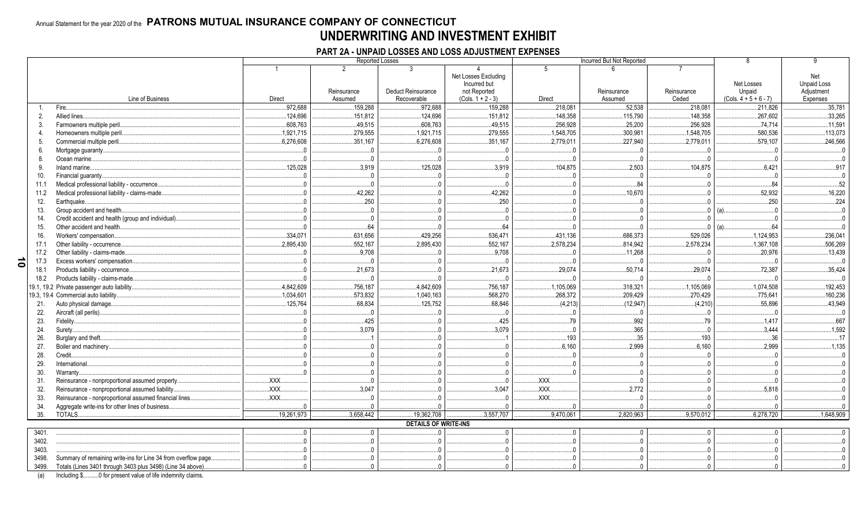### Annual Statement for the year 2020 of the PATRONS MUTUAL INSURANCE COMPANY OF CONNECTICUT UNDERWRITING AND INVESTMENT EXHIBIT

### PART 2A - UNPAID LOSSES AND LOSS ADJUSTMENT EXPENSES

|           |                |                                                                  |                                                             |             | Reported Losses             |                      |                | Incurred But Not Reported |                |                         |                    |
|-----------|----------------|------------------------------------------------------------------|-------------------------------------------------------------|-------------|-----------------------------|----------------------|----------------|---------------------------|----------------|-------------------------|--------------------|
|           |                |                                                                  |                                                             |             | 3                           |                      | 5              |                           |                |                         |                    |
|           |                |                                                                  |                                                             |             |                             | Net Losses Excluding |                |                           |                |                         | Net                |
|           |                |                                                                  |                                                             |             |                             | Incurred but         |                |                           |                | Net Losses              | <b>Unpaid Loss</b> |
|           |                |                                                                  |                                                             | Reinsurance | Deduct Reinsurance          | not Reported         |                | Reinsurance               | Reinsurance    | Unpaid                  | Adiustment         |
|           |                | Line of Business                                                 | Direct                                                      | Assumed     | Recoverable                 | $(Cols. 1 + 2 - 3)$  | Direct         | Assumed                   | Ceded          | $(Cols. 4 + 5 + 6 - 7)$ | Expenses           |
|           | $\mathbf{1}$ . | Fire                                                             | .972,688                                                    | .159,288    | .972,688                    | .159,288             | .218,081       | 52,538                    | .218,081       | .211,826                | .35,781            |
|           | 2.             | Allied lines.                                                    | 124,696                                                     | 151,812     | .124,696                    | .151,812             | .148,358       | .115,790                  | 148,358        | .267,602                | 33,265             |
|           | 3.             | Farmowners multiple peril.                                       | 608,763                                                     | .49,515     | .608,763                    | .49,515              | .256,928       | .25,200                   | 256,928        | 74,714                  | 11,591             |
|           | 4              | Homeowners multiple peril.                                       | 1,921,715                                                   | .279,555    | 1,921,715                   | .279,555             | .1,548,705     | .300,981                  | .1,548,705     | .580,536                | 113,073            |
|           | 5.             | Commercial multiple peril.                                       | .6,276,608                                                  | .351,167    | .6,276,608                  | .351,167             | 2,779,011      | .227,940                  | 2,779,011      | .579.107                | 246,566            |
|           | 6.             | Mortgage quaranty                                                |                                                             |             | $\Omega$                    | $\Omega$             |                | $\overline{0}$            | $\bigcap$      |                         |                    |
|           | 8.             | Ocean marine                                                     |                                                             |             | $\Omega$                    | $\Omega$             |                | $\overline{0}$            | - 0            |                         |                    |
|           | 9.             | Inland marine                                                    | .125,028                                                    | .3,919      | .125,028                    | .3,919               | .104,875       | .2,503                    | 104,875        | .6,421                  | 917                |
|           | 10.            | Financial guaranty                                               |                                                             |             | $\cap$                      | $\cap$               |                | $\sqrt{ }$                | $\sqrt{ }$     |                         |                    |
|           | 11.1           | Medical professional liability - occurrence.                     |                                                             | $\Omega$    | $\Omega$                    | $\Omega$             | $\sqrt{ }$     | .84                       | $\Omega$       | .84                     | 52                 |
|           | 11.2           | Medical professional liability - claims-made                     |                                                             | .42,262     |                             | 42,262               |                | .10,670                   | $\Omega$       | .52,932                 | .16,220            |
|           | 12.            | Earthquake                                                       |                                                             | .250        |                             | 250                  |                | $\Omega$                  |                | 250                     | .224               |
|           | 13.            | Group accident and health                                        |                                                             | $\Omega$    |                             | $\Omega$             |                | $\Omega$                  | $\Omega$       | (a)                     |                    |
|           | 14.            | Credit accident and health (group and individual).               |                                                             | $\Omega$    |                             | $\Omega$             |                | $\cap$                    |                |                         |                    |
|           | 15.            | Other accident and health.                                       |                                                             | .64         |                             | .64                  |                |                           | $\Omega$       | 64                      |                    |
|           | 16.            | Workers' compensation                                            | .334,071                                                    | .631,656    | .429,256                    | .536,471             | .431,136       | .686,373                  | .529,026       | 1,124,953               | .236,041           |
|           | 17.1           | Other liability - occurrence                                     | 2,895,430                                                   | .552,167    | 2,895,430                   | .552,167             | 2,578,234      | .814,942                  | 2,578,234      | 1,367,108               | .506,269           |
|           | 17.2           | Other liability - claims-made                                    |                                                             | .9.708      | $\Omega$                    | 9,708                | - 0            | .11,268                   | $\overline{0}$ | 20.976                  | 13,439             |
| $\vec{0}$ | 17.3           | Excess workers' compensation.                                    |                                                             | $\cdot$ 0   | $\Omega$                    | 0                    | $\overline{0}$ | $\ldots 0$                | 0              | $\overline{0}$          | $\bigcap$          |
|           | 18.1           | Products liability - occurrence.                                 |                                                             | .21,673     | $\Omega$                    | .21,673              | .29,074        | .50,714                   | 29,074         | 72,387                  | .35,424            |
|           | 18.2           | Products liability - claims-made.                                |                                                             | $\Omega$    | $\Omega$                    | $0 \ldots$           | $\Omega$       | $\overline{0}$            | 0              | $\Omega$                | $\sqrt{ }$         |
|           |                | 19.1, 19.2 Private passenger auto liability.                     | .4,842,609                                                  | .756,187    | 4,842,609                   | 756,187              | .1,105,069     | .318,321                  | 1,105,069      | 1,074,508               | .192,453           |
|           |                | 19.3, 19.4 Commercial auto liability                             | 1,034,601                                                   | .573,832    | 1,040,163                   | .568,270             | .268,372       | .209,429                  | .270,429       | .775,641                | .160,236           |
|           | 21.            | Auto physical damage                                             | 125.764                                                     | .68,834     | .125,752                    | .68,846              | (4,213)        | (12,947)                  | (4,210)        | .55.896                 | .43,949            |
|           | 22.            | Aircraft (all perils)                                            |                                                             | $\Omega$    | $\Omega$                    | $0 \ldots$           | $\Omega$       | $\cdot$ .0                | $\overline{0}$ |                         |                    |
|           | 23.            | Fidelity                                                         |                                                             | .425        |                             | .425                 | .79            | .992                      | .79            | .1,417                  | 667                |
|           | 24.            | Surety.                                                          |                                                             | .3,079      |                             | .3,079               | $\cap$         | .365                      | $\Omega$       | 3.444                   | .1,592             |
|           | 26.            | Burglary and theft                                               |                                                             |             |                             |                      | .193           | .35                       | .193           | .36                     | 17                 |
|           | 27.            | Boiler and machinery                                             |                                                             |             |                             |                      | .6,160         | .2,999                    | .6,160         | .2,999                  | .1.135             |
|           | 28.            | Credit                                                           |                                                             |             |                             | $\Omega$             |                | $\overline{0}$            | $\Omega$       |                         |                    |
|           |                | International.                                                   |                                                             |             |                             |                      |                | $\Omega$                  | $\cap$         |                         |                    |
|           | 29.            | Warranty.                                                        |                                                             |             |                             |                      |                | $\sqrt{ }$                | $\cap$         |                         |                    |
|           | 30.            | Reinsurance - nonproportional assumed property.                  | XXX.                                                        |             |                             |                      | .XXX.          |                           | $\sqrt{ }$     |                         |                    |
|           | 31.            |                                                                  | .XXX.                                                       | .3.047      | $\Omega$                    | .3,047               | XXX.           | .2.772                    | $\overline{0}$ | .5,818                  |                    |
|           | 32.            | Reinsurance - nonproportional assumed liability                  | $\overline{X}$ $\overline{X}$ $\overline{X}$ $\overline{X}$ | $\Omega$    | $\Omega$                    | $\cap$               | <b>XXX</b>     |                           |                |                         |                    |
|           | 33.            | Reinsurance - nonproportional assumed financial lines            |                                                             |             |                             |                      |                |                           |                |                         |                    |
|           | 34.            | Aggregate write-ins for other lines of business                  |                                                             |             |                             |                      |                |                           |                |                         |                    |
|           | 35.            | TOTALS.                                                          | .19,261,973                                                 | .3,658,442  | 19,362,708                  | .3,557,707           | .9,470,061     | .2,820,963                | .9,570,012     | .6,278,720              | 1,648,909          |
|           |                |                                                                  |                                                             |             | <b>DETAILS OF WRITE-INS</b> |                      |                |                           |                |                         |                    |
|           | 3401.          |                                                                  | $\Omega$                                                    | $\Omega$    | $\Omega$                    | $\Omega$             | $\Omega$       | 0                         | $\overline{0}$ | $\Omega$                |                    |
|           | 3402.          |                                                                  |                                                             |             |                             |                      |                |                           |                |                         |                    |
|           | 3403.          |                                                                  |                                                             |             |                             |                      |                |                           |                |                         |                    |
|           | 3498.          | Summary of remaining write-ins for Line 34 from overflow page.   |                                                             |             |                             |                      |                |                           |                |                         |                    |
|           |                | 3499. Totals (Lines 3401 through 3403 plus 3498) (Line 34 above) |                                                             |             |                             |                      |                |                           |                |                         |                    |

(a) Including \$..........0 for present value of life indemnity claims.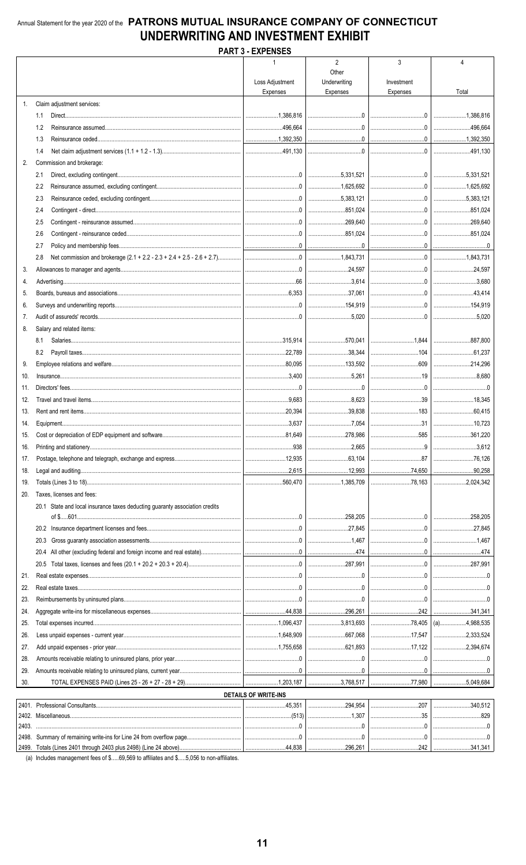### Annual Statement for the year 2020 of the PATRONS MUTUAL INSURANCE COMPANY OF CONNECTICUT UNDERWRITING AND INVESTMENT EXHIBIT **PART 3 - EXPENSES**

|       |                                                                             | LAI LIVULU                     |                                         |                                                                                                                                                                                           |         |
|-------|-----------------------------------------------------------------------------|--------------------------------|-----------------------------------------|-------------------------------------------------------------------------------------------------------------------------------------------------------------------------------------------|---------|
|       |                                                                             | $\mathbf 1$<br>Loss Adjustment | $\overline{2}$<br>Other<br>Underwriting | 3<br>Investment                                                                                                                                                                           | 4       |
|       |                                                                             | Expenses                       | Expenses                                | Expenses                                                                                                                                                                                  | Total   |
| 1.    | Claim adjustment services:                                                  |                                |                                         |                                                                                                                                                                                           |         |
|       | 1.1                                                                         | 1.386.816                      |                                         |                                                                                                                                                                                           |         |
|       | 1.2<br>1.3                                                                  |                                | 0                                       |                                                                                                                                                                                           | 496,664 |
|       | 1.4                                                                         |                                |                                         |                                                                                                                                                                                           |         |
| 2.    | Commission and brokerage:                                                   |                                |                                         |                                                                                                                                                                                           |         |
|       | 2.1                                                                         |                                | 5.331.521                               |                                                                                                                                                                                           |         |
|       | 2.2                                                                         |                                |                                         |                                                                                                                                                                                           |         |
|       | 2.3                                                                         |                                |                                         |                                                                                                                                                                                           |         |
|       | 2.4                                                                         |                                | 851.024                                 |                                                                                                                                                                                           |         |
|       | 2.5                                                                         |                                | 269,640                                 |                                                                                                                                                                                           |         |
|       | 2.6                                                                         |                                | 851,024                                 |                                                                                                                                                                                           |         |
|       | 2.7                                                                         |                                |                                         |                                                                                                                                                                                           |         |
|       | 2.8                                                                         |                                |                                         |                                                                                                                                                                                           |         |
| 3.    |                                                                             |                                |                                         |                                                                                                                                                                                           |         |
| 4.    |                                                                             |                                | 3.614                                   |                                                                                                                                                                                           |         |
| 5.    |                                                                             |                                | $\ldots$ 37.061                         |                                                                                                                                                                                           |         |
| 6.    |                                                                             |                                |                                         |                                                                                                                                                                                           |         |
| 7.    |                                                                             |                                |                                         |                                                                                                                                                                                           |         |
| 8.    | Salary and related items:                                                   |                                |                                         |                                                                                                                                                                                           |         |
|       | 8.1                                                                         |                                | 570,041                                 |                                                                                                                                                                                           |         |
|       | 8.2                                                                         |                                | 38,344                                  |                                                                                                                                                                                           |         |
| 9.    |                                                                             |                                |                                         |                                                                                                                                                                                           | 214,296 |
| 10.   |                                                                             |                                | 5.261                                   |                                                                                                                                                                                           |         |
| 11.   |                                                                             |                                |                                         |                                                                                                                                                                                           |         |
| 12.   |                                                                             |                                |                                         |                                                                                                                                                                                           |         |
| 13.   |                                                                             |                                | 39,838                                  |                                                                                                                                                                                           |         |
| 14.   |                                                                             |                                | 7,054                                   |                                                                                                                                                                                           |         |
| 15.   |                                                                             |                                | 278,986                                 |                                                                                                                                                                                           |         |
| 16.   |                                                                             |                                |                                         |                                                                                                                                                                                           |         |
| 17.   |                                                                             |                                |                                         |                                                                                                                                                                                           |         |
| 18.   |                                                                             |                                |                                         |                                                                                                                                                                                           |         |
| 19.   |                                                                             |                                |                                         |                                                                                                                                                                                           |         |
| 20.   | Taxes, licenses and fees:                                                   |                                |                                         |                                                                                                                                                                                           |         |
|       | 20.1 State and local insurance taxes deducting guaranty association credits |                                |                                         |                                                                                                                                                                                           |         |
|       |                                                                             |                                |                                         |                                                                                                                                                                                           |         |
|       | 20.3                                                                        |                                |                                         | $\begin{array}{c c c c c c} \hline \end{array}$                                                                                                                                           |         |
|       | 20.4                                                                        |                                |                                         |                                                                                                                                                                                           |         |
|       | 20.5                                                                        |                                |                                         |                                                                                                                                                                                           |         |
| 21.   |                                                                             |                                |                                         |                                                                                                                                                                                           |         |
| 22.   |                                                                             |                                |                                         |                                                                                                                                                                                           |         |
| 23.   |                                                                             |                                |                                         |                                                                                                                                                                                           |         |
| 24.   |                                                                             |                                |                                         |                                                                                                                                                                                           |         |
| 25.   |                                                                             |                                | 3,813,693                               |                                                                                                                                                                                           |         |
| 26.   |                                                                             |                                | 667,068                                 |                                                                                                                                                                                           |         |
| 27.   |                                                                             |                                | 621,893                                 |                                                                                                                                                                                           |         |
| 28.   |                                                                             |                                |                                         |                                                                                                                                                                                           |         |
| 29.   |                                                                             |                                |                                         |                                                                                                                                                                                           |         |
| 30.   |                                                                             |                                |                                         |                                                                                                                                                                                           |         |
|       |                                                                             | <b>DETAILS OF WRITE-INS</b>    |                                         |                                                                                                                                                                                           |         |
| 2401. |                                                                             |                                |                                         | $\ldots \ldots \ldots \ldots \ldots \ldots \ldots 294,954 \mid \ldots \ldots \ldots \ldots \ldots \ldots \ldots \ldots 207 \mid \ldots \ldots \ldots \ldots \ldots \ldots \ldots 340,512$ |         |
| 2403. |                                                                             |                                |                                         |                                                                                                                                                                                           |         |
|       |                                                                             |                                |                                         |                                                                                                                                                                                           |         |
|       |                                                                             |                                |                                         |                                                                                                                                                                                           |         |

(a) Includes management fees of \$.....69,569 to affiliates and \$.....5,056 to non-affiliates.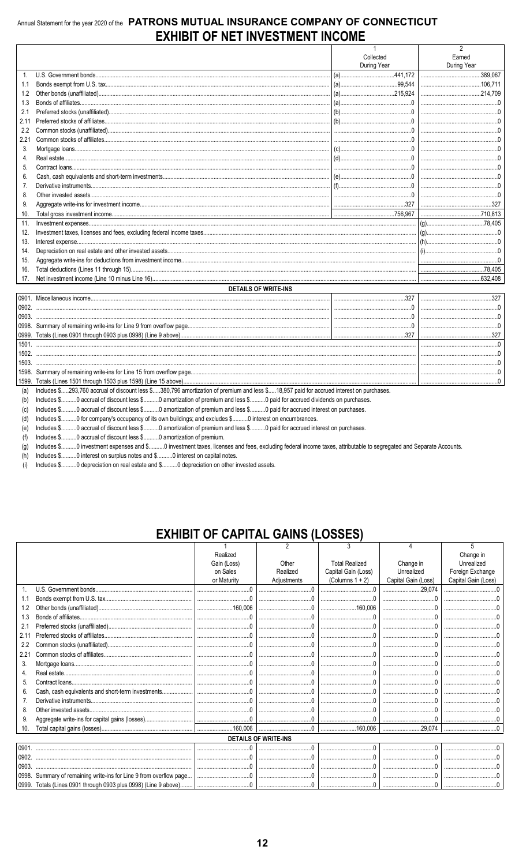### Annual Statement for the year 2020 of the PATRONS MUTUAL INSURANCE COMPANY OF CONNECTICUT **EXHIBIT OF NET INVESTMENT INCOME**

|                |                                                                                                                                         | $\mathbf{1}$                       | $\overline{2}$ |
|----------------|-----------------------------------------------------------------------------------------------------------------------------------------|------------------------------------|----------------|
|                |                                                                                                                                         | Collected                          | Earned         |
|                |                                                                                                                                         | During Year                        | During Year    |
| $\mathbf{1}$ . |                                                                                                                                         |                                    |                |
| 1.1            |                                                                                                                                         |                                    |                |
| 1.2            |                                                                                                                                         |                                    |                |
| 1.3            |                                                                                                                                         |                                    |                |
| 2.1            |                                                                                                                                         |                                    |                |
| 2.11           |                                                                                                                                         |                                    |                |
| 2.2            |                                                                                                                                         |                                    |                |
| 2.21           |                                                                                                                                         |                                    |                |
| 3.             |                                                                                                                                         |                                    |                |
| 4.             |                                                                                                                                         |                                    |                |
| 5.             |                                                                                                                                         |                                    |                |
| 6.             |                                                                                                                                         |                                    |                |
| 7.             |                                                                                                                                         |                                    |                |
| 8.             |                                                                                                                                         |                                    |                |
| 9.             |                                                                                                                                         |                                    |                |
| 10.            |                                                                                                                                         |                                    |                |
| 11.            | $Investment\noexpenses\n$                                                                                                               |                                    |                |
| 12.            |                                                                                                                                         |                                    |                |
| 13.            |                                                                                                                                         |                                    |                |
| 14.            |                                                                                                                                         |                                    |                |
| 15.            |                                                                                                                                         |                                    |                |
| 16.            |                                                                                                                                         |                                    |                |
| 17.            |                                                                                                                                         |                                    |                |
|                |                                                                                                                                         |                                    |                |
|                | <b>DETAILS OF WRITE-INS</b>                                                                                                             |                                    |                |
| 0902.          |                                                                                                                                         | $\begin{array}{c} 327 \end{array}$ |                |
|                |                                                                                                                                         |                                    |                |
| 0903.          |                                                                                                                                         |                                    |                |
|                |                                                                                                                                         |                                    |                |
|                |                                                                                                                                         |                                    |                |
|                |                                                                                                                                         |                                    |                |
|                |                                                                                                                                         |                                    |                |
| 1503.          |                                                                                                                                         |                                    |                |
|                |                                                                                                                                         |                                    |                |
|                |                                                                                                                                         |                                    |                |
| (a)            | Includes \$293,760 accrual of discount less \$380,796 amortization of premium and less \$18,957 paid for accrued interest on purchases. |                                    |                |
| (b)            | Includes \$0 accrual of discount less \$0 amortization of premium and less \$0 paid for accrued dividends on purchases.                 |                                    |                |
| (c)            | Includes \$0 accrual of discount less \$0 amortization of premium and less \$0 paid for accrued interest on purchases.                  |                                    |                |
| (d)            | Includes \$0 for company's occupancy of its own buildings; and excludes \$0 interest on encumbrances.                                   |                                    |                |
| (e)            | Includes \$0 accrual of discount less \$0 amortization of premium and less \$0 paid for accrued interest on purchases.                  |                                    |                |
| (f)            | Includes \$ 0 accrual of discount less \$ 0 amortization of premium                                                                     |                                    |                |

(g) Includes \$.......... 0 investment expenses and \$.......... 0 investment taxes, licenses and fees, excluding federal income taxes, attributable to segregated and Separate Accounts.

 $(h)$ Includes \$..........0 interest on surplus notes and \$..........0 interest on capital notes.

(i) Includes \$..........0 depreciation on real estate and \$..........0 depreciation on other invested assets.

## **EXHIBIT OF CAPITAL GAINS (LOSSES)**

|       |                                                                    |             | 2                           |                       |                     |                     |
|-------|--------------------------------------------------------------------|-------------|-----------------------------|-----------------------|---------------------|---------------------|
|       |                                                                    | Realized    |                             |                       |                     | Change in           |
|       |                                                                    | Gain (Loss) | Other                       | <b>Total Realized</b> | Change in           | Unrealized          |
|       |                                                                    | on Sales    | Realized                    | Capital Gain (Loss)   | Unrealized          | Foreign Exchange    |
|       |                                                                    | or Maturity | Adjustments                 | (Columns $1 + 2$ )    | Capital Gain (Loss) | Capital Gain (Loss) |
|       |                                                                    |             |                             |                       |                     |                     |
| 1.1   |                                                                    |             |                             |                       |                     |                     |
| 1.2   |                                                                    |             |                             | 160.006               |                     |                     |
| 1.3   |                                                                    |             |                             |                       |                     |                     |
| 2.1   |                                                                    |             |                             |                       |                     |                     |
| 2.1'  |                                                                    |             |                             |                       |                     |                     |
| 2.2   |                                                                    |             |                             |                       |                     |                     |
| 2.21  |                                                                    |             |                             |                       |                     |                     |
| 3.    |                                                                    |             |                             |                       |                     |                     |
| 4.    |                                                                    |             |                             |                       |                     |                     |
| 5.    |                                                                    |             |                             |                       |                     |                     |
| 6.    | Cash, cash equivalents and short-term investments                  |             |                             |                       |                     |                     |
|       |                                                                    |             |                             |                       |                     |                     |
| 8.    |                                                                    |             |                             |                       |                     |                     |
| 9.    |                                                                    |             |                             |                       |                     |                     |
| 10.   |                                                                    |             |                             |                       |                     |                     |
|       |                                                                    |             | <b>DETAILS OF WRITE-INS</b> |                       |                     |                     |
| 0901  |                                                                    |             |                             |                       |                     |                     |
| 0902. |                                                                    |             |                             |                       |                     |                     |
| 0903  |                                                                    |             |                             |                       |                     |                     |
|       | 0998. Summary of remaining write-ins for Line 9 from overflow page |             |                             |                       |                     |                     |
|       | 0999. Totals (Lines 0901 through 0903 plus 0998) (Line 9 above)    |             |                             |                       |                     |                     |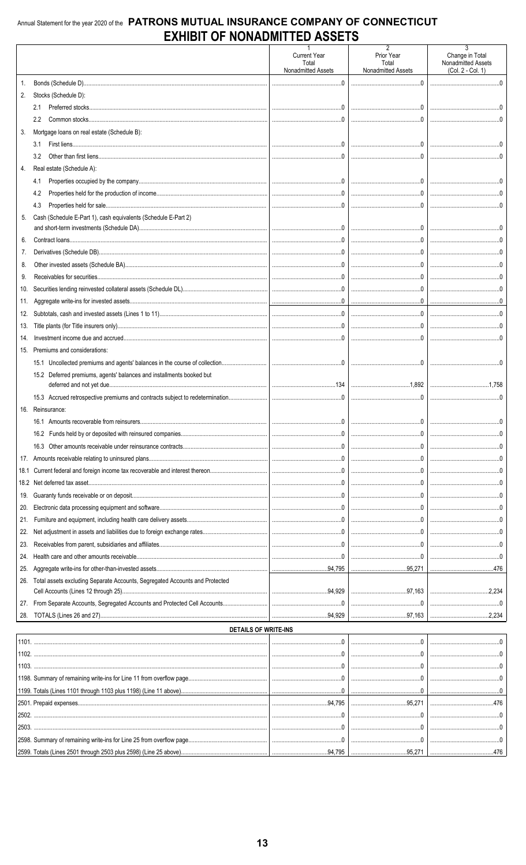### Annual Statement for the year 2020 of the PATRONS MUTUAL INSURANCE COMPANY OF CONNECTICUT **EXHIBIT OF NONADMITTED ASSETS**

|            |                                                                              | <b>Current Year</b><br>Total<br>Nonadmitted Assets | 2<br>Prior Year<br>Total<br>Nonadmitted Assets                                                                                                                                                                                                                                                                                                                                                                                                            | 3<br>Change in Total<br>Nonadmitted Assets<br>(Col. 2 - Col. 1) |
|------------|------------------------------------------------------------------------------|----------------------------------------------------|-----------------------------------------------------------------------------------------------------------------------------------------------------------------------------------------------------------------------------------------------------------------------------------------------------------------------------------------------------------------------------------------------------------------------------------------------------------|-----------------------------------------------------------------|
|            |                                                                              |                                                    |                                                                                                                                                                                                                                                                                                                                                                                                                                                           |                                                                 |
| 2.         | Stocks (Schedule D):                                                         |                                                    |                                                                                                                                                                                                                                                                                                                                                                                                                                                           |                                                                 |
|            | 2.1                                                                          |                                                    |                                                                                                                                                                                                                                                                                                                                                                                                                                                           |                                                                 |
|            | $2.2^{\circ}$                                                                |                                                    |                                                                                                                                                                                                                                                                                                                                                                                                                                                           |                                                                 |
| 3.         | Mortgage loans on real estate (Schedule B):                                  |                                                    |                                                                                                                                                                                                                                                                                                                                                                                                                                                           |                                                                 |
|            | 3.1                                                                          |                                                    | $\begin{array}{l} \rule{0.2cm}{0.15mm} \ldots \end{array} \qquad \begin{array}{l} \rule{0.2cm}{0.15mm} \ldots \end{array} \qquad \begin{array}{l} \rule{0.2cm}{0.15mm} \ldots \end{array} \qquad \begin{array}{l} \rule{0.2cm}{0.15mm} \ldots \end{array} \qquad \begin{array}{l} \rule{0.2cm}{0.15mm} \ldots \end{array} \qquad \begin{array}{l} \rule{0.2cm}{0.15mm} \ldots \end{array} \qquad \begin{array}{l} \rule{0.2cm}{0.15mm} \ldots \end{array$ |                                                                 |
|            | 3.2                                                                          |                                                    |                                                                                                                                                                                                                                                                                                                                                                                                                                                           |                                                                 |
| 4.         | Real estate (Schedule A):                                                    |                                                    |                                                                                                                                                                                                                                                                                                                                                                                                                                                           |                                                                 |
|            | 4.1                                                                          |                                                    |                                                                                                                                                                                                                                                                                                                                                                                                                                                           |                                                                 |
|            | 4.2                                                                          |                                                    |                                                                                                                                                                                                                                                                                                                                                                                                                                                           |                                                                 |
|            | 4.3                                                                          |                                                    |                                                                                                                                                                                                                                                                                                                                                                                                                                                           |                                                                 |
| 5.         | Cash (Schedule E-Part 1), cash equivalents (Schedule E-Part 2)               |                                                    |                                                                                                                                                                                                                                                                                                                                                                                                                                                           |                                                                 |
|            |                                                                              |                                                    |                                                                                                                                                                                                                                                                                                                                                                                                                                                           |                                                                 |
| 6.         |                                                                              |                                                    | $\begin{bmatrix} 0 & 0 & 0 & 0 \\ 0 & 0 & 0 & 0 \\ 0 & 0 & 0 & 0 \\ 0 & 0 & 0 & 0 \\ 0 & 0 & 0 & 0 \\ 0 & 0 & 0 & 0 \\ 0 & 0 & 0 & 0 \\ 0 & 0 & 0 & 0 \\ 0 & 0 & 0 & 0 \\ 0 & 0 & 0 & 0 \\ 0 & 0 & 0 & 0 & 0 \\ 0 & 0 & 0 & 0 & 0 \\ 0 & 0 & 0 & 0 & 0 \\ 0 & 0 & 0 & 0 & 0 & 0 \\ 0 & 0 & 0 & 0 & 0 & 0 \\ 0 & 0 & 0 & 0 & $                                                                                                                             |                                                                 |
| 7.         |                                                                              |                                                    |                                                                                                                                                                                                                                                                                                                                                                                                                                                           | $\sim$ 0                                                        |
| 8.         |                                                                              |                                                    |                                                                                                                                                                                                                                                                                                                                                                                                                                                           |                                                                 |
| 9.         |                                                                              |                                                    |                                                                                                                                                                                                                                                                                                                                                                                                                                                           |                                                                 |
| 10.        |                                                                              |                                                    |                                                                                                                                                                                                                                                                                                                                                                                                                                                           |                                                                 |
| 11.        |                                                                              |                                                    |                                                                                                                                                                                                                                                                                                                                                                                                                                                           |                                                                 |
| 12.        |                                                                              |                                                    | $\begin{array}{l} \rule{0.2cm}{0.15mm} \rule{0.2cm}{0.15mm} \rule{0.2cm}{0.15mm} \rule{0.2cm}{0.15mm} \rule{0.2cm}{0.15mm} \rule{0.2cm}{0.15mm} \rule{0.2cm}{0.15mm} \rule{0.2cm}{0.15mm} \rule{0.2cm}{0.15mm} \rule{0.2cm}{0.15mm} \rule{0.2cm}{0.15mm} \rule{0.2cm}{0.15mm} \rule{0.2cm}{0.15mm} \rule{0.2cm}{0.15mm} \rule{0.2cm}{0.15mm} \rule{$                                                                                                      |                                                                 |
| 13.<br>14. |                                                                              |                                                    |                                                                                                                                                                                                                                                                                                                                                                                                                                                           |                                                                 |
| 15.        | Premiums and considerations:                                                 |                                                    |                                                                                                                                                                                                                                                                                                                                                                                                                                                           |                                                                 |
|            | 15.1 Uncollected premiums and agents' balances in the course of collection   |                                                    |                                                                                                                                                                                                                                                                                                                                                                                                                                                           |                                                                 |
|            | 15.2 Deferred premiums, agents' balances and installments booked but         |                                                    |                                                                                                                                                                                                                                                                                                                                                                                                                                                           |                                                                 |
|            |                                                                              |                                                    |                                                                                                                                                                                                                                                                                                                                                                                                                                                           |                                                                 |
|            | 15.3 Accrued retrospective premiums and contracts subject to redetermination |                                                    |                                                                                                                                                                                                                                                                                                                                                                                                                                                           |                                                                 |
|            | 16. Reinsurance:                                                             |                                                    |                                                                                                                                                                                                                                                                                                                                                                                                                                                           |                                                                 |
|            |                                                                              |                                                    |                                                                                                                                                                                                                                                                                                                                                                                                                                                           |                                                                 |
|            |                                                                              |                                                    |                                                                                                                                                                                                                                                                                                                                                                                                                                                           |                                                                 |
|            |                                                                              |                                                    |                                                                                                                                                                                                                                                                                                                                                                                                                                                           |                                                                 |
|            |                                                                              |                                                    |                                                                                                                                                                                                                                                                                                                                                                                                                                                           |                                                                 |
|            |                                                                              |                                                    |                                                                                                                                                                                                                                                                                                                                                                                                                                                           |                                                                 |
|            |                                                                              |                                                    |                                                                                                                                                                                                                                                                                                                                                                                                                                                           |                                                                 |
|            |                                                                              |                                                    |                                                                                                                                                                                                                                                                                                                                                                                                                                                           | $\overline{0}$                                                  |
| 20.        |                                                                              |                                                    |                                                                                                                                                                                                                                                                                                                                                                                                                                                           |                                                                 |
| 21.        |                                                                              |                                                    |                                                                                                                                                                                                                                                                                                                                                                                                                                                           |                                                                 |
| 22.        |                                                                              |                                                    |                                                                                                                                                                                                                                                                                                                                                                                                                                                           |                                                                 |
| 23.        |                                                                              |                                                    |                                                                                                                                                                                                                                                                                                                                                                                                                                                           |                                                                 |
| 24.        |                                                                              |                                                    |                                                                                                                                                                                                                                                                                                                                                                                                                                                           |                                                                 |
| 25.        |                                                                              |                                                    |                                                                                                                                                                                                                                                                                                                                                                                                                                                           |                                                                 |
| 26.        | Total assets excluding Separate Accounts, Segregated Accounts and Protected  |                                                    |                                                                                                                                                                                                                                                                                                                                                                                                                                                           |                                                                 |
|            |                                                                              |                                                    |                                                                                                                                                                                                                                                                                                                                                                                                                                                           |                                                                 |
| 27.        |                                                                              |                                                    |                                                                                                                                                                                                                                                                                                                                                                                                                                                           |                                                                 |
|            |                                                                              |                                                    |                                                                                                                                                                                                                                                                                                                                                                                                                                                           |                                                                 |
|            | <b>DETAILS OF WRITE-INS</b>                                                  |                                                    |                                                                                                                                                                                                                                                                                                                                                                                                                                                           |                                                                 |
|            |                                                                              |                                                    |                                                                                                                                                                                                                                                                                                                                                                                                                                                           |                                                                 |
|            |                                                                              |                                                    |                                                                                                                                                                                                                                                                                                                                                                                                                                                           |                                                                 |
|            |                                                                              |                                                    |                                                                                                                                                                                                                                                                                                                                                                                                                                                           |                                                                 |
|            |                                                                              |                                                    |                                                                                                                                                                                                                                                                                                                                                                                                                                                           |                                                                 |
|            |                                                                              |                                                    |                                                                                                                                                                                                                                                                                                                                                                                                                                                           |                                                                 |
|            |                                                                              |                                                    |                                                                                                                                                                                                                                                                                                                                                                                                                                                           |                                                                 |
|            |                                                                              |                                                    |                                                                                                                                                                                                                                                                                                                                                                                                                                                           |                                                                 |
| 2503.      |                                                                              |                                                    |                                                                                                                                                                                                                                                                                                                                                                                                                                                           |                                                                 |
|            |                                                                              |                                                    |                                                                                                                                                                                                                                                                                                                                                                                                                                                           |                                                                 |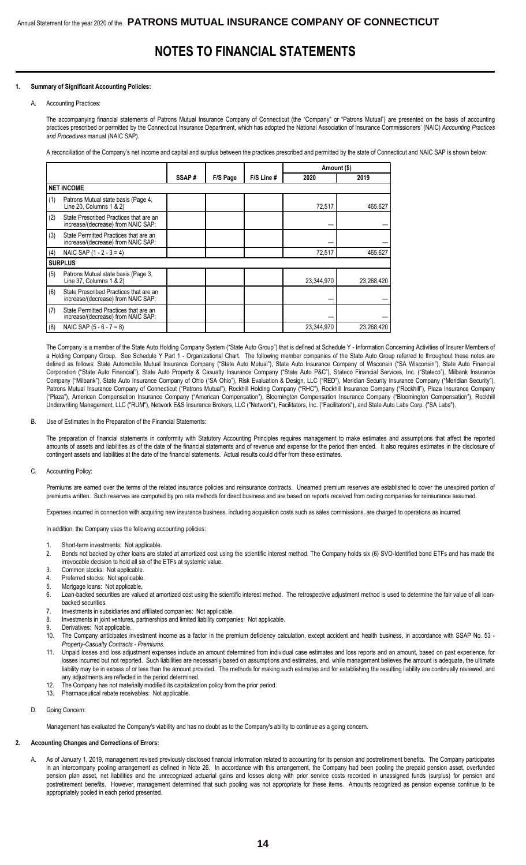### **NOTES TO FINANCIAL STATEMENTS**

#### **1. Summary of Significant Accounting Policies:**

#### A. Accounting Practices:

The accompanying financial statements of Patrons Mutual Insurance Company of Connecticut (the "Company" or "Patrons Mutual") are presented on the basis of accounting practices prescribed or permitted by the Connecticut Insurance Department, which has adopted the National Association of Insurance Commissioners' (NAIC) *Accounting Practices and Procedures* manual (NAIC SAP).

A reconciliation of the Company's net income and capital and surplus between the practices prescribed and permitted by the state of Connecticut and NAIC SAP is shown below:

|     |                                                                              |       |          |            | Amount (\$) |            |
|-----|------------------------------------------------------------------------------|-------|----------|------------|-------------|------------|
|     |                                                                              | SSAP# | F/S Page | F/S Line # | 2020        | 2019       |
|     | <b>NET INCOME</b>                                                            |       |          |            |             |            |
| (1) | Patrons Mutual state basis (Page 4,<br>Line 20, Columns 1 & 2)               |       |          |            | 72,517      | 465,627    |
| (2) | State Prescribed Practices that are an<br>increase/(decrease) from NAIC SAP: |       |          |            |             |            |
| (3) | State Permitted Practices that are an<br>increase/(decrease) from NAIC SAP:  |       |          |            |             |            |
| (4) | NAIC SAP $(1 - 2 - 3 = 4)$                                                   |       |          |            | 72,517      | 465,627    |
|     | <b>SURPLUS</b>                                                               |       |          |            |             |            |
| (5) | Patrons Mutual state basis (Page 3,<br>Line 37, Columns 1 & 2)               |       |          |            | 23,344,970  | 23,268,420 |
| (6) | State Prescribed Practices that are an<br>increase/(decrease) from NAIC SAP: |       |          |            |             |            |
| (7) | State Permitted Practices that are an<br>increase/(decrease) from NAIC SAP:  |       |          |            |             |            |
| (8) | NAIC SAP $(5 - 6 - 7 = 8)$                                                   |       |          |            | 23,344,970  | 23,268,420 |

The Company is a member of the State Auto Holding Company System ("State Auto Group") that is defined at Schedule Y - Information Concerning Activities of Insurer Members of a Holding Company Group. See Schedule Y Part 1 - Organizational Chart. The following member companies of the State Auto Group referred to throughout these notes are defined as follows: State Automobile Mutual Insurance Company ("State Auto Mutual"), State Auto Insurance Company of Wisconsin ("SA Wisconsin"), State Auto Financial Corporation ("State Auto Financial"), State Auto Property & Casualty Insurance Company ("State Auto P&C"), Stateco Financial Services, Inc. ("Stateco"), Milbank Insurance Company ("Milbank"), State Auto Insurance Company of Ohio ("SA Ohio"), Risk Evaluation & Design, LLC ("RED"), Meridian Security Insurance Company ("Meridian Security"), Patrons Mutual Insurance Company of Connecticut ("Patrons Mutual"), Rockhill Holding Company ("RHC"), Rockhill Insurance Company ("Rockhill"), Plaza Insurance Company ("Plaza"), American Compensation Insurance Company ("American Compensation"), Bloomington Compensation Insurance Company ("Bloomington Compensation"), Rockhill Underwriting Management, LLC ("RUM"), Network E&S Insurance Brokers, LLC ("Network"), Facilitators, Inc. ("Facilitators"), and State Auto Labs Corp. ("SA Labs").

#### B. Use of Estimates in the Preparation of the Financial Statements:

The preparation of financial statements in conformity with Statutory Accounting Principles requires management to make estimates and assumptions that affect the reported amounts of assets and liabilities as of the date of the financial statements and of revenue and expense for the period then ended. It also requires estimates in the disclosure of contingent assets and liabilities at the date of the financial statements. Actual results could differ from these estimates.

#### C. Accounting Policy:

Premiums are earned over the terms of the related insurance policies and reinsurance contracts. Unearned premium reserves are established to cover the unexpired portion of premiums written. Such reserves are computed by pro rata methods for direct business and are based on reports received from ceding companies for reinsurance assumed.

Expenses incurred in connection with acquiring new insurance business, including acquisition costs such as sales commissions, are charged to operations as incurred.

In addition, the Company uses the following accounting policies:

- Short-term investments: Not applicable.
- 2. Bonds not backed by other loans are stated at amortized cost using the scientific interest method. The Company holds six (6) SVO-Identified bond ETFs and has made the irrevocable decision to hold all six of the ETFs at systemic value.
- 3. Common stocks: Not applicable.
- 4. Preferred stocks: Not applicable.
- 5. Mortgage loans: Not applicable.
- 6. Loan-backed securities are valued at amortized cost using the scientific interest method. The retrospective adjustment method is used to determine the fair value of all loanbacked securities.
- 7. Investments in subsidiaries and affiliated companies: Not applicable.
- 8. Investments in joint ventures, partnerships and limited liability companies: Not applicable.
- 9. Derivatives: Not applicable.
- 10. The Company anticipates investment income as a factor in the premium deficiency calculation, except accident and health business, in accordance with SSAP No. 53  *Property-Casualty Contracts - Premiums*.
- 11. Unpaid losses and loss adjustment expenses include an amount determined from individual case estimates and loss reports and an amount, based on past experience, for losses incurred but not reported. Such liabilities are necessarily based on assumptions and estimates, and, while management believes the amount is adequate, the ultimate liability may be in excess of or less than the amount provided. The methods for making such estimates and for establishing the resulting liability are continually reviewed, and any adjustments are reflected in the period determined.
- 12. The Company has not materially modified its capitalization policy from the prior period.
- 13. Pharmaceutical rebate receivables: Not applicable.
- D. Going Concern:

Management has evaluated the Company's viability and has no doubt as to the Company's ability to continue as a going concern.

#### **2. Accounting Changes and Corrections of Errors:**

A. As of January 1, 2019, management revised previously disclosed financial information related to accounting for its pension and postretirement benefits. The Company participates in an intercompany pooling arrangement as defined in Note 26. In accordance with this arrangement, the Company had been pooling the prepaid pension asset, overfunded pension plan asset, net liabilities and the unrecognized actuarial gains and losses along with prior service costs recorded in unassigned funds (surplus) for pension and postretirement benefits. However, management determined that such pooling was not appropriate for these items. Amounts recognized as pension expense continue to be appropriately pooled in each period presented.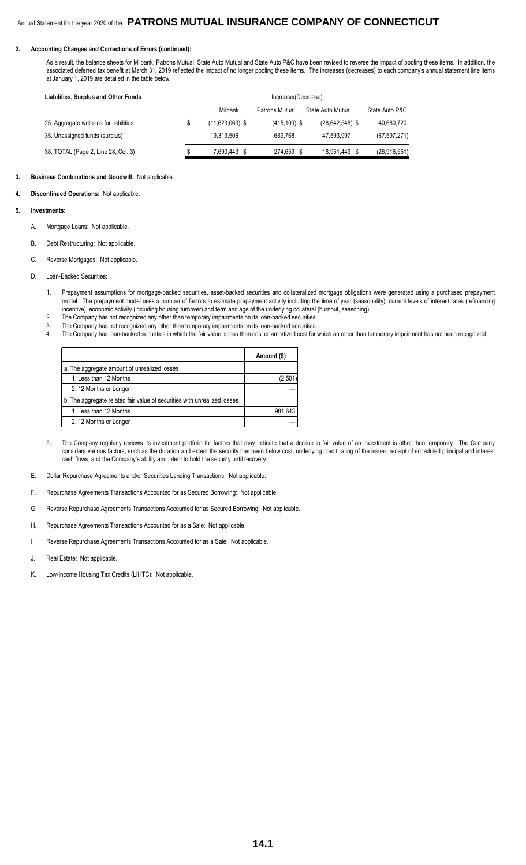#### **2. Accounting Changes and Corrections of Errors (continued):**

 As a result, the balance sheets for Milbank, Patrons Mutual, State Auto Mutual and State Auto P&C have been revised to reverse the impact of pooling these items. In addition, the associated deferred tax benefit at March 31, 2019 reflected the impact of no longer pooling these items. The increases (decreases) to each company's annual statement line items at January 1, 2019 are detailed in the table below.

| Liabilities, Surplus and Other Funds    | Increase/(Decrease) |                 |                     |                |  |  |
|-----------------------------------------|---------------------|-----------------|---------------------|----------------|--|--|
|                                         | Milbank             | Patrons Mutual  | State Auto Mutual   | State Auto P&C |  |  |
| 25. Aggregate write-ins for liabilities | $(11,623,063)$ \$   | $(415, 109)$ \$ | $(28, 642, 548)$ \$ | 40,680,720     |  |  |
| 35. Unassigned funds (surplus)          | 19.313.506          | 689.768         | 47.593.997          | (67, 597, 271) |  |  |
| 38. TOTAL (Page 2, Line 28, Col. 3)     | 7,690,443 \$        | 274,659 \$      | 18,951,449 \$       | (26, 916, 551) |  |  |

#### **3. Business Combinations and Goodwill:** Not applicable.

**4. Discontinued Operations:** Not applicable.

#### **5. Investments:**

- A. Mortgage Loans: Not applicable.
- B. Debt Restructuring: Not applicable.
- C. Reverse Mortgages: Not applicable.
- D. Loan-Backed Securities:
	- 1. Prepayment assumptions for mortgage-backed securities, asset-backed securities and collateralized mortgage obligations were generated using a purchased prepayment model. The prepayment model uses a number of factors to estimate prepayment activity including the time of year (seasonality), current levels of interest rates (refinancing incentive), economic activity (including housing turnover) and term and age of the underlying collateral (burnout, seasoning).
	- 2. The Company has not recognized any other than temporary impairments on its loan-backed securities.
	- 3. The Company has not recognized any other than temporary impairments on its loan-backed securities.<br>4. The Company has loan-backed securities in which the fair value is less than cost or amortized cost for
	- The Company has loan-backed securities in which the fair value is less than cost or amortized cost for which an other than temporary impairment has not been recognized.

|                                                                          | Amount (\$) |
|--------------------------------------------------------------------------|-------------|
| a. The aggregate amount of unrealized losses                             |             |
| 1. Less than 12 Months                                                   | (2,501)     |
| 2. 12 Months or Longer                                                   |             |
| b. The aggregate related fair value of securities with unrealized losses |             |
| 1. Less than 12 Months                                                   | 981.643     |
| 2. 12 Months or Longer                                                   |             |

- 5. The Company regularly reviews its investment portfolio for factors that may indicate that a decline in fair value of an investment is other than temporary. The Company considers various factors, such as the duration and extent the security has been below cost, underlying credit rating of the issuer, receipt of scheduled principal and interest cash flows, and the Company's ability and intent to hold the security until recovery.
- E. Dollar Repurchase Agreements and/or Securities Lending Transactions: Not applicable.
- F. Repurchase Agreements Transactions Accounted for as Secured Borrowing: Not applicable.
- G. Reverse Repurchase Agreements Transactions Accounted for as Secured Borrowing: Not applicable.
- H. Repurchase Agreements Transactions Accounted for as a Sale: Not applicable.
- I. Reverse Repurchase Agreements Transactions Accounted for as a Sale: Not applicable.
- J. Real Estate: Not applicable.
- K. Low-Income Housing Tax Credits (LIHTC): Not applicable.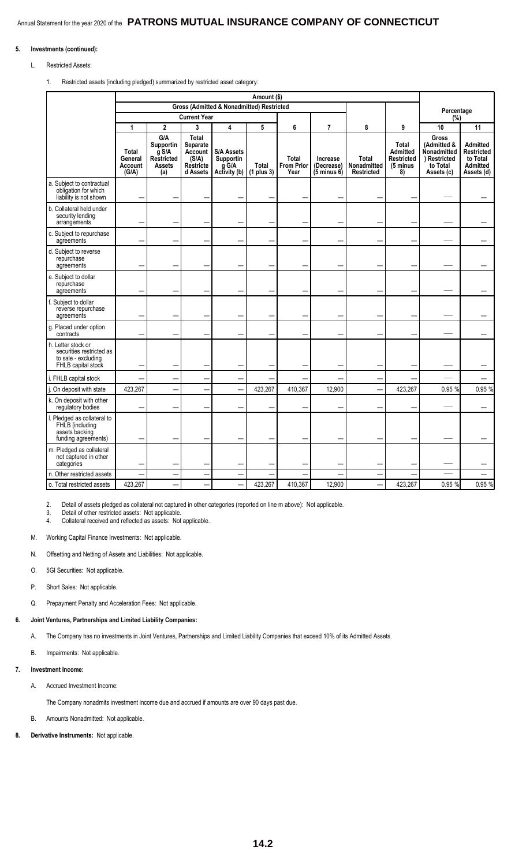#### **5. Investments (continued):**

#### L. Restricted Assets:

1. Restricted assets (including pledged) summarized by restricted asset category:

|                                                                                             |                                      |                                                                   |                                                                              |                                                         | Amount (\$)                  |                                           |                                                  |                                                  |                                                          |                                                                                      |                                                                     |
|---------------------------------------------------------------------------------------------|--------------------------------------|-------------------------------------------------------------------|------------------------------------------------------------------------------|---------------------------------------------------------|------------------------------|-------------------------------------------|--------------------------------------------------|--------------------------------------------------|----------------------------------------------------------|--------------------------------------------------------------------------------------|---------------------------------------------------------------------|
|                                                                                             |                                      |                                                                   |                                                                              | Gross (Admitted & Nonadmitted) Restricted               |                              |                                           |                                                  |                                                  |                                                          | Percentage                                                                           |                                                                     |
|                                                                                             |                                      |                                                                   | <b>Current Year</b>                                                          |                                                         |                              |                                           |                                                  |                                                  |                                                          | (%)                                                                                  |                                                                     |
|                                                                                             | 1                                    | $\mathbf 2$                                                       | 3                                                                            | 4                                                       | 5                            | 6                                         | 7                                                | 8                                                | 9                                                        | 10                                                                                   | 11                                                                  |
|                                                                                             | Total<br>General<br>Account<br>(G/A) | G/A<br>Supportin<br>$g$ S/A<br>Restricted<br><b>Assets</b><br>(a) | Total<br><b>Separate</b><br>Account<br>(S/A)<br><b>Restricte</b><br>d Assets | <b>S/A Assets</b><br>Supportin<br>g G/A<br>Activity (b) | <b>Total</b><br>$(1$ plus 3) | <b>Total</b><br><b>From Prior</b><br>Year | Increase<br>(Decrease)<br>$(5 \text{ minus } 6)$ | <b>Total</b><br>Nonadmitted<br><b>Restricted</b> | Total<br>Admitted<br><b>Restricted</b><br>(5 minus<br>8) | <b>Gross</b><br>(Admitted &<br>Nonadmitted<br>) Restricted<br>to Total<br>Assets (c) | Admitted<br>Restricted<br>to Total<br><b>Admitted</b><br>Assets (d) |
| a. Subject to contractual<br>obligation for which<br>liability is not shown                 |                                      |                                                                   |                                                                              |                                                         |                              |                                           |                                                  |                                                  |                                                          |                                                                                      |                                                                     |
| b. Collateral held under<br>security lending<br>arrangements                                |                                      |                                                                   |                                                                              |                                                         |                              |                                           |                                                  |                                                  |                                                          |                                                                                      |                                                                     |
| c. Subject to repurchase<br>agreements                                                      |                                      |                                                                   |                                                                              |                                                         |                              |                                           |                                                  |                                                  |                                                          |                                                                                      |                                                                     |
| d. Subject to reverse<br>repurchase<br>agreements                                           |                                      |                                                                   |                                                                              |                                                         |                              |                                           |                                                  |                                                  |                                                          |                                                                                      |                                                                     |
| e. Subject to dollar<br>repurchase<br>agreements                                            |                                      |                                                                   |                                                                              |                                                         |                              |                                           |                                                  |                                                  |                                                          |                                                                                      |                                                                     |
| f. Subject to dollar<br>reverse repurchase<br>agreements                                    |                                      |                                                                   |                                                                              |                                                         |                              |                                           |                                                  |                                                  |                                                          |                                                                                      |                                                                     |
| g. Placed under option<br>contracts                                                         |                                      |                                                                   |                                                                              |                                                         |                              |                                           |                                                  |                                                  |                                                          |                                                                                      |                                                                     |
| h. Letter stock or<br>securities restricted as<br>to sale - excluding<br>FHLB capital stock |                                      |                                                                   |                                                                              |                                                         |                              |                                           |                                                  |                                                  |                                                          |                                                                                      |                                                                     |
| i. FHLB capital stock                                                                       |                                      |                                                                   |                                                                              |                                                         |                              |                                           |                                                  |                                                  |                                                          |                                                                                      |                                                                     |
| On deposit with state                                                                       | 423,267                              |                                                                   |                                                                              |                                                         | 423,267                      | 410,367                                   | 12,900                                           |                                                  | 423,267                                                  | 0.95 %                                                                               | 0.95 %                                                              |
| k. On deposit with other<br>regulatory bodies                                               |                                      |                                                                   |                                                                              |                                                         |                              |                                           |                                                  |                                                  |                                                          |                                                                                      |                                                                     |
| I. Pledged as collateral to<br>FHLB (including<br>assets backing<br>funding agreements)     |                                      |                                                                   |                                                                              |                                                         |                              |                                           |                                                  |                                                  |                                                          |                                                                                      |                                                                     |
| m. Pledged as collateral<br>not captured in other<br>categories                             |                                      |                                                                   |                                                                              |                                                         |                              |                                           |                                                  |                                                  |                                                          |                                                                                      |                                                                     |
| n. Other restricted assets                                                                  |                                      |                                                                   |                                                                              |                                                         |                              |                                           |                                                  |                                                  |                                                          |                                                                                      |                                                                     |
| o. Total restricted assets                                                                  | 423,267                              |                                                                   |                                                                              |                                                         | 423,267                      | 410.367                                   | 12,900                                           |                                                  | 423,267                                                  | 0.95 %                                                                               | 0.95 %                                                              |

2. Detail of assets pledged as collateral not captured in other categories (reported on line m above): Not applicable.

3. Detail of other restricted assets: Not applicable.

4. Collateral received and reflected as assets: Not applicable.

M. Working Capital Finance Investments: Not applicable.

- N. Offsetting and Netting of Assets and Liabilities: Not applicable.
- O. 5GI Securities: Not applicable.
- P. Short Sales: Not applicable.
- Q. Prepayment Penalty and Acceleration Fees: Not applicable.

#### **6. Joint Ventures, Partnerships and Limited Liability Companies:**

- A. The Company has no investments in Joint Ventures, Partnerships and Limited Liability Companies that exceed 10% of its Admitted Assets.
- B. Impairments: Not applicable.
- **7. Investment Income:**
	- A. Accrued Investment Income:

The Company nonadmits investment income due and accrued if amounts are over 90 days past due.

B. Amounts Nonadmitted: Not applicable.

**8. Derivative Instruments:** Not applicable.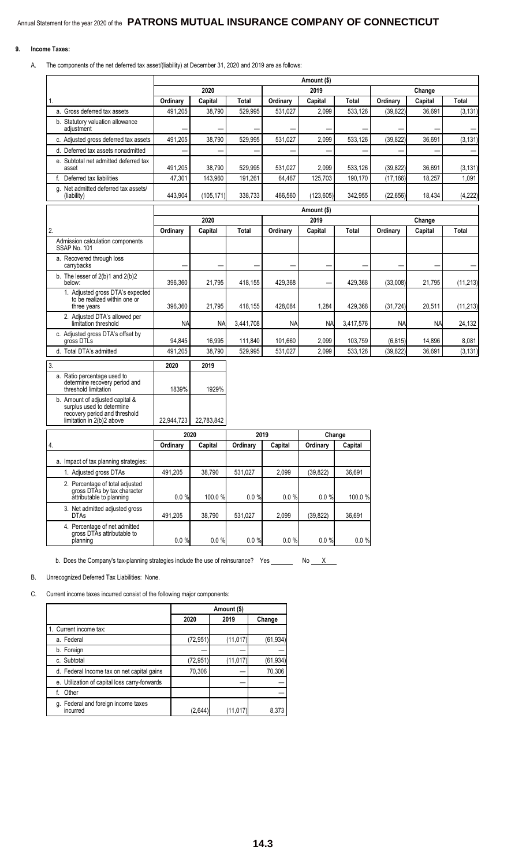#### **9. Income Taxes:**

A. The components of the net deferred tax asset/(liability) at December 31, 2020 and 2019 are as follows:

|                                                                                                                            |            |            |           |           | Amount (\$) |              |           |           |           |
|----------------------------------------------------------------------------------------------------------------------------|------------|------------|-----------|-----------|-------------|--------------|-----------|-----------|-----------|
|                                                                                                                            |            | 2020       |           |           | 2019        |              |           | Change    |           |
| 1.                                                                                                                         | Ordinary   | Capital    | Total     | Ordinary  | Capital     | <b>Total</b> | Ordinary  | Capital   | Total     |
| a. Gross deferred tax assets                                                                                               | 491,205    | 38,790     | 529,995   | 531,027   | 2,099       | 533,126      | (39, 822) | 36,691    | (3, 131)  |
| b. Statutory valuation allowance<br>adjustment                                                                             |            |            |           |           |             |              |           |           |           |
| c. Adjusted gross deferred tax assets                                                                                      | 491,205    | 38,790     | 529,995   | 531,027   | 2,099       | 533,126      | (39, 822) | 36,691    | (3, 131)  |
| d. Deferred tax assets nonadmitted                                                                                         |            |            |           |           |             |              |           |           |           |
| e. Subtotal net admitted deferred tax<br>asset                                                                             | 491,205    | 38,790     | 529,995   | 531,027   | 2,099       | 533,126      | (39, 822) | 36,691    | (3, 131)  |
| Deferred tax liabilities<br>f.                                                                                             | 47,301     | 143,960    | 191,261   | 64,467    | 125,703     | 190.170      | (17, 166) | 18,257    | 1,091     |
| Net admitted deferred tax assets/<br>q.<br>(liability)                                                                     | 443,904    | (105, 171) | 338,733   | 466,560   | (123, 605)  | 342,955      | (22, 656) | 18,434    | (4,222)   |
|                                                                                                                            |            |            |           |           | Amount (\$) |              |           |           |           |
|                                                                                                                            |            | 2020       |           |           | 2019        |              |           | Change    |           |
| 2.                                                                                                                         | Ordinary   | Capital    | Total     | Ordinary  | Capital     | <b>Total</b> | Ordinary  | Capital   | Total     |
| Admission calculation components<br>SSAP No. 101                                                                           |            |            |           |           |             |              |           |           |           |
| a. Recovered through loss<br>carrybacks                                                                                    |            |            |           |           |             |              |           |           |           |
| b. The lesser of $2(b)1$ and $2(b)2$<br>below:                                                                             | 396,360    | 21,795     | 418,155   | 429,368   |             | 429.368      | (33,008)  | 21,795    | (11, 213) |
| 1. Adjusted gross DTA's expected<br>to be realized within one or<br>three years                                            | 396,360    | 21,795     | 418,155   | 428,084   | 1,284       | 429,368      | (31, 724) | 20,511    | (11, 213) |
| 2. Adjusted DTA's allowed per<br>limitation threshold                                                                      | <b>NA</b>  | <b>NA</b>  | 3,441,708 | <b>NA</b> | <b>NA</b>   | 3,417,576    | <b>NA</b> | <b>NA</b> | 24,132    |
| c. Adjusted gross DTA's offset by<br>gross DTLs                                                                            | 94,845     | 16,995     | 111,840   | 101,660   | 2,099       | 103,759      | (6, 815)  | 14,896    | 8,081     |
| d. Total DTA's admitted                                                                                                    | 491,205    | 38,790     | 529,995   | 531,027   | 2,099       | 533,126      | (39, 822) | 36,691    | (3, 131)  |
| 3.                                                                                                                         | 2020       | 2019       |           |           |             |              |           |           |           |
| a. Ratio percentage used to<br>determine recovery period and<br>threshold limitation                                       | 1839%      | 1929%      |           |           |             |              |           |           |           |
| b. Amount of adjusted capital &<br>surplus used to determine<br>recovery period and threshold<br>limitation in 2(b)2 above | 22,944,723 | 22,783,842 |           |           |             |              |           |           |           |
|                                                                                                                            |            |            |           |           |             |              |           |           |           |
|                                                                                                                            | 2020       |            | 2019      |           | Change      |              |           |           |           |
| 4.                                                                                                                         | Ordinary   | Capital    | Ordinary  | Capital   | Ordinary    | Capital      |           |           |           |
| a. Impact of tax planning strategies:                                                                                      |            |            |           |           |             |              |           |           |           |
| 1. Adjusted gross DTAs                                                                                                     | 491,205    | 38,790     | 531,027   | 2,099     | (39, 822)   | 36,691       |           |           |           |
| 2. Percentage of total adjusted<br>gross DTAs by tax character<br>attributable to planning                                 | 0.0 %      | 100.0 %    | 0.0 %     | $0.0 \%$  | 0.0%        | 100.0 %      |           |           |           |
| 3. Net admitted adjusted gross<br><b>DTAs</b>                                                                              | 491,205    | 38,790     | 531,027   | 2,099     | (39, 822)   | 36,691       |           |           |           |
| 4. Percentage of net admitted<br>gross DTAs attributable to<br>planning                                                    | 0.0 %      | 0.0%       | 0.0 %     | 0.0%      | 0.0 %       | 0.0 %        |           |           |           |

b. Does the Company's tax-planning strategies include the use of reinsurance? Yes \_\_\_\_\_\_\_\_ No \_\_\_ X

B. Unrecognized Deferred Tax Liabilities: None.

C. Current income taxes incurred consist of the following major components:

|                                                    |           | Amount (\$) |           |
|----------------------------------------------------|-----------|-------------|-----------|
|                                                    | 2020      | 2019        | Change    |
| 1. Current income tax:                             |           |             |           |
| a. Federal                                         | (72, 951) | (11, 017)   | (61, 934) |
| b. Foreign                                         |           |             |           |
| c. Subtotal                                        | (72,951   | (11, 017)   | (61, 934) |
| d. Federal Income tax on net capital gains         | 70,306    |             | 70,306    |
| e. Utilization of capital loss carry-forwards      |           |             |           |
| Other<br>f.                                        |           |             |           |
| Federal and foreign income taxes<br>q.<br>incurred | (2,644    | (11.017     | 8.373     |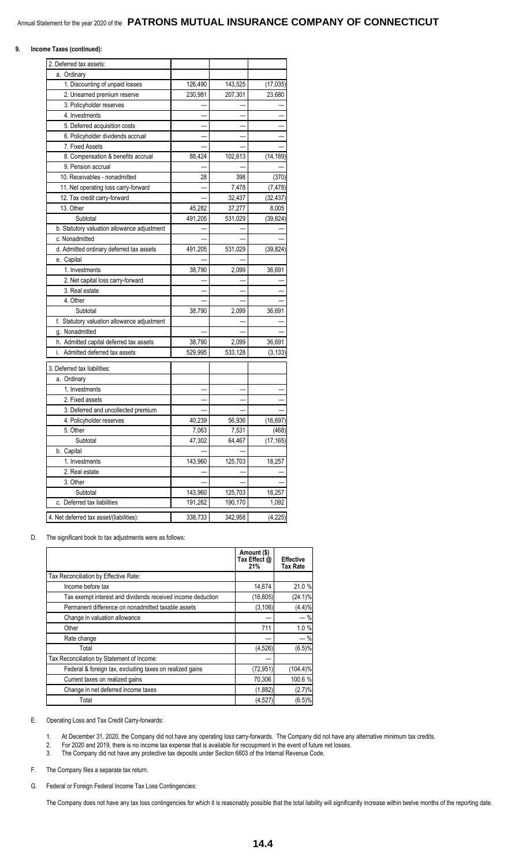#### **9. Income Taxes (continued):**

| 2. Deferred tax assets:                     |         |         |           |
|---------------------------------------------|---------|---------|-----------|
| a. Ordinary                                 |         |         |           |
| 1. Discounting of unpaid losses             | 126,490 | 143,525 | (17, 035) |
| 2. Unearned premium reserve                 | 230,981 | 207,301 | 23,680    |
| 3. Policyholder reserves                    |         |         |           |
| 4. Investments                              |         |         |           |
| 5. Deferred acquisition costs               |         |         |           |
| 6. Policyholder dividends accrual           |         |         |           |
| 7. Fixed Assets                             |         |         |           |
| 8. Compensation & benefits accrual          | 88,424  | 102,613 | (14, 189) |
| 9. Pension accrual                          |         |         |           |
| 10. Receivables - nonadmitted               | 28      | 398     | (370)     |
| 11. Net operating loss carry-forward        |         | 7,478   | (7, 478)  |
| 12. Tax credit carry-forward                |         | 32,437  | (32, 437) |
| 13. Other                                   | 45,282  | 37,277  | 8,005     |
| Subtotal                                    | 491,205 | 531,029 | (39, 824) |
| b. Statutory valuation allowance adjustment |         |         |           |
| c. Nonadmitted                              |         |         |           |
| d. Admitted ordinary deferred tax assets    | 491,205 | 531,029 | (39, 824) |
| e. Capital                                  |         |         |           |
| 1. Investments                              | 38,790  | 2,099   | 36,691    |
| 2. Net capital loss carry-forward           |         |         |           |
| 3. Real estate                              |         |         |           |
| 4. Other                                    |         |         |           |
| Subtotal                                    | 38,790  | 2,099   | 36,691    |
| f. Statutory valuation allowance adjustment |         |         |           |
| g. Nonadmitted                              |         |         |           |
| h. Admitted capital deferred tax assets     | 38,790  | 2,099   | 36,691    |
| Admitted deferred tax assets<br>i.          | 529,995 | 533,128 | (3, 133)  |
| 3. Deferred tax liabilities:                |         |         |           |
|                                             |         |         |           |
| a. Ordinary<br>1. Investments               |         |         |           |
| 2. Fixed assets                             |         |         |           |
| 3. Deferred and uncollected premium         |         |         |           |
|                                             | 40,239  | 56,936  | (16, 697) |
| 4. Policyholder reserves<br>5. Other        | 7,063   | 7,531   | (468)     |
| Subtotal                                    | 47,302  | 64,467  | (17, 165) |
| b. Capital                                  |         |         |           |
| 1. Investments                              | 143,960 | 125,703 | 18,257    |
| 2. Real estate                              |         |         |           |
| 3. Other                                    |         |         |           |
| Subtotal                                    | 143,960 | 125,703 | 18,257    |
| c. Deferred tax liabilities                 | 191,262 | 190,170 | 1,092     |
|                                             |         |         |           |
| 4. Net deferred tax asset/(liabilities):    | 338,733 | 342,958 | (4, 225)  |

D. The significant book to tax adjustments were as follows:

|                                                             | Amount (\$)<br>Tax Effect @<br>21% | <b>Effective</b><br>Tax Rate |
|-------------------------------------------------------------|------------------------------------|------------------------------|
| Tax Reconciliation by Effective Rate:                       |                                    |                              |
| Income before tax                                           | 14,674                             | 21.0 %                       |
| Tax exempt interest and dividends received income deduction | (16, 805)                          | $(24.1)\%$                   |
| Permanent difference on nonadmitted taxable assets          | (3, 106)                           | (4.4)%                       |
| Change in valuation allowance                               |                                    | $-$ %                        |
| Other                                                       | 711                                | 1.0%                         |
| Rate change                                                 |                                    | $-$ %                        |
| Total                                                       | (4, 526)                           | (6.5)%                       |
| Tax Reconciliation by Statement of Income:                  |                                    |                              |
| Federal & foreign tax, excluding taxes on realized gains    | (72, 951)                          | $(104.4)\%$                  |
| Current taxes on realized gains                             | 70,306                             | 100.6 %                      |
| Change in net deferred income taxes                         | (1,882)                            | (2.7)%                       |
| Total                                                       | (4, 527)                           | (6.5)%                       |

#### E. Operating Loss and Tax Credit Carry-forwards:

- 1. At December 31, 2020, the Company did not have any operating loss carry-forwards. The Company did not have any alternative minimum tax credits.
- 2. For 2020 and 2019, there is no income tax expense that is available for recoupment in the event of future net losses.
- 3. The Company did not have any protective tax deposits under Section 6603 of the Internal Revenue Code.

F. The Company files a separate tax return.

G. Federal or Foreign Federal Income Tax Loss Contingencies:

The Company does not have any tax loss contingencies for which it is reasonably possible that the total liability will significantly increase within twelve months of the reporting date.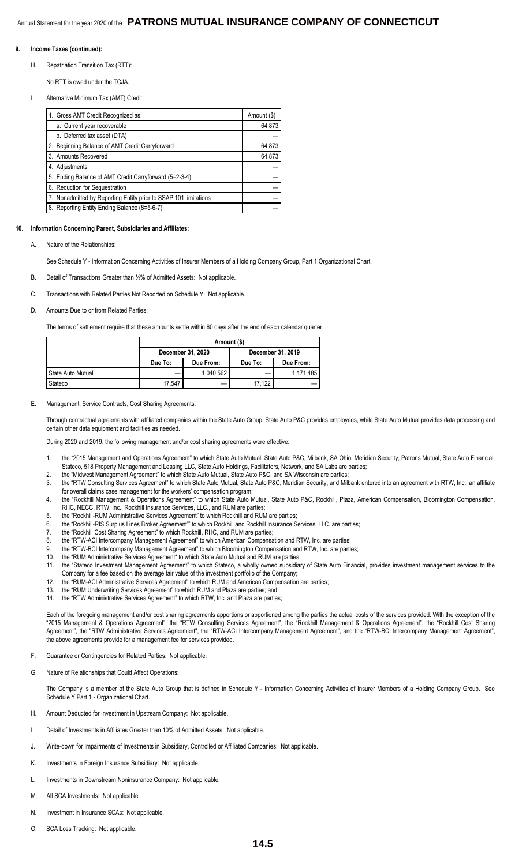#### **9. Income Taxes (continued):**

H. Repatriation Transition Tax (RTT):

No RTT is owed under the TCJA.

I. Alternative Minimum Tax (AMT) Credit:

| 1. Gross AMT Credit Recognized as:                               | Amount (\$) |
|------------------------------------------------------------------|-------------|
| a. Current year recoverable                                      | 64,873      |
| b. Deferred tax asset (DTA)                                      |             |
| 2. Beginning Balance of AMT Credit Carryforward                  | 64,873      |
| 3. Amounts Recovered                                             | 64,873      |
| 4. Adjustments                                                   |             |
| 5. Ending Balance of AMT Credit Carryforward (5=2-3-4)           |             |
| 6. Reduction for Sequestration                                   |             |
| 7. Nonadmitted by Reporting Entity prior to SSAP 101 limitations |             |
| 8. Reporting Entity Ending Balance (8=5-6-7)                     |             |

#### **10. Information Concerning Parent, Subsidiaries and Affiliates:**

Nature of the Relationships:

See Schedule Y - Information Concerning Activities of Insurer Members of a Holding Company Group, Part 1 Organizational Chart.

- B. Detail of Transactions Greater than ½% of Admitted Assets: Not applicable.
- C. Transactions with Related Parties Not Reported on Schedule Y: Not applicable.
- D. Amounts Due to or from Related Parties:

The terms of settlement require that these amounts settle within 60 days after the end of each calendar quarter.

|                   |                   | Amount (\$)       |         |           |  |  |  |
|-------------------|-------------------|-------------------|---------|-----------|--|--|--|
|                   | December 31, 2020 | December 31, 2019 |         |           |  |  |  |
|                   | Due To:           | Due From:         | Due To: | Due From: |  |  |  |
| State Auto Mutual |                   | 1.040.562         |         | 1.171.485 |  |  |  |
| Stateco           | 17.547            |                   | 17.122  |           |  |  |  |

#### E. Management, Service Contracts, Cost Sharing Agreements:

Through contractual agreements with affiliated companies within the State Auto Group, State Auto P&C provides employees, while State Auto Mutual provides data processing and certain other data equipment and facilities as needed.

During 2020 and 2019, the following management and/or cost sharing agreements were effective:

- 1. the "2015 Management and Operations Agreement" to which State Auto Mutual, State Auto P&C, Milbank, SA Ohio, Meridian Security, Patrons Mutual, State Auto Financial, Stateco, 518 Property Management and Leasing LLC, State Auto Holdings, Facilitators, Network, and SA Labs are parties;
- 2. the "Midwest Management Agreement" to which State Auto Mutual, State Auto P&C, and SA Wisconsin are parties;
- 3. the "RTW Consulting Services Agreement" to which State Auto Mutual, State Auto P&C, Meridian Security, and Milbank entered into an agreement with RTW, Inc., an affiliate for overall claims case management for the workers' compensation program;
- 4. the "Rockhill Management & Operations Agreement" to which State Auto Mutual, State Auto P&C, Rockhill, Plaza, American Compensation, Bloomington Compensation, RHC, NECC, RTW, Inc., Rockhill Insurance Services, LLC., and RUM are parties;
- 5. the "Rockhill-RUM Administrative Services Agreement" to which Rockhill and RUM are parties;
- 6. the "Rockhill-RIS Surplus Lines Broker Agreement'" to which Rockhill and Rockhill Insurance Services, LLC. are parties;
- 7. the "Rockhill Cost Sharing Agreement" to which Rockhill, RHC, and RUM are parties;
- 8. the "RTW-ACI Intercompany Management Agreement" to which American Compensation and RTW, Inc. are parties;
- 9. the "RTW-BCI Intercompany Management Agreement" to which Bloomington Compensation and RTW, Inc. are parties;
- 10. the "RUM Administrative Services Agreement" to which State Auto Mutual and RUM are parties; 11. the "Stateco Investment Management Agreement" to which Stateco, a wholly owned subsidiary of State Auto Financial, provides investment management services to the Company for a fee based on the average fair value of the investment portfolio of the Company;
- 12. the "RUM-ACI Administrative Services Agreement" to which RUM and American Compensation are parties;
- 13. the "RUM Underwriting Services Agreement" to which RUM and Plaza are parties; and
- 14. the "RTW Administrative Services Agreement" to which RTW, Inc. and Plaza are parties;

Each of the foregoing management and/or cost sharing agreements apportions or apportioned among the parties the actual costs of the services provided. With the exception of the "2015 Management & Operations Agreement", the "RTW Consulting Services Agreement", the "Rockhill Management & Operations Agreement", the "Rockhill Cost Sharing Agreement", the "RTW Administrative Services Agreement", the "RTW-ACI Intercompany Management Agreement", and the "RTW-BCI Intercompany Management Agreement", the above agreements provide for a management fee for services provided.

- F. Guarantee or Contingencies for Related Parties: Not applicable.
- G. Nature of Relationships that Could Affect Operations:

The Company is a member of the State Auto Group that is defined in Schedule Y - Information Concerning Activities of Insurer Members of a Holding Company Group. See Schedule Y Part 1 - Organizational Chart.

- H. Amount Deducted for Investment in Upstream Company: Not applicable.
- I. Detail of Investments in Affiliates Greater than 10% of Admitted Assets: Not applicable.
- J. Write-down for Impairments of Investments in Subsidiary, Controlled or Affiliated Companies: Not applicable.
- K. Investments in Foreign Insurance Subsidiary: Not applicable.
- L. Investments in Downstream Noninsurance Company: Not applicable.
- M. All SCA Investments: Not applicable.
- N. Investment in Insurance SCAs: Not applicable.
- O. SCA Loss Tracking: Not applicable.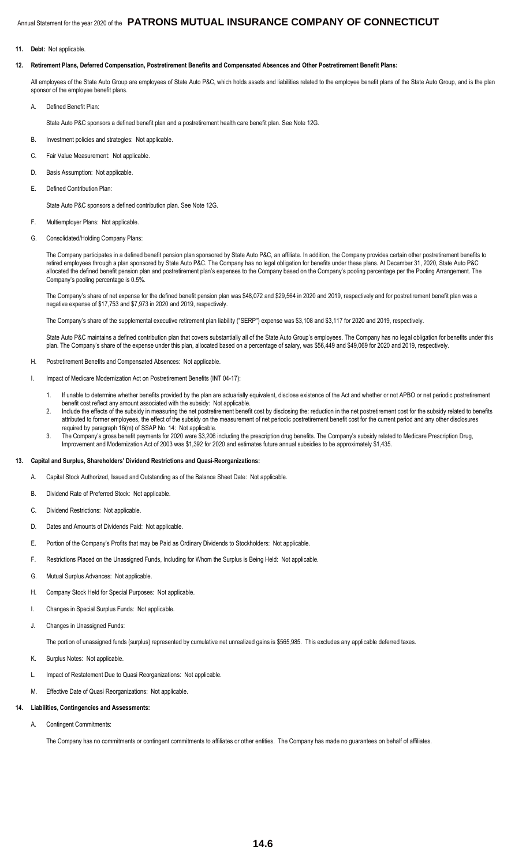**11. Debt:** Not applicable.

#### **12. Retirement Plans, Deferred Compensation, Postretirement Benefits and Compensated Absences and Other Postretirement Benefit Plans:**

All employees of the State Auto Group are employees of State Auto P&C, which holds assets and liabilities related to the employee benefit plans of the State Auto Group, and is the plan sponsor of the employee benefit plans.

- A. Defined Benefit Plan:
	- State Auto P&C sponsors a defined benefit plan and a postretirement health care benefit plan. See Note 12G.
- B. Investment policies and strategies: Not applicable.
- C. Fair Value Measurement: Not applicable.
- D. Basis Assumption: Not applicable.
- E. Defined Contribution Plan:

State Auto P&C sponsors a defined contribution plan. See Note 12G.

- F. Multiemployer Plans: Not applicable.
- G. Consolidated/Holding Company Plans:

The Company participates in a defined benefit pension plan sponsored by State Auto P&C, an affiliate. In addition, the Company provides certain other postretirement benefits to retired employees through a plan sponsored by State Auto P&C. The Company has no legal obligation for benefits under these plans. At December 31, 2020, State Auto P&C allocated the defined benefit pension plan and postretirement plan's expenses to the Company based on the Company's pooling percentage per the Pooling Arrangement. The Company's pooling percentage is 0.5%.

The Company's share of net expense for the defined benefit pension plan was \$48,072 and \$29,564 in 2020 and 2019, respectively and for postretirement benefit plan was a negative expense of \$17,753 and \$7,973 in 2020 and 2019, respectively.

The Company's share of the supplemental executive retirement plan liability ("SERP") expense was \$3,108 and \$3,117 for 2020 and 2019, respectively.

State Auto P&C maintains a defined contribution plan that covers substantially all of the State Auto Group's employees. The Company has no legal obligation for benefits under this plan. The Company's share of the expense under this plan, allocated based on a percentage of salary, was \$56,449 and \$49,069 for 2020 and 2019, respectively.

- H. Postretirement Benefits and Compensated Absences: Not applicable.
- I. Impact of Medicare Modernization Act on Postretirement Benefits (INT 04-17):
	- 1. If unable to determine whether benefits provided by the plan are actuarially equivalent, disclose existence of the Act and whether or not APBO or net periodic postretirement benefit cost reflect any amount associated with the subsidy: Not applicable.
	- 2. Include the effects of the subsidy in measuring the net postretirement benefit cost by disclosing the: reduction in the net postretirement cost for the subsidy related to benefits attributed to former employees, the effect of the subsidy on the measurement of net periodic postretirement benefit cost for the current period and any other disclosures required by paragraph 16(m) of SSAP No. 14: Not applicable.
	- 3. The Company's gross benefit payments for 2020 were \$3,206 including the prescription drug benefits. The Company's subsidy related to Medicare Prescription Drug, Improvement and Modernization Act of 2003 was \$1,392 for 2020 and estimates future annual subsidies to be approximately \$1,435.

#### **13. Capital and Surplus, Shareholders' Dividend Restrictions and Quasi-Reorganizations:**

- A. Capital Stock Authorized, Issued and Outstanding as of the Balance Sheet Date: Not applicable.
- B. Dividend Rate of Preferred Stock: Not applicable.
- C. Dividend Restrictions: Not applicable.
- D. Dates and Amounts of Dividends Paid: Not applicable.
- E. Portion of the Company's Profits that may be Paid as Ordinary Dividends to Stockholders: Not applicable.
- F. Restrictions Placed on the Unassigned Funds, Including for Whom the Surplus is Being Held: Not applicable.
- G. Mutual Surplus Advances: Not applicable.
- H. Company Stock Held for Special Purposes: Not applicable.
- I. Changes in Special Surplus Funds: Not applicable.
- J. Changes in Unassigned Funds:

The portion of unassigned funds (surplus) represented by cumulative net unrealized gains is \$565,985. This excludes any applicable deferred taxes.

- K. Surplus Notes: Not applicable.
- L. Impact of Restatement Due to Quasi Reorganizations: Not applicable.
- M. Effective Date of Quasi Reorganizations: Not applicable.

#### **14. Liabilities, Contingencies and Assessments:**

A. Contingent Commitments:

The Company has no commitments or contingent commitments to affiliates or other entities. The Company has made no guarantees on behalf of affiliates.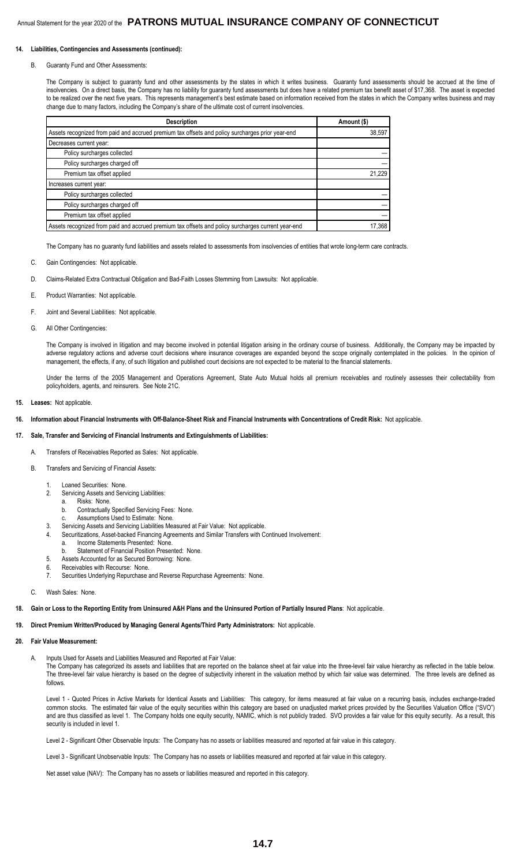#### **14. Liabilities, Contingencies and Assessments (continued):**

#### B. Guaranty Fund and Other Assessments:

The Company is subject to guaranty fund and other assessments by the states in which it writes business. Guaranty fund assessments should be accrued at the time of insolvencies. On a direct basis, the Company has no liability for guaranty fund assessments but does have a related premium tax benefit asset of \$17,368. The asset is expected to be realized over the next five years. This represents management's best estimate based on information received from the states in which the Company writes business and may change due to many factors, including the Company's share of the ultimate cost of current insolvencies.

| <b>Description</b>                                                                                 | Amount (\$) |
|----------------------------------------------------------------------------------------------------|-------------|
| Assets recognized from paid and accrued premium tax offsets and policy surcharges prior year-end   | 38,597      |
| Decreases current year:                                                                            |             |
| Policy surcharges collected                                                                        |             |
| Policy surcharges charged off                                                                      |             |
| Premium tax offset applied                                                                         | 21,229      |
| Increases current year:                                                                            |             |
| Policy surcharges collected                                                                        |             |
| Policy surcharges charged off                                                                      |             |
| Premium tax offset applied                                                                         |             |
| Assets recognized from paid and accrued premium tax offsets and policy surcharges current year-end | 17,368      |

The Company has no guaranty fund liabilities and assets related to assessments from insolvencies of entities that wrote long-term care contracts.

- C. Gain Contingencies: Not applicable.
- D. Claims-Related Extra Contractual Obligation and Bad-Faith Losses Stemming from Lawsuits: Not applicable.
- E. Product Warranties: Not applicable.
- F. Joint and Several Liabilities: Not applicable.
- G. All Other Contingencies:

The Company is involved in litigation and may become involved in potential litigation arising in the ordinary course of business. Additionally, the Company may be impacted by adverse regulatory actions and adverse court decisions where insurance coverages are expanded beyond the scope originally contemplated in the policies. In the opinion of management, the effects, if any, of such litigation and published court decisions are not expected to be material to the financial statements.

Under the terms of the 2005 Management and Operations Agreement, State Auto Mutual holds all premium receivables and routinely assesses their collectability from policyholders, agents, and reinsurers. See Note 21C.

- **15. Leases:** Not applicable.
- **16. Information about Financial Instruments with Off-Balance-Sheet Risk and Financial Instruments with Concentrations of Credit Risk:** Not applicable.

#### **17. Sale, Transfer and Servicing of Financial Instruments and Extinguishments of Liabilities:**

- A. Transfers of Receivables Reported as Sales: Not applicable.
- B. Transfers and Servicing of Financial Assets:
	- 1. Loaned Securities: None.<br>2. Servicing Assets and Serv
	- Servicing Assets and Servicing Liabilities:
		- a. Risks: None.
		- b. Contractually Specified Servicing Fees: None.
	- Assumptions Used to Estimate: None. 3. Servicing Assets and Servicing Liabilities Measured at Fair Value: Not applicable.
	- 4. Securitizations, Asset-backed Financing Agreements and Similar Transfers with Continued Involvement:
		- a. Income Statements Presented: None.
		- b. Statement of Financial Position Presented: None.
	- 5. Assets Accounted for as Secured Borrowing: None.
	- 6. Receivables with Recourse: None.
	- 7. Securities Underlying Repurchase and Reverse Repurchase Agreements: None.

#### C. Wash Sales: None.

**18. Gain or Loss to the Reporting Entity from Uninsured A&H Plans and the Uninsured Portion of Partially Insured Plans**: Not applicable.

#### **19. Direct Premium Written/Produced by Managing General Agents/Third Party Administrators:** Not applicable.

#### **20. Fair Value Measurement:**

A. Inputs Used for Assets and Liabilities Measured and Reported at Fair Value:

The Company has categorized its assets and liabilities that are reported on the balance sheet at fair value into the three-level fair value hierarchy as reflected in the table below. The three-level fair value hierarchy is based on the degree of subjectivity inherent in the valuation method by which fair value was determined. The three levels are defined as follows.

Level 1 - Quoted Prices in Active Markets for Identical Assets and Liabilities: This category, for items measured at fair value on a recurring basis, includes exchange-traded common stocks. The estimated fair value of the equity securities within this category are based on unadjusted market prices provided by the Securities Valuation Office ("SVO") and are thus classified as level 1. The Company holds one equity security, NAMIC, which is not publicly traded. SVO provides a fair value for this equity security. As a result, this security is included in level 1.

Level 2 - Significant Other Observable Inputs: The Company has no assets or liabilities measured and reported at fair value in this category.

Level 3 - Significant Unobservable Inputs: The Company has no assets or liabilities measured and reported at fair value in this category.

Net asset value (NAV): The Company has no assets or liabilities measured and reported in this category.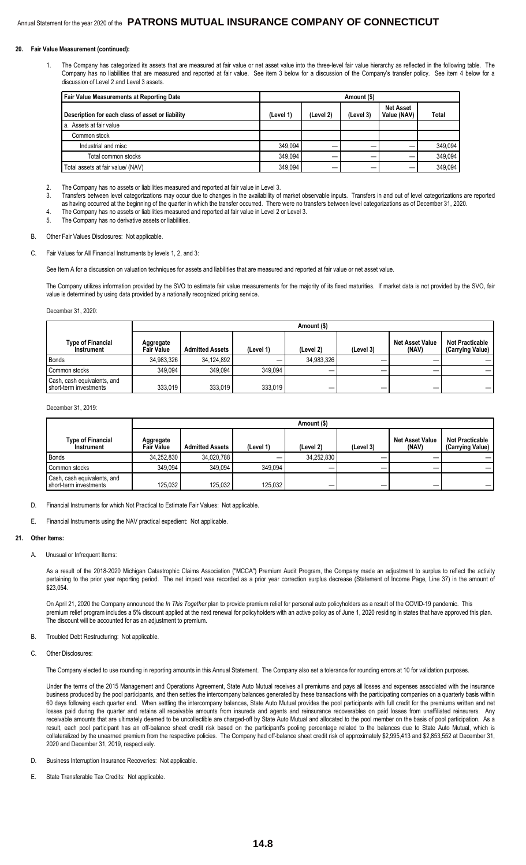#### **20. Fair Value Measurement (continued):**

1. The Company has categorized its assets that are measured at fair value or net asset value into the three-level fair value hierarchy as reflected in the following table. The Company has no liabilities that are measured and reported at fair value. See item 3 below for a discussion of the Company's transfer policy. See item 4 below for a discussion of Level 2 and Level 3 assets.

| Fair Value Measurements at Reporting Date        | Amount (\$) |           |           |                                 |              |
|--------------------------------------------------|-------------|-----------|-----------|---------------------------------|--------------|
| Description for each class of asset or liability | (Level 1)   | (Level 2) | (Level 3) | <b>Net Asset</b><br>Value (NAV) | <b>Total</b> |
| I a. Assets at fair value                        |             |           |           |                                 |              |
| Common stock                                     |             |           |           |                                 |              |
| Industrial and misc                              | 349.094     |           |           |                                 | 349.094      |
| Total common stocks                              | 349.094     |           |           |                                 | 349.094      |
| Total assets at fair value/ (NAV)                | 349.094     |           |           |                                 | 349.094      |

- 2. The Company has no assets or liabilities measured and reported at fair value in Level 3.
- 3. Transfers between level categorizations may occur due to changes in the availability of market observable inputs. Transfers in and out of level categorizations are reported as having occurred at the beginning of the quarter in which the transfer occurred. There were no transfers between level categorizations as of December 31, 2020. 4. The Company has no assets or liabilities measured and reported at fair value in Level 2 or Level 3.
- 5. The Company has no derivative assets or liabilities.
- B. Other Fair Values Disclosures: Not applicable.
- C. Fair Values for All Financial Instruments by levels 1, 2, and 3:

See Item A for a discussion on valuation techniques for assets and liabilities that are measured and reported at fair value or net asset value.

The Company utilizes information provided by the SVO to estimate fair value measurements for the majority of its fixed maturities. If market data is not provided by the SVO, fair value is determined by using data provided by a nationally recognized pricing service.

December 31, 2020:

|                                                       |                                | Amount (\$)            |           |            |           |                          |                                            |  |
|-------------------------------------------------------|--------------------------------|------------------------|-----------|------------|-----------|--------------------------|--------------------------------------------|--|
| Type of Financial<br><b>Instrument</b>                | Aggregate<br><b>Fair Value</b> | <b>Admitted Assets</b> | (Level 1) | (Level 2)  | (Level 3) | Net Asset Value<br>(NAV) | <b>Not Practicable</b><br>(Carrying Value) |  |
| Bonds                                                 | 34.983.326                     | 34.124.892             |           | 34,983,326 |           |                          |                                            |  |
| Common stocks                                         | 349.094                        | 349.094                | 349.094   |            |           |                          |                                            |  |
| Cash, cash equivalents, and<br>short-term investments | 333,019                        | 333.019                | 333.019   | –          |           |                          |                                            |  |

December 31, 2019

|                                                         |                                | Amount (\$)            |           |            |           |                                 |                                            |  |
|---------------------------------------------------------|--------------------------------|------------------------|-----------|------------|-----------|---------------------------------|--------------------------------------------|--|
| <b>Type of Financial</b><br>Instrument                  | Aggregate<br><b>Fair Value</b> | <b>Admitted Assets</b> | (Level 1) | (Level 2)  | (Level 3) | <b>Net Asset Value</b><br>(NAV) | <b>Not Practicable</b><br>(Carrying Value) |  |
| Bonds                                                   | 34.252.830                     | 34.020.788             |           | 34.252.830 |           |                                 |                                            |  |
| Common stocks                                           | 349.094                        | 349.094                | 349.094   |            |           |                                 |                                            |  |
| Cash, cash equivalents, and<br>l short-term investments | 125.032                        | 125.032                | 125,032   | _          | –         |                                 |                                            |  |

D. Financial Instruments for which Not Practical to Estimate Fair Values: Not applicable.

E. Financial Instruments using the NAV practical expedient: Not applicable.

#### **21. Other Items:**

A. Unusual or Infrequent Items:

As a result of the 2018-2020 Michigan Catastrophic Claims Association ("MCCA") Premium Audit Program, the Company made an adjustment to surplus to reflect the activity pertaining to the prior year reporting period. The net impact was recorded as a prior year correction surplus decrease (Statement of Income Page, Line 37) in the amount of \$23,054

On April 21, 2020 the Company announced the *In This Together* plan to provide premium relief for personal auto policyholders as a result of the COVID-19 pandemic. This premium relief program includes a 5% discount applied at the next renewal for policyholders with an active policy as of June 1, 2020 residing in states that have approved this plan. The discount will be accounted for as an adjustment to premium.

#### B. Troubled Debt Restructuring: Not applicable.

C. Other Disclosures:

The Company elected to use rounding in reporting amounts in this Annual Statement. The Company also set a tolerance for rounding errors at 10 for validation purposes.

Under the terms of the 2015 Management and Operations Agreement, State Auto Mutual receives all premiums and pays all losses and expenses associated with the insurance business produced by the pool participants, and then settles the intercompany balances generated by these transactions with the participating companies on a quarterly basis within 60 days following each quarter end. When settling the intercompany balances, State Auto Mutual provides the pool participants with full credit for the premiums written and net losses paid during the quarter and retains all receivable amounts from insureds and agents and reinsurance recoverables on paid losses from unaffiliated reinsurers. Any receivable amounts that are ultimately deemed to be uncollectible are charged-off by State Auto Mutual and allocated to the pool member on the basis of pool participation. As a result, each pool participant has an off-balance sheet credit risk based on the participant's pooling percentage related to the balances due to State Auto Mutual, which is collateralized by the unearned premium from the respective policies. The Company had off-balance sheet credit risk of approximately \$2,995,413 and \$2,853,552 at December 31, 2020 and December 31, 2019, respectively.

- D. Business Interruption Insurance Recoveries: Not applicable
- E. State Transferable Tax Credits: Not applicable.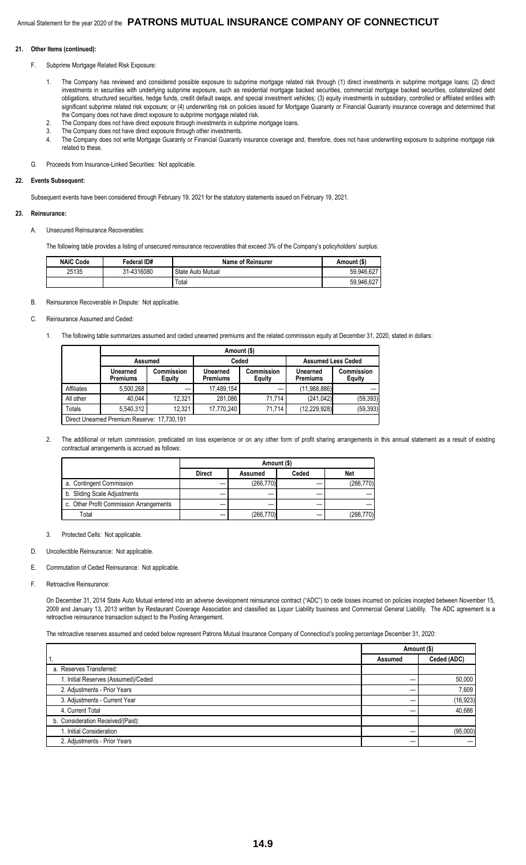#### **21. Other Items (continued):**

- F. Subprime Mortgage Related Risk Exposure:
	- 1. The Company has reviewed and considered possible exposure to subprime mortgage related risk through (1) direct investments in subprime mortgage loans; (2) direct investments in securities with underlying subprime exposure, such as residential mortgage backed securities, commercial mortgage backed securities, collateralized debt obligations, structured securities, hedge funds, credit default swaps, and special investment vehicles; (3) equity investments in subsidiary, controlled or affiliated entities with significant subprime related risk exposure; or (4) underwriting risk on policies issued for Mortgage Guaranty or Financial Guaranty insurance coverage and determined that the Company does not have direct exposure to subprime mortgage related risk.
	- 2. The Company does not have direct exposure through investments in subprime mortgage loans.
	- 3. The Company does not have direct exposure through other investments.
	- 4. The Company does not write Mortgage Guaranty or Financial Guaranty insurance coverage and, therefore, does not have underwriting exposure to subprime mortgage risk related to these.
- G. Proceeds from Insurance-Linked Securities: Not applicable.

#### **22. Events Subsequent:**

Subsequent events have been considered through February 19, 2021 for the statutory statements issued on February 19, 2021.

#### **23. Reinsurance:**

A. Unsecured Reinsurance Recoverables:

The following table provides a listing of unsecured reinsurance recoverables that exceed 3% of the Company's policyholders' surplus:

| <b>NAIC Code</b> | Federal ID# | <b>Name of Reinsurer</b> | Amount (\$) |
|------------------|-------------|--------------------------|-------------|
| 25135            | 31-4316080  | State Auto Mutual        | 59,946,627  |
|                  |             | Total                    | 59,946,627  |

#### B. Reinsurance Recoverable in Dispute: Not applicable.

#### C. Reinsurance Assumed and Ceded:

1. The following table summarizes assumed and ceded unearned premiums and the related commission equity at December 31, 2020, stated in dollars:

|            | Amount (\$)                                 |                      |                             |                             |                             |                             |  |  |
|------------|---------------------------------------------|----------------------|-----------------------------|-----------------------------|-----------------------------|-----------------------------|--|--|
|            | <b>Assumed</b>                              |                      | Ceded                       |                             | <b>Assumed Less Ceded</b>   |                             |  |  |
|            | Unearned<br><b>Premiums</b>                 | Commission<br>Equity | Unearned<br><b>Premiums</b> | Commission<br><b>Equity</b> | Unearned<br><b>Premiums</b> | Commission<br><b>Equity</b> |  |  |
| Affiliates | 5,500,268                                   |                      | 17,489,154                  |                             | (11,988,886)                |                             |  |  |
| All other  | 40.044                                      | 12.321               | 281.086                     | 71.714                      | (241.042)                   | (59, 393)                   |  |  |
| Totals     | 5,540,312                                   | 12.321               | 17,770,240                  | 71.714                      | (12, 229, 928)              | (59, 393)                   |  |  |
|            | Direct Unearned Premium Reserve: 17,730,191 |                      |                             |                             |                             |                             |  |  |

Direct Unearned Premium Reserve: 17,730,191

2. The additional or return commission, predicated on loss experience or on any other form of profit sharing arrangements in this annual statement as a result of existing contractual arrangements is accrued as follows:

|                                         | Amount (\$)   |            |       |            |  |
|-----------------------------------------|---------------|------------|-------|------------|--|
|                                         | <b>Direct</b> | Assumed    | Ceded | <b>Net</b> |  |
| a. Contingent Commission                |               | (266, 770) |       | (266, 770) |  |
| b. Sliding Scale Adjustments            |               |            |       |            |  |
| c. Other Profit Commission Arrangements |               |            |       |            |  |
| Total                                   |               | (266, 770) |       | (266, 770) |  |

3. Protected Cells: Not applicable.

D. Uncollectible Reinsurance: Not applicable.

- E. Commutation of Ceded Reinsurance: Not applicable.
- F. Retroactive Reinsurance:

On December 31, 2014 State Auto Mutual entered into an adverse development reinsurance contract ("ADC") to cede losses incurred on policies incepted between November 15, 2009 and January 13, 2013 written by Restaurant Coverage Association and classified as Liquor Liability business and Commercial General Liability. The ADC agreement is a retroactive reinsurance transaction subject to the Pooling Arrangement.

The retroactive reserves assumed and ceded below represent Patrons Mutual Insurance Company of Connecticut's pooling percentage December 31, 2020:

|                                     | Amount (\$) |             |
|-------------------------------------|-------------|-------------|
|                                     | Assumed     | Ceded (ADC) |
| a. Reserves Transferred:            |             |             |
| 1. Initial Reserves (Assumed)/Ceded |             | 50,000      |
| 2. Adjustments - Prior Years        |             | 7,609       |
| 3. Adjustments - Current Year       |             | (16, 923)   |
| 4. Current Total                    |             | 40,686      |
| b. Consideration Received/(Paid):   |             |             |
| . Initial Consideration             |             | (95,000)    |
| 2. Adjustments - Prior Years        |             |             |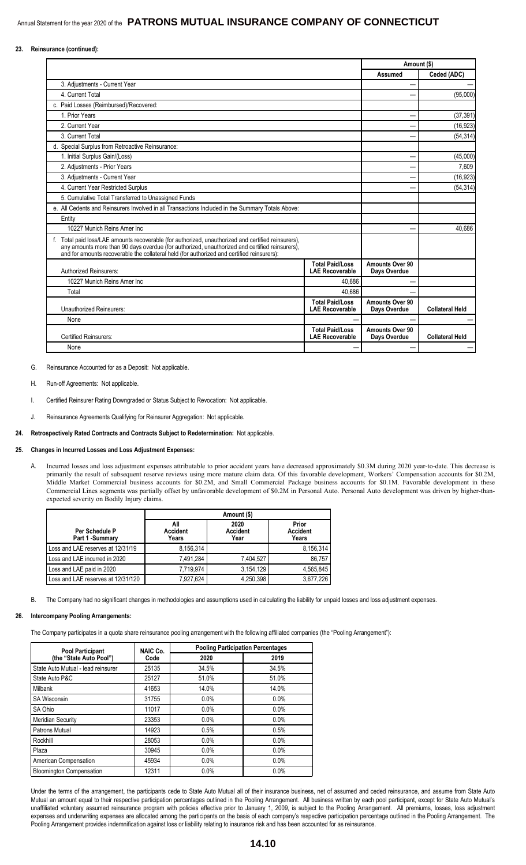#### **23. Reinsurance (continued):**

|                                                                                                                                                                                                                                                                                                     |                                                  | Amount (\$)                     |                        |
|-----------------------------------------------------------------------------------------------------------------------------------------------------------------------------------------------------------------------------------------------------------------------------------------------------|--------------------------------------------------|---------------------------------|------------------------|
|                                                                                                                                                                                                                                                                                                     |                                                  | Assumed                         | Ceded (ADC)            |
| 3. Adjustments - Current Year                                                                                                                                                                                                                                                                       |                                                  |                                 |                        |
| 4. Current Total                                                                                                                                                                                                                                                                                    |                                                  |                                 | (95,000)               |
| c. Paid Losses (Reimbursed)/Recovered:                                                                                                                                                                                                                                                              |                                                  |                                 |                        |
| 1 Prior Years                                                                                                                                                                                                                                                                                       |                                                  |                                 | (37, 391)              |
| 2. Current Year                                                                                                                                                                                                                                                                                     |                                                  |                                 | (16, 923)              |
| 3. Current Total                                                                                                                                                                                                                                                                                    |                                                  |                                 | (54, 314)              |
| d. Special Surplus from Retroactive Reinsurance:                                                                                                                                                                                                                                                    |                                                  |                                 |                        |
| 1. Initial Surplus Gain/(Loss)                                                                                                                                                                                                                                                                      |                                                  |                                 | (45,000)               |
| 2. Adjustments - Prior Years                                                                                                                                                                                                                                                                        |                                                  |                                 | 7,609                  |
| 3. Adjustments - Current Year                                                                                                                                                                                                                                                                       |                                                  |                                 | (16, 923)              |
| 4. Current Year Restricted Surplus                                                                                                                                                                                                                                                                  |                                                  |                                 | (54, 314)              |
| 5. Cumulative Total Transferred to Unassigned Funds                                                                                                                                                                                                                                                 |                                                  |                                 |                        |
| e. All Cedents and Reinsurers Involved in all Transactions Included in the Summary Totals Above:                                                                                                                                                                                                    |                                                  |                                 |                        |
| Entity                                                                                                                                                                                                                                                                                              |                                                  |                                 |                        |
| 10227 Munich Reins Amer Inc                                                                                                                                                                                                                                                                         |                                                  |                                 | 40.686                 |
| f. Total paid loss/LAE amounts recoverable (for authorized, unauthorized and certified reinsurers),<br>any amounts more than 90 days overdue (for authorized, unauthorized and certified reinsurers),<br>and for amounts recoverable the collateral held (for authorized and certified reinsurers): |                                                  |                                 |                        |
| <b>Authorized Reinsurers:</b>                                                                                                                                                                                                                                                                       | <b>Total Paid/Loss</b><br><b>LAE Recoverable</b> | Amounts Over 90<br>Days Overdue |                        |
| 10227 Munich Reins Amer Inc                                                                                                                                                                                                                                                                         | 40.686                                           |                                 |                        |
| Total                                                                                                                                                                                                                                                                                               | 40.686                                           |                                 |                        |
| Unauthorized Reinsurers:                                                                                                                                                                                                                                                                            | <b>Total Paid/Loss</b><br><b>LAE Recoverable</b> | Amounts Over 90<br>Days Overdue | <b>Collateral Held</b> |
| None                                                                                                                                                                                                                                                                                                |                                                  |                                 |                        |
| <b>Certified Reinsurers:</b>                                                                                                                                                                                                                                                                        | <b>Total Paid/Loss</b><br><b>LAE Recoverable</b> | Amounts Over 90<br>Days Overdue | <b>Collateral Held</b> |
| None                                                                                                                                                                                                                                                                                                |                                                  |                                 |                        |

G. Reinsurance Accounted for as a Deposit: Not applicable.

- H. Run-off Agreements: Not applicable.
- I. Certified Reinsurer Rating Downgraded or Status Subject to Revocation: Not applicable.
- J. Reinsurance Agreements Qualifying for Reinsurer Aggregation: Not applicable.

#### **24. Retrospectively Rated Contracts and Contracts Subject to Redetermination:** Not applicable.

#### **25. Changes in Incurred Losses and Loss Adjustment Expenses:**

A. Incurred losses and loss adjustment expenses attributable to prior accident years have decreased approximately \$0.3M during 2020 year-to-date. This decrease is primarily the result of subsequent reserve reviews using more mature claim data. Of this favorable development, Workers' Compensation accounts for \$0.2M, Middle Market Commercial business accounts for \$0.2M, and Small Commercial Package business accounts for \$0.1M. Favorable development in these Commercial Lines segments was partially offset by unfavorable development of \$0.2M in Personal Auto. Personal Auto development was driven by higher-thanexpected severity on Bodily Injury claims.

|                                    | Amount (\$)                     |                                 |                                   |  |  |  |
|------------------------------------|---------------------------------|---------------------------------|-----------------------------------|--|--|--|
| Per Schedule P<br>Part 1 - Summary | All<br><b>Accident</b><br>Years | 2020<br><b>Accident</b><br>Year | Prior<br><b>Accident</b><br>Years |  |  |  |
| Loss and LAE reserves at 12/31/19  | 8.156.314                       |                                 | 8.156.314                         |  |  |  |
| Loss and LAE incurred in 2020      | 7,491,284                       | 7,404,527                       | 86.757                            |  |  |  |
| Loss and LAE paid in 2020          | 7,719,974                       | 3,154,129                       | 4.565.845                         |  |  |  |
| Loss and LAE reserves at 12/31/120 | 7,927,624                       | 4,250,398                       | 3,677,226                         |  |  |  |

B. The Company had no significant changes in methodologies and assumptions used in calculating the liability for unpaid losses and loss adjustment expenses.

#### **26. Intercompany Pooling Arrangements:**

The Company participates in a quota share reinsurance pooling arrangement with the following affiliated companies (the "Pooling Arrangement"):

| <b>Pool Participant</b>            | NAIC Co. | <b>Pooling Participation Percentages</b> |       |  |  |
|------------------------------------|----------|------------------------------------------|-------|--|--|
| (the "State Auto Pool")            | Code     | 2020                                     | 2019  |  |  |
| State Auto Mutual - lead reinsurer | 25135    | 34.5%                                    | 34.5% |  |  |
| State Auto P&C                     | 25127    | 51.0%                                    | 51.0% |  |  |
| <b>Milbank</b>                     | 41653    | 14.0%                                    | 14.0% |  |  |
| <b>SA Wisconsin</b>                | 31755    | $0.0\%$                                  | 0.0%  |  |  |
| SA Ohio                            | 11017    | 0.0%                                     | 0.0%  |  |  |
| <b>Meridian Security</b>           | 23353    | 0.0%                                     | 0.0%  |  |  |
| Patrons Mutual                     | 14923    | 0.5%                                     | 0.5%  |  |  |
| Rockhill                           | 28053    | $0.0\%$                                  | 0.0%  |  |  |
| Plaza                              | 30945    | 0.0%                                     | 0.0%  |  |  |
| American Compensation              | 45934    | $0.0\%$                                  | 0.0%  |  |  |
| <b>Bloomington Compensation</b>    | 12311    | 0.0%                                     | 0.0%  |  |  |

Under the terms of the arrangement, the participants cede to State Auto Mutual all of their insurance business, net of assumed and ceded reinsurance, and assume from State Auto Mutual an amount equal to their respective participation percentages outlined in the Pooling Arrangement. All business written by each pool participant, except for State Auto Mutual's unaffiliated voluntary assumed reinsurance program with policies effective prior to January 1, 2009, is subject to the Pooling Arrangement. All premiums, losses, loss adjustment expenses and underwriting expenses are allocated among the participants on the basis of each company's respective participation percentage outlined in the Pooling Arrangement. The Pooling Arrangement provides indemnification against loss or liability relating to insurance risk and has been accounted for as reinsurance.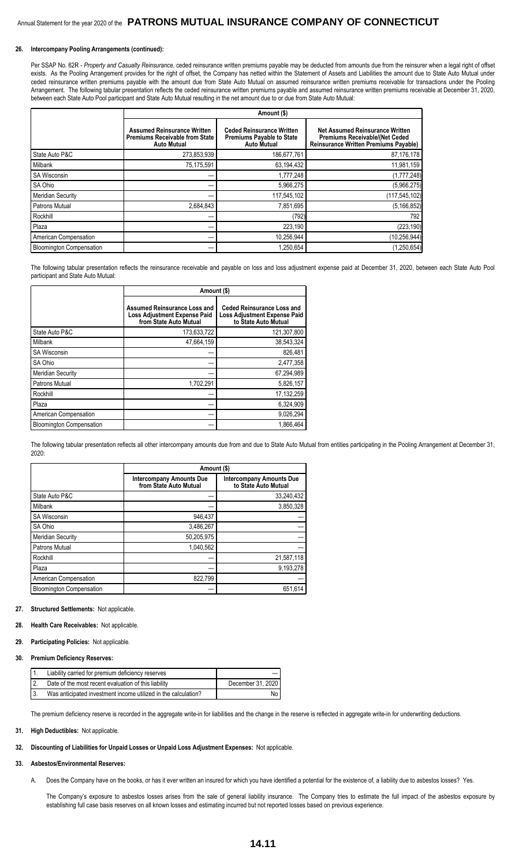#### **26. Intercompany Pooling Arrangements (continued):**

Per SSAP No. 62R - Property and Casualty Reinsurance, ceded reinsurance written premiums payable may be deducted from amounts due from the reinsurer when a legal right of offset exists. As the Pooling Arrangement provides for the right of offset, the Company has netted within the Statement of Assets and Liabilities the amount due to State Auto Mutual under ceded reinsurance written premiums payable with the amount due from State Auto Mutual on assumed reinsurance written premiums receivable for transactions under the Pooling Arrangement. The following tabular presentation reflects the ceded reinsurance written premiums payable and assumed reinsurance written premiums receivable at December 31, 2020, between each State Auto Pool participant and State Auto Mutual resulting in the net amount due to or due from State Auto Mutual:

|                                 |                                                                                                   | Amount (\$)                                                                                |                                                                                                                           |
|---------------------------------|---------------------------------------------------------------------------------------------------|--------------------------------------------------------------------------------------------|---------------------------------------------------------------------------------------------------------------------------|
|                                 | <b>Assumed Reinsurance Written</b><br><b>Premiums Receivable from State</b><br><b>Auto Mutual</b> | <b>Ceded Reinsurance Written</b><br><b>Premiums Payable to State</b><br><b>Auto Mutual</b> | Net Assumed Reinsurance Written<br><b>Premiums Receivable/(Net Ceded)</b><br><b>Reinsurance Written Premiums Payable)</b> |
| State Auto P&C                  | 273,853,939                                                                                       | 186,677,761                                                                                | 87,176,178                                                                                                                |
| Milbank                         | 75,175,591                                                                                        | 63,194,432                                                                                 | 11,981,159                                                                                                                |
| <b>SA Wisconsin</b>             |                                                                                                   | 1,777,248                                                                                  | (1,777,248)                                                                                                               |
| SA Ohio                         |                                                                                                   | 5,966,275                                                                                  | (5,966,275)                                                                                                               |
| <b>Meridian Security</b>        |                                                                                                   | 117,545,102                                                                                | (117, 545, 102)                                                                                                           |
| Patrons Mutual                  | 2,684,843                                                                                         | 7,851,695                                                                                  | (5, 166, 852)                                                                                                             |
| Rockhill                        |                                                                                                   | (792)                                                                                      | 792                                                                                                                       |
| Plaza                           |                                                                                                   | 223,190                                                                                    | (223, 190)                                                                                                                |
| American Compensation           |                                                                                                   | 10,256,944                                                                                 | (10, 256, 944)                                                                                                            |
| <b>Bloomington Compensation</b> |                                                                                                   | 1,250,654                                                                                  | (1, 250, 654)                                                                                                             |

The following tabular presentation reflects the reinsurance receivable and payable on loss and loss adjustment expense paid at December 31, 2020, between each State Auto Pool participant and State Auto Mutual:

|                                 | Amount (\$)                                                                                          |                                                                                                  |
|---------------------------------|------------------------------------------------------------------------------------------------------|--------------------------------------------------------------------------------------------------|
|                                 | <b>Assumed Reinsurance Loss and</b><br><b>Loss Adjustment Expense Paid</b><br>from State Auto Mutual | <b>Ceded Reinsurance Loss and</b><br><b>Loss Adjustment Expense Paid</b><br>to State Auto Mutual |
| State Auto P&C                  | 173,633,722                                                                                          | 121,307,800                                                                                      |
| Milbank                         | 47,664,159                                                                                           | 38,543,324                                                                                       |
| <b>SA Wisconsin</b>             |                                                                                                      | 826.481                                                                                          |
| SA Ohio                         |                                                                                                      | 2,477,358                                                                                        |
| <b>Meridian Security</b>        |                                                                                                      | 67,294,989                                                                                       |
| Patrons Mutual                  | 1,702,291                                                                                            | 5,826,157                                                                                        |
| Rockhill                        |                                                                                                      | 17,132,259                                                                                       |
| Plaza                           |                                                                                                      | 6,324,909                                                                                        |
| American Compensation           |                                                                                                      | 9,026,294                                                                                        |
| <b>Bloomington Compensation</b> |                                                                                                      | 1.866.464                                                                                        |

The following tabular presentation reflects all other intercompany amounts due from and due to State Auto Mutual from entities participating in the Pooling Arrangement at December 31, 2020:

|                                 | Amount (\$)                                        |                                                  |
|---------------------------------|----------------------------------------------------|--------------------------------------------------|
|                                 | Intercompany Amounts Due<br>from State Auto Mutual | Intercompany Amounts Due<br>to State Auto Mutual |
| State Auto P&C                  |                                                    | 33,240,432                                       |
| Milbank                         |                                                    | 3,850,328                                        |
| <b>SA Wisconsin</b>             | 946,437                                            |                                                  |
| SA Ohio                         | 3,486,267                                          |                                                  |
| <b>Meridian Security</b>        | 50,205,975                                         |                                                  |
| <b>Patrons Mutual</b>           | 1.040.562                                          |                                                  |
| Rockhill                        |                                                    | 21,587,118                                       |
| Plaza                           |                                                    | 9,193,278                                        |
| American Compensation           | 822,799                                            |                                                  |
| <b>Bloomington Compensation</b> |                                                    | 651.614                                          |

#### **27. Structured Settlements:** Not applicable.

#### **28. Health Care Receivables:** Not applicable.

#### **29. Participating Policies:** Not applicable.

#### **30. Premium Deficiency Reserves:**

| Liability carried for premium deficiency reserves              |                   |
|----------------------------------------------------------------|-------------------|
| Date of the most recent evaluation of this liability           | December 31, 2020 |
| Was anticipated investment income utilized in the calculation? | No.               |

The premium deficiency reserve is recorded in the aggregate write-in for liabilities and the change in the reserve is reflected in aggregate write-in for underwriting deductions.

#### **31. High Deductibles:** Not applicable.

#### **32. Discounting of Liabilities for Unpaid Losses or Unpaid Loss Adjustment Expenses:** Not applicable.

#### **33. Asbestos/Environmental Reserves:**

A. Does the Company have on the books, or has it ever written an insured for which you have identified a potential for the existence of, a liability due to asbestos losses? Yes.

The Company's exposure to asbestos losses arises from the sale of general liability insurance. The Company tries to estimate the full impact of the asbestos exposure by establishing full case basis reserves on all known losses and estimating incurred but not reported losses based on previous experience.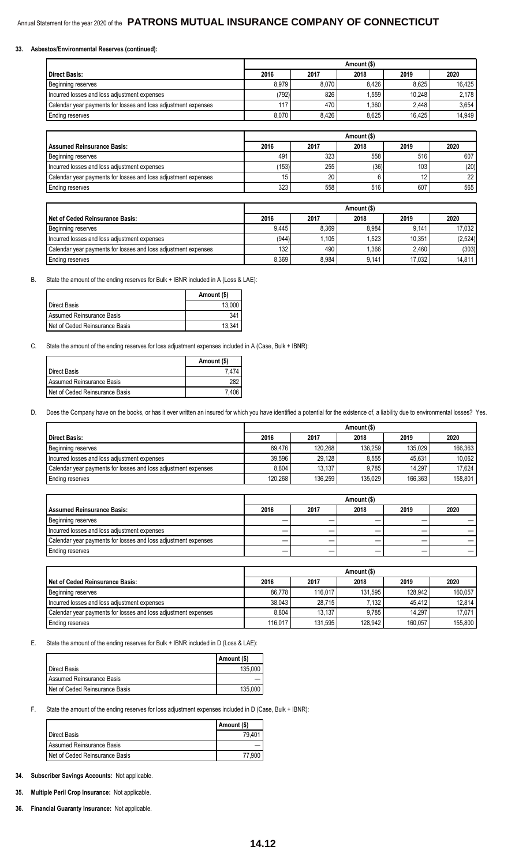#### **33. Asbestos/Environmental Reserves (continued):**

|                                                                | Amount (\$) |       |       |        |        |
|----------------------------------------------------------------|-------------|-------|-------|--------|--------|
| l Direct Basis:                                                | 2016        | 2017  | 2018  | 2019   | 2020   |
| Beginning reserves                                             | 8.979       | 8.070 | 8.426 | 8.625  | 16.425 |
| Incurred losses and loss adjustment expenses                   | 792)        | 826   | . 559 | 10.248 | 2.178  |
| Calendar year payments for losses and loss adjustment expenses | 117         | 470   | .360  | 2.448  | 3.654  |
| Ending reserves                                                | 8.070       | 8.426 | 8.625 | 16.425 | 14.949 |

|                                                                | Amount (\$) |      |      |      |                 |
|----------------------------------------------------------------|-------------|------|------|------|-----------------|
| l Assumed Reinsurance Basis:                                   | 2016        | 2017 | 2018 | 2019 | 2020            |
| Beginning reserves                                             | 491         | 323  | 558  | 516  | 607             |
| Incurred losses and loss adjustment expenses                   | 153         | 255  | (36) | 103  | (20)            |
| Calendar year payments for losses and loss adjustment expenses |             | 20   |      |      | 22 <sub>1</sub> |
| Ending reserves                                                | 323         | 558  | 516  | 607  | 565             |

|                                                                | Amount (\$) |       |       |        |         |
|----------------------------------------------------------------|-------------|-------|-------|--------|---------|
| l Net of Ceded Reinsurance Basis:                              | 2016        | 2017  | 2018  | 2019   | 2020    |
| Beginning reserves                                             | 9.445       | 8.369 | 8.984 | 9.141  | 17.032  |
| Incurred losses and loss adjustment expenses                   | (944)       | .105  | 1.523 | 10.351 | (2,524) |
| Calendar year payments for losses and loss adjustment expenses | 132         | 490   | .366  | 2.460  | (303)   |
| Ending reserves                                                | 8.369       | 8.984 | 9.141 | 17.032 | 14.811  |

#### B. State the amount of the ending reserves for Bulk + IBNR included in A (Loss & LAE):

|                                       | Amount (\$) |
|---------------------------------------|-------------|
| Direct Basis                          | 13.000      |
| <b>I</b> Assumed Reinsurance Basis    | 341         |
| <b>Net of Ceded Reinsurance Basis</b> | 13.341      |

C. State the amount of the ending reserves for loss adjustment expenses included in A (Case, Bulk + IBNR):

|                                | Amount (\$) |
|--------------------------------|-------------|
| Direct Basis                   |             |
| Assumed Reinsurance Basis      |             |
| Net of Ceded Reinsurance Basis | 7 406       |

D. Does the Company have on the books, or has it ever written an insured for which you have identified a potential for the existence of, a liability due to environmental losses? Yes.

|                                                                | Amount (\$) |         |         |         |         |
|----------------------------------------------------------------|-------------|---------|---------|---------|---------|
| l Direct Basis:                                                | 2016        | 2017    | 2018    | 2019    | 2020    |
| Beginning reserves                                             | 89.476      | 120.268 | 136.259 | 135.029 | 166.363 |
| I Incurred losses and loss adiustment expenses                 | 39.596      | 29.128  | 8.555   | 45.631  | 10.062  |
| Calendar year payments for losses and loss adjustment expenses | 8.804       | 13.137  | 9.785   | 14.297  | 17.624  |
| Ending reserves                                                | 120,268     | 136.259 | 135.029 | 166.363 | 158.801 |

|                                                                | Amount (\$) |      |      |      |      |  |  |  |  |
|----------------------------------------------------------------|-------------|------|------|------|------|--|--|--|--|
| Assumed Reinsurance Basis:                                     | 2016        | 2017 | 2018 | 2019 | 2020 |  |  |  |  |
| Beginning reserves                                             |             |      |      |      |      |  |  |  |  |
| Incurred losses and loss adjustment expenses                   |             |      |      |      |      |  |  |  |  |
| Calendar year payments for losses and loss adjustment expenses |             |      |      |      |      |  |  |  |  |
| Ending reserves                                                |             |      |      |      |      |  |  |  |  |

|                                                                |         | Amount (\$) |         |         |         |  |  |  |  |  |  |
|----------------------------------------------------------------|---------|-------------|---------|---------|---------|--|--|--|--|--|--|
| l Net of Ceded Reinsurance Basis:                              | 2016    | 2017        | 2018    | 2019    | 2020    |  |  |  |  |  |  |
| Beginning reserves                                             | 86.778  | 116.017     | 131.595 | 128.942 | 160.057 |  |  |  |  |  |  |
| Incurred losses and loss adjustment expenses                   | 38.043  | 28.715      | 7.132   | 45.412  | 12.814  |  |  |  |  |  |  |
| Calendar year payments for losses and loss adjustment expenses | 8.804   | 13.137      | 9.785   | 14.297  | 17.071  |  |  |  |  |  |  |
| Ending reserves                                                | 116.017 | 131,595     | 128.942 | 160.057 | 155.800 |  |  |  |  |  |  |

E. State the amount of the ending reserves for Bulk + IBNR included in D (Loss & LAE):

|                                | Amount (\$) |
|--------------------------------|-------------|
| <b>I</b> Direct Basis          | 135.000     |
| Assumed Reinsurance Basis      |             |
| Net of Ceded Reinsurance Basis | 135.000     |

F. State the amount of the ending reserves for loss adjustment expenses included in D (Case, Bulk + IBNR):

|                                | Amount (\$) |
|--------------------------------|-------------|
| Direct Basis                   | 79.401      |
| Assumed Reinsurance Basis      |             |
| Net of Ceded Reinsurance Basis | 77.900      |

#### **34. Subscriber Savings Accounts:** Not applicable.

**35. Multiple Peril Crop Insurance:** Not applicable.

**36. Financial Guaranty Insurance:** Not applicable.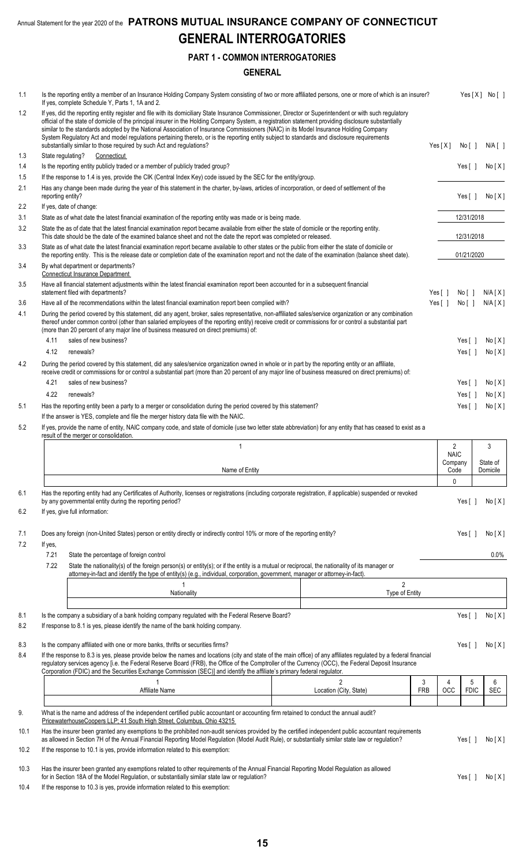### **PART 1 - COMMON INTERROGATORIES**

### **GENERAL**

| 1.1          |                   | Is the reporting entity a member of an Insurance Holding Company System consisting of two or more affiliated persons, one or more of which is an insurer?<br>If yes, complete Schedule Y, Parts 1, 1A and 2.                                                                                                                                                                                                                                                                                                                                                                                                                                                                      |                        |                        |                               |                  | Yes[X] No[]          |  |  |
|--------------|-------------------|-----------------------------------------------------------------------------------------------------------------------------------------------------------------------------------------------------------------------------------------------------------------------------------------------------------------------------------------------------------------------------------------------------------------------------------------------------------------------------------------------------------------------------------------------------------------------------------------------------------------------------------------------------------------------------------|------------------------|------------------------|-------------------------------|------------------|----------------------|--|--|
| 1.2          |                   | If yes, did the reporting entity register and file with its domiciliary State Insurance Commissioner, Director or Superintendent or with such regulatory<br>official of the state of domicile of the principal insurer in the Holding Company System, a registration statement providing disclosure substantially<br>similar to the standards adopted by the National Association of Insurance Commissioners (NAIC) in its Model Insurance Holding Company<br>System Regulatory Act and model regulations pertaining thereto, or is the reporting entity subject to standards and disclosure requirements<br>substantially similar to those required by such Act and regulations? |                        | Yes[X]                 |                               | No [ ]           | $N/A$ [ ]            |  |  |
| 1.3          | State regulating? | Connecticut                                                                                                                                                                                                                                                                                                                                                                                                                                                                                                                                                                                                                                                                       |                        |                        |                               |                  |                      |  |  |
| 1.4          |                   | Is the reporting entity publicly traded or a member of publicly traded group?                                                                                                                                                                                                                                                                                                                                                                                                                                                                                                                                                                                                     |                        |                        |                               | Yes $[ ]$        | No[X]                |  |  |
| 1.5          |                   | If the response to 1.4 is yes, provide the CIK (Central Index Key) code issued by the SEC for the entity/group.                                                                                                                                                                                                                                                                                                                                                                                                                                                                                                                                                                   |                        |                        |                               |                  |                      |  |  |
| 2.1          | reporting entity? | Has any change been made during the year of this statement in the charter, by-laws, articles of incorporation, or deed of settlement of the                                                                                                                                                                                                                                                                                                                                                                                                                                                                                                                                       |                        |                        |                               | Yes $[ \ ]$      | No[X]                |  |  |
| 2.2          |                   | If yes, date of change:                                                                                                                                                                                                                                                                                                                                                                                                                                                                                                                                                                                                                                                           |                        |                        |                               |                  |                      |  |  |
| 3.1<br>3.2   |                   | State as of what date the latest financial examination of the reporting entity was made or is being made.<br>State the as of date that the latest financial examination report became available from either the state of domicile or the reporting entity.                                                                                                                                                                                                                                                                                                                                                                                                                        |                        |                        |                               | 12/31/2018       |                      |  |  |
|              |                   | This date should be the date of the examined balance sheet and not the date the report was completed or released.                                                                                                                                                                                                                                                                                                                                                                                                                                                                                                                                                                 |                        |                        | 12/31/2018                    |                  |                      |  |  |
| 3.3<br>3.4   |                   | State as of what date the latest financial examination report became available to other states or the public from either the state of domicile or<br>the reporting entity. This is the release date or completion date of the examination report and not the date of the examination (balance sheet date).<br>By what department or departments?                                                                                                                                                                                                                                                                                                                                  |                        |                        |                               | 01/21/2020       |                      |  |  |
|              |                   | <b>Connecticut Insurance Department</b>                                                                                                                                                                                                                                                                                                                                                                                                                                                                                                                                                                                                                                           |                        |                        |                               |                  |                      |  |  |
| 3.5          |                   | Have all financial statement adjustments within the latest financial examination report been accounted for in a subsequent financial<br>statement filed with departments?                                                                                                                                                                                                                                                                                                                                                                                                                                                                                                         |                        | Yes $\lceil \; \rceil$ |                               | No[]             | N/A[X]               |  |  |
| 3.6          |                   | Have all of the recommendations within the latest financial examination report been complied with?                                                                                                                                                                                                                                                                                                                                                                                                                                                                                                                                                                                |                        | Yes $\lceil \rceil$    |                               | No[ ]            | N/A[X]               |  |  |
| 4.1          |                   | During the period covered by this statement, did any agent, broker, sales representative, non-affiliated sales/service organization or any combination<br>thereof under common control (other than salaried employees of the reporting entity) receive credit or commissions for or control a substantial part<br>(more than 20 percent of any major line of business measured on direct premiums) of:                                                                                                                                                                                                                                                                            |                        |                        |                               |                  |                      |  |  |
|              | 4.11              | sales of new business?                                                                                                                                                                                                                                                                                                                                                                                                                                                                                                                                                                                                                                                            |                        |                        |                               | Yes [ ]          | No[X]                |  |  |
| 4.2          | 4.12              | renewals?<br>During the period covered by this statement, did any sales/service organization owned in whole or in part by the reporting entity or an affiliate,                                                                                                                                                                                                                                                                                                                                                                                                                                                                                                                   |                        |                        |                               | Yes [ ]          | No[X]                |  |  |
|              | 4.21              | receive credit or commissions for or control a substantial part (more than 20 percent of any major line of business measured on direct premiums) of:<br>sales of new business?                                                                                                                                                                                                                                                                                                                                                                                                                                                                                                    |                        |                        |                               | Yes $\lceil$ 1   | No[X]                |  |  |
|              | 4.22              | renewals?                                                                                                                                                                                                                                                                                                                                                                                                                                                                                                                                                                                                                                                                         |                        |                        |                               | Yes [ ]          | No[X]                |  |  |
| 5.1          |                   | Has the reporting entity been a party to a merger or consolidation during the period covered by this statement?                                                                                                                                                                                                                                                                                                                                                                                                                                                                                                                                                                   |                        |                        |                               | Yes [ ]          | No[X]                |  |  |
|              |                   | If the answer is YES, complete and file the merger history data file with the NAIC.                                                                                                                                                                                                                                                                                                                                                                                                                                                                                                                                                                                               |                        |                        |                               |                  |                      |  |  |
| 5.2          |                   | If yes, provide the name of entity, NAIC company code, and state of domicile (use two letter state abbreviation) for any entity that has ceased to exist as a<br>result of the merger or consolidation.<br>$\mathbf{1}$                                                                                                                                                                                                                                                                                                                                                                                                                                                           |                        |                        | $\overline{2}$<br><b>NAIC</b> |                  | 3                    |  |  |
|              |                   | Name of Entity                                                                                                                                                                                                                                                                                                                                                                                                                                                                                                                                                                                                                                                                    |                        |                        | Company<br>Code               |                  | State of<br>Domicile |  |  |
|              |                   |                                                                                                                                                                                                                                                                                                                                                                                                                                                                                                                                                                                                                                                                                   |                        |                        | 0                             |                  |                      |  |  |
| 6.1<br>6.2   |                   | Has the reporting entity had any Certificates of Authority, licenses or registrations (including corporate registration, if applicable) suspended or revoked<br>by any governmental entity during the reporting period?<br>If yes, give full information:                                                                                                                                                                                                                                                                                                                                                                                                                         |                        |                        |                               | Yes [ ]          | No[X]                |  |  |
| 7.1<br>7.2   | If yes,           | Does any foreign (non-United States) person or entity directly or indirectly control 10% or more of the reporting entity?                                                                                                                                                                                                                                                                                                                                                                                                                                                                                                                                                         |                        |                        |                               | Yes [ ]          | No[X]                |  |  |
|              | 7.21<br>7.22      | State the percentage of foreign control<br>State the nationality(s) of the foreign person(s) or entity(s); or if the entity is a mutual or reciprocal, the nationality of its manager or<br>attorney-in-fact and identify the type of entity(s) (e.g., individual, corporation, government, manager or attorney-in-fact).                                                                                                                                                                                                                                                                                                                                                         |                        |                        |                               |                  | $0.0\%$              |  |  |
|              |                   | $\mathbf{1}$                                                                                                                                                                                                                                                                                                                                                                                                                                                                                                                                                                                                                                                                      | $\overline{2}$         |                        |                               |                  |                      |  |  |
|              |                   | Nationality                                                                                                                                                                                                                                                                                                                                                                                                                                                                                                                                                                                                                                                                       | Type of Entity         |                        |                               |                  |                      |  |  |
| 8.1<br>8.2   |                   | Is the company a subsidiary of a bank holding company regulated with the Federal Reserve Board?<br>If response to 8.1 is yes, please identify the name of the bank holding company.                                                                                                                                                                                                                                                                                                                                                                                                                                                                                               |                        |                        |                               | Yes [ ]          | No[X]                |  |  |
| 8.3          |                   | Is the company affiliated with one or more banks, thrifts or securities firms?                                                                                                                                                                                                                                                                                                                                                                                                                                                                                                                                                                                                    |                        |                        |                               | Yes $\lceil$ 1   | No[X]                |  |  |
| 8.4          |                   | If the response to 8.3 is yes, please provide below the names and locations (city and state of the main office) of any affiliates regulated by a federal financial<br>regulatory services agency [i.e. the Federal Reserve Board (FRB), the Office of the Comptroller of the Currency (OCC), the Federal Deposit Insurance<br>Corporation (FDIC) and the Securities Exchange Commission (SEC)] and identify the affiliate's primary federal regulator.                                                                                                                                                                                                                            |                        |                        |                               |                  |                      |  |  |
|              |                   |                                                                                                                                                                                                                                                                                                                                                                                                                                                                                                                                                                                                                                                                                   | $\mathfrak{p}$         | 3                      | 4<br><b>OCC</b>               | 5<br><b>FDIC</b> | 6                    |  |  |
|              |                   |                                                                                                                                                                                                                                                                                                                                                                                                                                                                                                                                                                                                                                                                                   |                        |                        |                               |                  |                      |  |  |
|              |                   | Affiliate Name                                                                                                                                                                                                                                                                                                                                                                                                                                                                                                                                                                                                                                                                    | Location (City, State) | <b>FRB</b>             |                               |                  | <b>SEC</b>           |  |  |
| 9.           |                   | What is the name and address of the independent certified public accountant or accounting firm retained to conduct the annual audit?                                                                                                                                                                                                                                                                                                                                                                                                                                                                                                                                              |                        |                        |                               |                  |                      |  |  |
| 10.1         |                   | PricewaterhouseCoopers LLP; 41 South High Street, Columbus, Ohio 43215<br>Has the insurer been granted any exemptions to the prohibited non-audit services provided by the certified independent public accountant requirements<br>as allowed in Section 7H of the Annual Financial Reporting Model Regulation (Model Audit Rule), or substantially similar state law or regulation?                                                                                                                                                                                                                                                                                              |                        |                        |                               | Yes $[ ]$        |                      |  |  |
| 10.2         |                   | If the response to 10.1 is yes, provide information related to this exemption:                                                                                                                                                                                                                                                                                                                                                                                                                                                                                                                                                                                                    |                        |                        |                               |                  |                      |  |  |
| 10.3<br>10.4 |                   | Has the insurer been granted any exemptions related to other requirements of the Annual Financial Reporting Model Requlation as allowed<br>for in Section 18A of the Model Regulation, or substantially similar state law or regulation?<br>If the response to 10.3 is yes, provide information related to this exemption:                                                                                                                                                                                                                                                                                                                                                        |                        |                        |                               | Yes $[ ]$        | No[X]<br>No[X]       |  |  |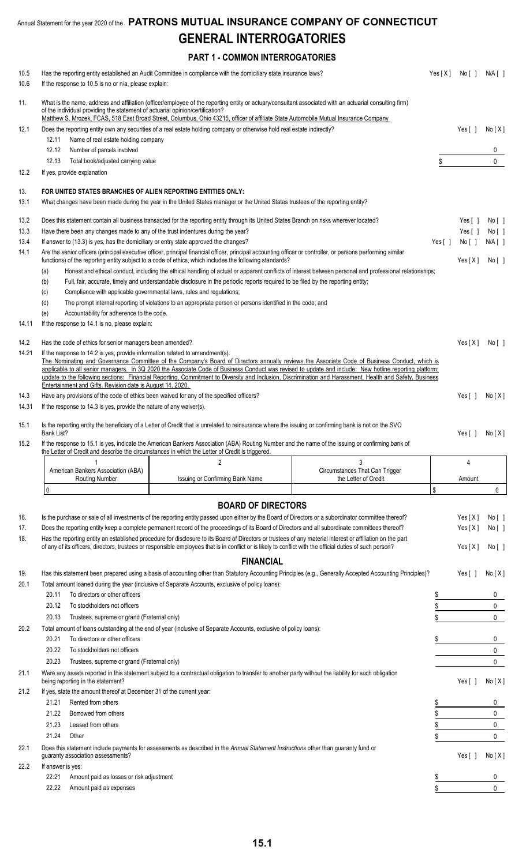**PART 1 - COMMON INTERROGATORIES**

| 10.5  | Has the reporting entity established an Audit Committee in compliance with the domiciliary state insurance laws?                                                                                                                                                                                                    |                                 |                                                                                                                                                         |           | Yes[X] No[] N/A[]      |               |
|-------|---------------------------------------------------------------------------------------------------------------------------------------------------------------------------------------------------------------------------------------------------------------------------------------------------------------------|---------------------------------|---------------------------------------------------------------------------------------------------------------------------------------------------------|-----------|------------------------|---------------|
| 10.6  | If the response to 10.5 is no or n/a, please explain:                                                                                                                                                                                                                                                               |                                 |                                                                                                                                                         |           |                        |               |
| 11.   | What is the name, address and affiliation (officer/employee of the reporting entity or actuary/consultant associated with an actuarial consulting firm)                                                                                                                                                             |                                 |                                                                                                                                                         |           |                        |               |
|       | of the individual providing the statement of actuarial opinion/certification?                                                                                                                                                                                                                                       |                                 |                                                                                                                                                         |           |                        |               |
|       | Matthew S. Mrozek, FCAS, 518 East Broad Street, Columbus, Ohio 43215, officer of affiliate State Automobile Mutual Insurance Company                                                                                                                                                                                |                                 |                                                                                                                                                         |           |                        |               |
| 12.1  | Does the reporting entity own any securities of a real estate holding company or otherwise hold real estate indirectly?<br>Name of real estate holding company                                                                                                                                                      |                                 |                                                                                                                                                         |           | Yes [ ]                | No[X]         |
|       | 12.11<br>12.12<br>Number of parcels involved                                                                                                                                                                                                                                                                        |                                 |                                                                                                                                                         |           |                        | 0             |
|       | Total book/adjusted carrying value<br>12.13                                                                                                                                                                                                                                                                         |                                 |                                                                                                                                                         |           |                        | $\mathbf{0}$  |
| 12.2  | If yes, provide explanation                                                                                                                                                                                                                                                                                         |                                 |                                                                                                                                                         |           |                        |               |
|       |                                                                                                                                                                                                                                                                                                                     |                                 |                                                                                                                                                         |           |                        |               |
| 13.   | FOR UNITED STATES BRANCHES OF ALIEN REPORTING ENTITIES ONLY:                                                                                                                                                                                                                                                        |                                 |                                                                                                                                                         |           |                        |               |
| 13.1  | What changes have been made during the year in the United States manager or the United States trustees of the reporting entity?                                                                                                                                                                                     |                                 |                                                                                                                                                         |           |                        |               |
| 13.2  | Does this statement contain all business transacted for the reporting entity through its United States Branch on risks wherever located?                                                                                                                                                                            |                                 |                                                                                                                                                         |           | Yes $\lceil \ \rceil$  | No[ ]         |
| 13.3  | Have there been any changes made to any of the trust indentures during the year?                                                                                                                                                                                                                                    |                                 |                                                                                                                                                         |           | Yes $\lceil \rceil$    | No [ ]        |
| 13.4  | If answer to (13.3) is yes, has the domiciliary or entry state approved the changes?                                                                                                                                                                                                                                |                                 |                                                                                                                                                         | Yes $[ ]$ | No [ ]                 | $N/A$ [ ]     |
| 14.1  | Are the senior officers (principal executive officer, principal financial officer, principal accounting officer or controller, or persons performing similar<br>functions) of the reporting entity subject to a code of ethics, which includes the following standards?                                             |                                 |                                                                                                                                                         |           | Yes[X]                 | No [ ]        |
|       | (a)                                                                                                                                                                                                                                                                                                                 |                                 | Honest and ethical conduct, including the ethical handling of actual or apparent conflicts of interest between personal and professional relationships; |           |                        |               |
|       | Full, fair, accurate, timely and understandable disclosure in the periodic reports required to be filed by the reporting entity;<br>(b)                                                                                                                                                                             |                                 |                                                                                                                                                         |           |                        |               |
|       | Compliance with applicable governmental laws, rules and regulations;<br>(c)                                                                                                                                                                                                                                         |                                 |                                                                                                                                                         |           |                        |               |
|       | The prompt internal reporting of violations to an appropriate person or persons identified in the code; and<br>(d)                                                                                                                                                                                                  |                                 |                                                                                                                                                         |           |                        |               |
|       | Accountability for adherence to the code.<br>(e)                                                                                                                                                                                                                                                                    |                                 |                                                                                                                                                         |           |                        |               |
| 14.11 | If the response to 14.1 is no, please explain:                                                                                                                                                                                                                                                                      |                                 |                                                                                                                                                         |           |                        |               |
| 14.2  | Has the code of ethics for senior managers been amended?                                                                                                                                                                                                                                                            |                                 |                                                                                                                                                         |           | Yes[X]                 | No[ ]         |
| 14.21 | If the response to 14.2 is yes, provide information related to amendment(s).                                                                                                                                                                                                                                        |                                 |                                                                                                                                                         |           |                        |               |
|       | The Nominating and Governance Committee of the Company's Board of Directors annually reviews the Associate Code of Business Conduct, which is                                                                                                                                                                       |                                 |                                                                                                                                                         |           |                        |               |
|       | applicable to all senior managers. In 3Q 2020 the Associate Code of Business Conduct was revised to update and include: New hotline reporting platform;<br>update to the following sections: Financial Reporting, Commitment to Diversity and Inclusion, Discrimination and Harassment, Health and Safety, Business |                                 |                                                                                                                                                         |           |                        |               |
|       | Entertainment and Gifts. Revision date is August 14, 2020.                                                                                                                                                                                                                                                          |                                 |                                                                                                                                                         |           |                        |               |
| 14.3  | Have any provisions of the code of ethics been waived for any of the specified officers?                                                                                                                                                                                                                            |                                 |                                                                                                                                                         |           | Yes $\lceil \; \rceil$ | No[X]         |
| 14.31 | If the response to 14.3 is yes, provide the nature of any waiver(s).                                                                                                                                                                                                                                                |                                 |                                                                                                                                                         |           |                        |               |
| 15.1  | Is the reporting entity the beneficiary of a Letter of Credit that is unrelated to reinsurance where the issuing or confirming bank is not on the SVO                                                                                                                                                               |                                 |                                                                                                                                                         |           |                        |               |
|       | Bank List?                                                                                                                                                                                                                                                                                                          |                                 |                                                                                                                                                         |           | Yes $\lceil$ $\rceil$  | No[X]         |
| 15.2  | If the response to 15.1 is yes, indicate the American Bankers Association (ABA) Routing Number and the name of the issuing or confirming bank of                                                                                                                                                                    |                                 |                                                                                                                                                         |           |                        |               |
|       | the Letter of Credit and describe the circumstances in which the Letter of Credit is triggered.                                                                                                                                                                                                                     |                                 |                                                                                                                                                         |           |                        |               |
|       | American Bankers Association (ABA)                                                                                                                                                                                                                                                                                  | 2                               | 3<br>Circumstances That Can Trigger                                                                                                                     |           | 4                      |               |
|       | <b>Routing Number</b>                                                                                                                                                                                                                                                                                               | Issuing or Confirming Bank Name | the Letter of Credit                                                                                                                                    |           | Amount                 |               |
|       | 0                                                                                                                                                                                                                                                                                                                   |                                 |                                                                                                                                                         | \$        |                        | 0             |
|       |                                                                                                                                                                                                                                                                                                                     | <b>BOARD OF DIRECTORS</b>       |                                                                                                                                                         |           |                        |               |
| 16.   | Is the purchase or sale of all investments of the reporting entity passed upon either by the Board of Directors or a subordinator committee thereof?                                                                                                                                                                |                                 |                                                                                                                                                         |           | Yes[X]                 | No[]          |
| 17.   | Does the reporting entity keep a complete permanent record of the proceedings of its Board of Directors and all subordinate committees thereof?                                                                                                                                                                     |                                 |                                                                                                                                                         |           | Yes[X]                 | No [ ]        |
| 18.   | Has the reporting entity an established procedure for disclosure to its Board of Directors or trustees of any material interest or affiliation on the part                                                                                                                                                          |                                 |                                                                                                                                                         |           |                        |               |
|       | of any of its officers, directors, trustees or responsible employees that is in conflict or is likely to conflict with the official duties of such person?                                                                                                                                                          |                                 |                                                                                                                                                         |           | Yes[X]                 | No[]          |
|       |                                                                                                                                                                                                                                                                                                                     | <b>FINANCIAL</b>                |                                                                                                                                                         |           |                        |               |
| 19.   | Has this statement been prepared using a basis of accounting other than Statutory Accounting Principles (e.g., Generally Accepted Accounting Principles)?                                                                                                                                                           |                                 |                                                                                                                                                         |           | Yes [ ]                | No[X]         |
| 20.1  | Total amount loaned during the year (inclusive of Separate Accounts, exclusive of policy loans):                                                                                                                                                                                                                    |                                 |                                                                                                                                                         |           |                        |               |
|       | 20.11<br>To directors or other officers                                                                                                                                                                                                                                                                             |                                 |                                                                                                                                                         | \$        |                        | 0             |
|       | 20.12<br>To stockholders not officers                                                                                                                                                                                                                                                                               |                                 |                                                                                                                                                         | \$        |                        | 0             |
|       | 20.13<br>Trustees, supreme or grand (Fraternal only)                                                                                                                                                                                                                                                                |                                 |                                                                                                                                                         |           |                        | $\mathbf{0}$  |
| 20.2  | Total amount of loans outstanding at the end of year (inclusive of Separate Accounts, exclusive of policy loans):                                                                                                                                                                                                   |                                 |                                                                                                                                                         |           |                        |               |
|       | 20.21<br>To directors or other officers                                                                                                                                                                                                                                                                             |                                 |                                                                                                                                                         |           |                        | 0             |
|       | 20.22<br>To stockholders not officers                                                                                                                                                                                                                                                                               |                                 |                                                                                                                                                         |           |                        | 0             |
|       | 20.23<br>Trustees, supreme or grand (Fraternal only)                                                                                                                                                                                                                                                                |                                 |                                                                                                                                                         |           |                        | 0             |
| 21.1  | Were any assets reported in this statement subject to a contractual obligation to transfer to another party without the liability for such obligation<br>being reporting in the statement?                                                                                                                          |                                 |                                                                                                                                                         |           | Yes [ ]                | No[X]         |
| 21.2  | If yes, state the amount thereof at December 31 of the current year:                                                                                                                                                                                                                                                |                                 |                                                                                                                                                         |           |                        |               |
|       | 21.21<br>Rented from others                                                                                                                                                                                                                                                                                         |                                 |                                                                                                                                                         | \$        |                        | 0             |
|       | 21.22<br>Borrowed from others                                                                                                                                                                                                                                                                                       |                                 |                                                                                                                                                         | \$        |                        | 0             |
|       | 21.23<br>Leased from others                                                                                                                                                                                                                                                                                         |                                 |                                                                                                                                                         | \$        |                        | 0             |
|       | 21.24<br>Other                                                                                                                                                                                                                                                                                                      |                                 |                                                                                                                                                         | \$        |                        | $\mathbf{0}$  |
| 22.1  | Does this statement include payments for assessments as described in the Annual Statement Instructions other than guaranty fund or                                                                                                                                                                                  |                                 |                                                                                                                                                         |           |                        |               |
|       | guaranty association assessments?                                                                                                                                                                                                                                                                                   |                                 |                                                                                                                                                         |           | Yes [ ]                | No[X]         |
| 22.2  | If answer is yes:                                                                                                                                                                                                                                                                                                   |                                 |                                                                                                                                                         |           |                        |               |
|       | 22.21<br>Amount paid as losses or risk adjustment                                                                                                                                                                                                                                                                   |                                 |                                                                                                                                                         | \$        |                        | 0<br>$\Omega$ |
|       | 22.22<br>Amount paid as expenses                                                                                                                                                                                                                                                                                    |                                 |                                                                                                                                                         | \$        |                        |               |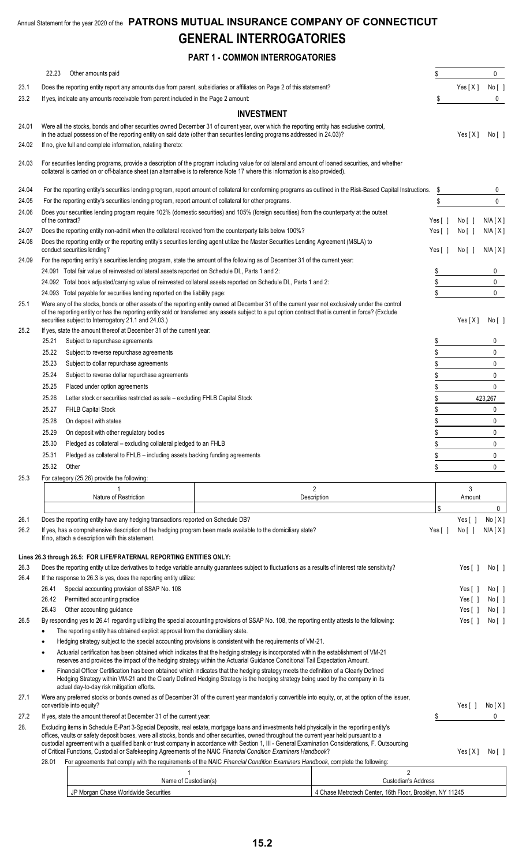### **PART 1 - COMMON INTERROGATORIES**

|              | 22.23            | Other amounts paid                                                                                                                                                                                                                                                                                                     |                   |                     | \$                    |                                | 0            |
|--------------|------------------|------------------------------------------------------------------------------------------------------------------------------------------------------------------------------------------------------------------------------------------------------------------------------------------------------------------------|-------------------|---------------------|-----------------------|--------------------------------|--------------|
| 23.1         |                  | Does the reporting entity report any amounts due from parent, subsidiaries or affiliates on Page 2 of this statement?                                                                                                                                                                                                  |                   |                     |                       | Yes[X]                         | No [ ]       |
| 23.2         |                  | If yes, indicate any amounts receivable from parent included in the Page 2 amount:                                                                                                                                                                                                                                     |                   |                     | \$                    |                                | 0            |
|              |                  |                                                                                                                                                                                                                                                                                                                        | <b>INVESTMENT</b> |                     |                       |                                |              |
|              |                  | Were all the stocks, bonds and other securities owned December 31 of current year, over which the reporting entity has exclusive control,                                                                                                                                                                              |                   |                     |                       |                                |              |
| 24.01        |                  | in the actual possession of the reporting entity on said date (other than securities lending programs addressed in 24.03)?                                                                                                                                                                                             |                   |                     |                       | Yes[X]                         | No [ ]       |
| 24.02        |                  | If no, give full and complete information, relating thereto:                                                                                                                                                                                                                                                           |                   |                     |                       |                                |              |
|              |                  |                                                                                                                                                                                                                                                                                                                        |                   |                     |                       |                                |              |
| 24.03        |                  | For securities lending programs, provide a description of the program including value for collateral and amount of loaned securities, and whether<br>collateral is carried on or off-balance sheet (an alternative is to reference Note 17 where this information is also provided).                                   |                   |                     |                       |                                |              |
| 24.04        |                  | For the reporting entity's securities lending program, report amount of collateral for conforming programs as outlined in the Risk-Based Capital Instructions.                                                                                                                                                         |                   |                     | S                     |                                | 0            |
| 24.05        |                  | For the reporting entity's securities lending program, report amount of collateral for other programs.                                                                                                                                                                                                                 |                   |                     | \$                    |                                | 0            |
| 24.06        |                  | Does your securities lending program require 102% (domestic securities) and 105% (foreign securities) from the counterparty at the outset                                                                                                                                                                              |                   |                     |                       |                                |              |
|              | of the contract? |                                                                                                                                                                                                                                                                                                                        |                   |                     | Yes $[$ ]             | No [ ]                         | N/A[X]       |
| 24.07        |                  | Does the reporting entity non-admit when the collateral received from the counterparty falls below 100%?                                                                                                                                                                                                               |                   |                     | Yes $[ \ ]$           | No [ ]                         | N/A[X]       |
| 24.08        |                  | Does the reporting entity or the reporting entity's securities lending agent utilize the Master Securities Lending Agreement (MSLA) to                                                                                                                                                                                 |                   |                     |                       |                                |              |
|              |                  | conduct securities lending?                                                                                                                                                                                                                                                                                            |                   |                     | Yes $\lceil \ \rceil$ | No[ ]                          | N/A[X]       |
| 24.09        |                  | For the reporting entity's securities lending program, state the amount of the following as of December 31 of the current year:<br>24.091 Total fair value of reinvested collateral assets reported on Schedule DL, Parts 1 and 2:                                                                                     |                   |                     | \$                    |                                | 0            |
|              |                  | 24.092 Total book adjusted/carrying value of reinvested collateral assets reported on Schedule DL, Parts 1 and 2:                                                                                                                                                                                                      |                   |                     | \$                    |                                | $\mathbf 0$  |
|              |                  | 24.093 Total payable for securities lending reported on the liability page:                                                                                                                                                                                                                                            |                   |                     | \$                    |                                | $\mathbf 0$  |
| 25.1         |                  | Were any of the stocks, bonds or other assets of the reporting entity owned at December 31 of the current year not exclusively under the control                                                                                                                                                                       |                   |                     |                       |                                |              |
|              |                  | of the reporting entity or has the reporting entity sold or transferred any assets subject to a put option contract that is current in force? (Exclude                                                                                                                                                                 |                   |                     |                       |                                |              |
|              |                  | securities subject to Interrogatory 21.1 and 24.03.)                                                                                                                                                                                                                                                                   |                   |                     |                       | Yes[X]                         | No [ ]       |
| 25.2         |                  | If yes, state the amount thereof at December 31 of the current year:                                                                                                                                                                                                                                                   |                   |                     |                       |                                |              |
|              | 25.21            | Subject to repurchase agreements                                                                                                                                                                                                                                                                                       |                   |                     | \$                    |                                | 0            |
|              | 25.22            | Subject to reverse repurchase agreements                                                                                                                                                                                                                                                                               |                   |                     | \$                    |                                | $\mathbf 0$  |
|              | 25.23            | Subject to dollar repurchase agreements                                                                                                                                                                                                                                                                                |                   |                     | \$                    |                                | $\mathbf 0$  |
|              | 25.24            | Subject to reverse dollar repurchase agreements                                                                                                                                                                                                                                                                        |                   |                     | \$                    |                                | 0            |
|              | 25.25            | Placed under option agreements                                                                                                                                                                                                                                                                                         |                   |                     | \$                    |                                | 0            |
|              | 25.26            | Letter stock or securities restricted as sale - excluding FHLB Capital Stock                                                                                                                                                                                                                                           |                   |                     | \$                    |                                | 423,267      |
|              | 25.27            | <b>FHLB Capital Stock</b>                                                                                                                                                                                                                                                                                              |                   |                     | \$                    |                                | 0            |
|              | 25.28            | On deposit with states                                                                                                                                                                                                                                                                                                 |                   |                     | \$                    |                                | 0            |
|              | 25.29            | On deposit with other regulatory bodies                                                                                                                                                                                                                                                                                |                   |                     | \$                    |                                | 0            |
|              | 25.30            | Pledged as collateral - excluding collateral pledged to an FHLB                                                                                                                                                                                                                                                        |                   |                     | \$                    |                                | $\mathbf 0$  |
|              | 25.31            | Pledged as collateral to FHLB - including assets backing funding agreements                                                                                                                                                                                                                                            |                   |                     | \$                    |                                | 0            |
|              | 25.32            | Other                                                                                                                                                                                                                                                                                                                  |                   |                     | \$                    |                                | $\mathbf{0}$ |
| 25.3         |                  | For category (25.26) provide the following:                                                                                                                                                                                                                                                                            |                   |                     |                       |                                |              |
|              |                  |                                                                                                                                                                                                                                                                                                                        |                   | $\overline{2}$      |                       | 3                              |              |
|              |                  | Nature of Restriction                                                                                                                                                                                                                                                                                                  |                   | Description         |                       | Amount                         |              |
|              |                  |                                                                                                                                                                                                                                                                                                                        |                   |                     | \$                    |                                | $\mathbf 0$  |
| 26.1<br>26.2 |                  | Does the reporting entity have any hedging transactions reported on Schedule DB?<br>If yes, has a comprehensive description of the hedging program been made available to the domiciliary state?                                                                                                                       |                   |                     |                       | Yes $\lceil \ \rceil$<br>No[ ] | No[X]        |
|              |                  | If no, attach a description with this statement.                                                                                                                                                                                                                                                                       |                   |                     | Yes $[ \ ]$           |                                | N/A[X]       |
|              |                  | Lines 26.3 through 26.5: FOR LIFE/FRATERNAL REPORTING ENTITIES ONLY:                                                                                                                                                                                                                                                   |                   |                     |                       |                                |              |
| 26.3         |                  | Does the reporting entity utilize derivatives to hedge variable annuity guarantees subject to fluctuations as a results of interest rate sensitivity?                                                                                                                                                                  |                   |                     |                       | Yes[                           | No [ ]       |
| 26.4         |                  | If the response to 26.3 is yes, does the reporting entity utilize:                                                                                                                                                                                                                                                     |                   |                     |                       |                                |              |
|              | 26.41            | Special accounting provision of SSAP No. 108                                                                                                                                                                                                                                                                           |                   |                     |                       | Yes[                           | No [ ]       |
|              | 26.42            | Permitted accounting practice                                                                                                                                                                                                                                                                                          |                   |                     |                       | Yes [ ]                        | No [ ]       |
|              | 26.43            | Other accounting guidance                                                                                                                                                                                                                                                                                              |                   |                     |                       | Yes [ ]                        | No [ ]       |
| 26.5         |                  | By responding yes to 26.41 regarding utilizing the special accounting provisions of SSAP No. 108, the reporting entity attests to the following:                                                                                                                                                                       |                   |                     |                       | Yes [ ]                        | No [ ]       |
|              | ٠                | The reporting entity has obtained explicit approval from the domiciliary state.                                                                                                                                                                                                                                        |                   |                     |                       |                                |              |
|              | ٠                | Hedging strategy subject to the special accounting provisions is consistent with the requirements of VM-21.                                                                                                                                                                                                            |                   |                     |                       |                                |              |
|              |                  | Actuarial certification has been obtained which indicates that the hedging strategy is incorporated within the establishment of VM-21                                                                                                                                                                                  |                   |                     |                       |                                |              |
|              |                  | reserves and provides the impact of the hedging strategy within the Actuarial Guidance Conditional Tail Expectation Amount.                                                                                                                                                                                            |                   |                     |                       |                                |              |
|              |                  | Financial Officer Certification has been obtained which indicates that the hedging strategy meets the definition of a Clearly Defined<br>Hedging Strategy within VM-21 and the Clearly Defined Hedging Strategy is the hedging strategy being used by the company in its<br>actual day-to-day risk mitigation efforts. |                   |                     |                       |                                |              |
| 27.1         |                  | Were any preferred stocks or bonds owned as of December 31 of the current year mandatorily convertible into equity, or, at the option of the issuer,<br>convertible into equity?                                                                                                                                       |                   |                     |                       | Yes $[ ]$                      | No[X]        |
| 27.2         |                  | If yes, state the amount thereof at December 31 of the current year:                                                                                                                                                                                                                                                   |                   |                     |                       |                                | 0            |
| 28.          |                  | Excluding items in Schedule E-Part 3-Special Deposits, real estate, mortgage loans and investments held physically in the reporting entity's                                                                                                                                                                           |                   |                     |                       |                                |              |
|              |                  | offices, vaults or safety deposit boxes, were all stocks, bonds and other securities, owned throughout the current year held pursuant to a                                                                                                                                                                             |                   |                     |                       |                                |              |
|              |                  | custodial agreement with a qualified bank or trust company in accordance with Section 1, III - General Examination Considerations, F. Outsourcing<br>of Critical Functions, Custodial or Safekeeping Agreements of the NAIC Financial Condition Examiners Handbook?                                                    |                   |                     |                       | Yes[X]                         | No [ ]       |
|              | 28.01            | For agreements that comply with the requirements of the NAIC Financial Condition Examiners Handbook, complete the following:                                                                                                                                                                                           |                   |                     |                       |                                |              |
|              |                  |                                                                                                                                                                                                                                                                                                                        |                   | $\overline{2}$      |                       |                                |              |
|              |                  | Name of Custodian(s)                                                                                                                                                                                                                                                                                                   |                   | Custodian's Address |                       |                                |              |

JP Morgan Chase Worldwide Securities **1999 12:3 12:4 Chase Metrotech Center, 16th Floor, Brooklyn, NY 11245**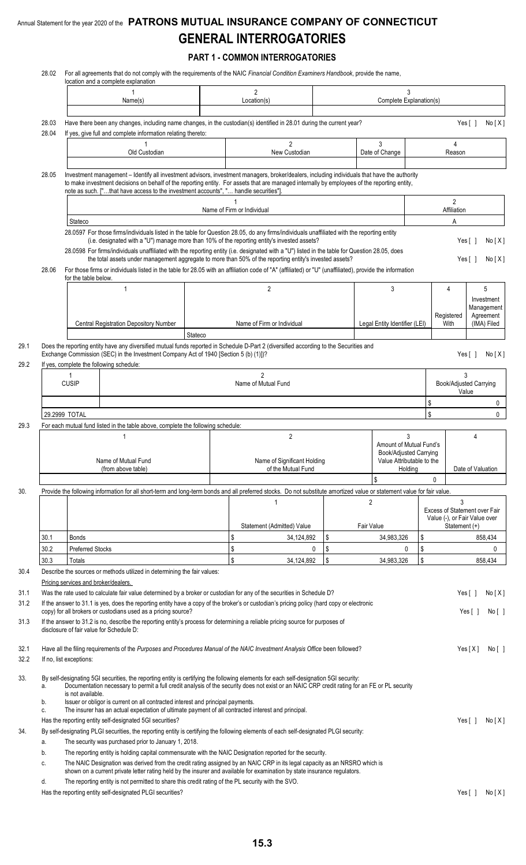**PART 1 - COMMON INTERROGATORIES**

| 28.02          |                                      | For all agreements that do not comply with the requirements of the NAIC Financial Condition Examiners Handbook, provide the name,<br>location and a complete explanation                                                                                                                                                                                                                                                                                                                                                                                                                                                                                             |                                       |    |                                                                                |         |                                                                |                                                    |  |
|----------------|--------------------------------------|----------------------------------------------------------------------------------------------------------------------------------------------------------------------------------------------------------------------------------------------------------------------------------------------------------------------------------------------------------------------------------------------------------------------------------------------------------------------------------------------------------------------------------------------------------------------------------------------------------------------------------------------------------------------|---------------------------------------|----|--------------------------------------------------------------------------------|---------|----------------------------------------------------------------|----------------------------------------------------|--|
|                |                                      | Name(s)                                                                                                                                                                                                                                                                                                                                                                                                                                                                                                                                                                                                                                                              | $\overline{2}$<br>Location(s)         |    | 3<br>Complete Explanation(s)                                                   |         |                                                                |                                                    |  |
|                |                                      |                                                                                                                                                                                                                                                                                                                                                                                                                                                                                                                                                                                                                                                                      |                                       |    |                                                                                |         |                                                                |                                                    |  |
| 28.03<br>28.04 |                                      | Have there been any changes, including name changes, in the custodian(s) identified in 28.01 during the current year?<br>If yes, give full and complete information relating thereto:                                                                                                                                                                                                                                                                                                                                                                                                                                                                                |                                       |    |                                                                                |         |                                                                | Yes $\lceil \ \rceil$<br>No[X]                     |  |
|                |                                      | Old Custodian                                                                                                                                                                                                                                                                                                                                                                                                                                                                                                                                                                                                                                                        | $\overline{2}$<br>New Custodian       |    | 3<br>Date of Change                                                            |         | 4<br>Reason                                                    |                                                    |  |
| 28.05          |                                      | Investment management - Identify all investment advisors, investment managers, broker/dealers, including individuals that have the authority<br>to make investment decisions on behalf of the reporting entity. For assets that are managed internally by employees of the reporting entity,                                                                                                                                                                                                                                                                                                                                                                         |                                       |    |                                                                                |         |                                                                |                                                    |  |
|                |                                      | note as such. ["that have access to the investment accounts", " handle securities"].                                                                                                                                                                                                                                                                                                                                                                                                                                                                                                                                                                                 |                                       |    |                                                                                |         | $\overline{\mathbf{c}}$                                        |                                                    |  |
|                | Stateco                              |                                                                                                                                                                                                                                                                                                                                                                                                                                                                                                                                                                                                                                                                      | Name of Firm or Individual            |    |                                                                                |         | Affiliation<br>A                                               |                                                    |  |
| 28.06          |                                      | 28.0597 For those firms/individuals listed in the table for Question 28.05, do any firms/individuals unaffiliated with the reporting entity<br>(i.e. designated with a "U") manage more than 10% of the reporting entity's invested assets?<br>28.0598 For firms/individuals unaffiliated with the reporting entity (i.e. designated with a "U") listed in the table for Question 28.05, does<br>the total assets under management aggregate to more than 50% of the reporting entity's invested assets?<br>For those firms or individuals listed in the table for 28.05 with an affiliation code of "A" (affiliated) or "U" (unaffiliated), provide the information |                                       |    |                                                                                |         |                                                                | No[X]<br>Yes [ ]<br>Yes $\lceil \ \rceil$<br>No[X] |  |
|                | for the table below.                 | $\mathbf{1}$                                                                                                                                                                                                                                                                                                                                                                                                                                                                                                                                                                                                                                                         | $\overline{2}$                        |    | 3                                                                              |         | 4                                                              | 5                                                  |  |
|                |                                      |                                                                                                                                                                                                                                                                                                                                                                                                                                                                                                                                                                                                                                                                      |                                       |    |                                                                                |         | Registered                                                     | Investment<br>Management<br>Agreement              |  |
|                |                                      | Central Registration Depository Number<br>Stateco                                                                                                                                                                                                                                                                                                                                                                                                                                                                                                                                                                                                                    | Name of Firm or Individual            |    | Legal Entity Identifier (LEI)                                                  |         | With                                                           | (IMA) Filed                                        |  |
|                |                                      | Does the reporting entity have any diversified mutual funds reported in Schedule D-Part 2 (diversified according to the Securities and<br>Exchange Commission (SEC) in the Investment Company Act of 1940 [Section 5 (b) (1)])?<br>If yes, complete the following schedule:                                                                                                                                                                                                                                                                                                                                                                                          |                                       |    |                                                                                |         |                                                                | Yes [ ]<br>No[X]                                   |  |
|                | -1<br><b>CUSIP</b>                   |                                                                                                                                                                                                                                                                                                                                                                                                                                                                                                                                                                                                                                                                      | $\overline{2}$<br>Name of Mutual Fund |    | 3<br>Book/Adjusted Carrying<br>Value                                           |         |                                                                |                                                    |  |
|                |                                      |                                                                                                                                                                                                                                                                                                                                                                                                                                                                                                                                                                                                                                                                      |                                       |    |                                                                                |         | \$                                                             |                                                    |  |
|                | 29.2999 TOTAL                        |                                                                                                                                                                                                                                                                                                                                                                                                                                                                                                                                                                                                                                                                      |                                       |    |                                                                                |         | \$                                                             |                                                    |  |
|                |                                      | For each mutual fund listed in the table above, complete the following schedule:                                                                                                                                                                                                                                                                                                                                                                                                                                                                                                                                                                                     | $\overline{2}$                        |    |                                                                                | 3       |                                                                |                                                    |  |
|                |                                      | 1<br>Name of Mutual Fund                                                                                                                                                                                                                                                                                                                                                                                                                                                                                                                                                                                                                                             | Name of Significant Holding           |    | Amount of Mutual Fund's<br>Book/Adjusted Carrying<br>Value Attributable to the |         |                                                                | 4                                                  |  |
|                |                                      | (from above table)                                                                                                                                                                                                                                                                                                                                                                                                                                                                                                                                                                                                                                                   | of the Mutual Fund                    |    | \$                                                                             | Holding |                                                                | Date of Valuation                                  |  |
|                |                                      | Provide the following information for all short-term and long-term bonds and all preferred stocks. Do not substitute amortized value or statement value for fair value.                                                                                                                                                                                                                                                                                                                                                                                                                                                                                              |                                       |    |                                                                                |         | 0                                                              |                                                    |  |
|                |                                      |                                                                                                                                                                                                                                                                                                                                                                                                                                                                                                                                                                                                                                                                      | 1<br>Statement (Admitted) Value       |    | 2<br>Fair Value                                                                |         | Excess of Statement over Fair<br>Value (-), or Fair Value over | 3<br>Statement (+)                                 |  |
| 30.1           | <b>Bonds</b>                         |                                                                                                                                                                                                                                                                                                                                                                                                                                                                                                                                                                                                                                                                      | \$<br>34,124,892                      | \$ | 34,983,326                                                                     | \$      |                                                                | 858,434                                            |  |
| 30.2           | Preferred Stocks                     |                                                                                                                                                                                                                                                                                                                                                                                                                                                                                                                                                                                                                                                                      | \$<br>0<br>\$                         | \$ |                                                                                | \$<br>0 |                                                                |                                                    |  |
| 30.3           | Totals                               | Describe the sources or methods utilized in determining the fair values:                                                                                                                                                                                                                                                                                                                                                                                                                                                                                                                                                                                             | 34,124,892                            | \$ | 34,983,326                                                                     | \$      |                                                                | 858,434                                            |  |
|                | Pricing services and broker/dealers. |                                                                                                                                                                                                                                                                                                                                                                                                                                                                                                                                                                                                                                                                      |                                       |    |                                                                                |         |                                                                |                                                    |  |
|                |                                      | Was the rate used to calculate fair value determined by a broker or custodian for any of the securities in Schedule D?                                                                                                                                                                                                                                                                                                                                                                                                                                                                                                                                               |                                       |    |                                                                                |         |                                                                | Yes $[ ]$<br>No[X]                                 |  |
|                |                                      | If the answer to 31.1 is yes, does the reporting entity have a copy of the broker's or custodian's pricing policy (hard copy or electronic<br>copy) for all brokers or custodians used as a pricing source?                                                                                                                                                                                                                                                                                                                                                                                                                                                          |                                       |    |                                                                                |         |                                                                | Yes $[ \ ]$<br>No[ ]                               |  |
|                |                                      | If the answer to 31.2 is no, describe the reporting entity's process for determining a reliable pricing source for purposes of<br>disclosure of fair value for Schedule D:                                                                                                                                                                                                                                                                                                                                                                                                                                                                                           |                                       |    |                                                                                |         |                                                                |                                                    |  |
|                | If no, list exceptions:              | Have all the filing requirements of the Purposes and Procedures Manual of the NAIC Investment Analysis Office been followed?                                                                                                                                                                                                                                                                                                                                                                                                                                                                                                                                         |                                       |    |                                                                                |         |                                                                | Yes[X]<br>No [ ]                                   |  |
| a.             | is not available.                    | By self-designating 5GI securities, the reporting entity is certifying the following elements for each self-designation 5GI security:<br>Documentation necessary to permit a full credit analysis of the security does not exist or an NAIC CRP credit rating for an FE or PL security                                                                                                                                                                                                                                                                                                                                                                               |                                       |    |                                                                                |         |                                                                |                                                    |  |
| b.<br>c.       |                                      | Issuer or obligor is current on all contracted interest and principal payments.<br>The insurer has an actual expectation of ultimate payment of all contracted interest and principal.                                                                                                                                                                                                                                                                                                                                                                                                                                                                               |                                       |    |                                                                                |         |                                                                |                                                    |  |
|                |                                      | Has the reporting entity self-designated 5GI securities?                                                                                                                                                                                                                                                                                                                                                                                                                                                                                                                                                                                                             |                                       |    |                                                                                |         |                                                                | Yes $[ ]$<br>No[X]                                 |  |
| a.             |                                      | By self-designating PLGI securities, the reporting entity is certifying the following elements of each self-designated PLGI security:<br>The security was purchased prior to January 1, 2018.                                                                                                                                                                                                                                                                                                                                                                                                                                                                        |                                       |    |                                                                                |         |                                                                |                                                    |  |
| b.             |                                      | The reporting entity is holding capital commensurate with the NAIC Designation reported for the security.                                                                                                                                                                                                                                                                                                                                                                                                                                                                                                                                                            |                                       |    |                                                                                |         |                                                                |                                                    |  |
| C.             |                                      | The NAIC Designation was derived from the credit rating assigned by an NAIC CRP in its legal capacity as an NRSRO which is<br>shown on a current private letter rating held by the insurer and available for examination by state insurance regulators.                                                                                                                                                                                                                                                                                                                                                                                                              |                                       |    |                                                                                |         |                                                                |                                                    |  |
| d.             |                                      | The reporting entity is not permitted to share this credit rating of the PL security with the SVO.                                                                                                                                                                                                                                                                                                                                                                                                                                                                                                                                                                   |                                       |    |                                                                                |         |                                                                |                                                    |  |
|                |                                      | Has the reporting entity self-designated PLGI securities?                                                                                                                                                                                                                                                                                                                                                                                                                                                                                                                                                                                                            |                                       |    |                                                                                |         |                                                                | Yes $\lceil$ $\rceil$<br>No[X]                     |  |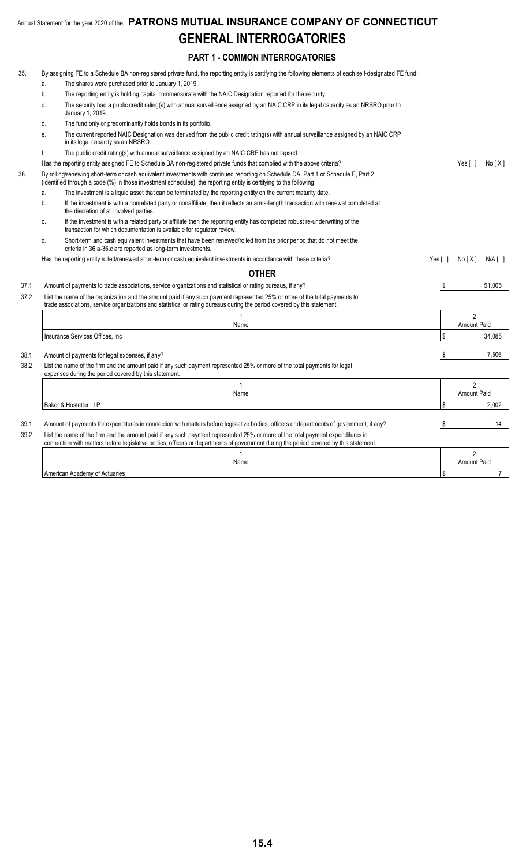### **PART 1 - COMMON INTERROGATORIES**

| 35.  |              | By assigning FE to a Schedule BA non-registered private fund, the reporting entity is certifying the following elements of each self-designated FE fund:                                                                                                   |                       |                    |                         |  |
|------|--------------|------------------------------------------------------------------------------------------------------------------------------------------------------------------------------------------------------------------------------------------------------------|-----------------------|--------------------|-------------------------|--|
|      | a.           | The shares were purchased prior to January 1, 2019.                                                                                                                                                                                                        |                       |                    |                         |  |
|      | b.           | The reporting entity is holding capital commensurate with the NAIC Designation reported for the security.                                                                                                                                                  |                       |                    |                         |  |
|      | C.           | The security had a public credit rating(s) with annual surveillance assigned by an NAIC CRP in its legal capacity as an NRSRO prior to<br>January 1, 2019.                                                                                                 |                       |                    |                         |  |
|      | d.           | The fund only or predominantly holds bonds in its portfolio.                                                                                                                                                                                               |                       |                    |                         |  |
|      | е.           | The current reported NAIC Designation was derived from the public credit rating(s) with annual surveillance assigned by an NAIC CRP<br>in its legal capacity as an NRSRO.                                                                                  |                       |                    |                         |  |
|      | f.           | The public credit rating(s) with annual surveillance assigned by an NAIC CRP has not lapsed.                                                                                                                                                               |                       |                    |                         |  |
|      |              | Has the reporting entity assigned FE to Schedule BA non-registered private funds that complied with the above criteria?                                                                                                                                    |                       | Yes [ ]            | No[X]                   |  |
| 36.  |              | By rolling/renewing short-term or cash equivalent investments with continued reporting on Schedule DA, Part 1 or Schedule E, Part 2<br>(identified through a code (%) in those investment schedules), the reporting entity is certifying to the following: |                       |                    |                         |  |
|      | a.           | The investment is a liquid asset that can be terminated by the reporting entity on the current maturity date.                                                                                                                                              |                       |                    |                         |  |
|      | b.           | If the investment is with a nonrelated party or nonaffiliate, then it reflects an arms-length transaction with renewal completed at<br>the discretion of all involved parties.                                                                             |                       |                    |                         |  |
|      | C.           | If the investment is with a related party or affiliate then the reporting entity has completed robust re-underwriting of the<br>transaction for which documentation is available for regulator review.                                                     |                       |                    |                         |  |
|      | d.           | Short-term and cash equivalent investments that have been renewed/rolled from the prior period that do not meet the<br>criteria in 36.a-36.c are reported as long-term investments.                                                                        |                       |                    |                         |  |
|      |              | Has the reporting entity rolled/renewed short-term or cash equivalent investments in accordance with these criteria?                                                                                                                                       | Yes $\lceil \ \rceil$ | No[X]              | $N/A$ $\lceil$ $\rceil$ |  |
|      |              | <b>OTHER</b>                                                                                                                                                                                                                                               |                       |                    |                         |  |
| 37.1 |              | Amount of payments to trade associations, service organizations and statistical or rating bureaus, if any?                                                                                                                                                 | \$                    |                    | 51,005                  |  |
| 37.2 |              | List the name of the organization and the amount paid if any such payment represented 25% or more of the total payments to<br>trade associations, service organizations and statistical or rating bureaus during the period covered by this statement.     |                       |                    |                         |  |
|      |              |                                                                                                                                                                                                                                                            | $\mathfrak{p}$        |                    |                         |  |
|      |              | Name                                                                                                                                                                                                                                                       |                       | <b>Amount Paid</b> |                         |  |
|      |              | Insurance Services Offices, Inc.                                                                                                                                                                                                                           | \$                    |                    | 34,085                  |  |
| 38.1 |              | Amount of payments for legal expenses, if any?                                                                                                                                                                                                             | S                     |                    | 7,506                   |  |
| 38.2 |              | List the name of the firm and the amount paid if any such payment represented 25% or more of the total payments for legal<br>expenses during the period covered by this statement.                                                                         |                       |                    |                         |  |
|      |              | $\mathbf{1}$                                                                                                                                                                                                                                               |                       | $\mathfrak{p}$     |                         |  |
|      |              | Name                                                                                                                                                                                                                                                       |                       | <b>Amount Paid</b> |                         |  |
|      |              | Baker & Hostetler LLP                                                                                                                                                                                                                                      | \$                    |                    | 2,002                   |  |
| 39.1 |              | Amount of payments for expenditures in connection with matters before legislative bodies, officers or departments of government, if any?                                                                                                                   | \$                    |                    | 14                      |  |
| 39.2 |              | List the name of the firm and the amount paid if any such payment represented 25% or more of the total payment expenditures in                                                                                                                             |                       |                    |                         |  |
|      |              | connection with matters before legislative bodies, officers or departments of government during the period covered by this statement.                                                                                                                      |                       |                    |                         |  |
|      | $\mathbf{1}$ |                                                                                                                                                                                                                                                            |                       |                    |                         |  |
|      | Name         |                                                                                                                                                                                                                                                            |                       |                    |                         |  |
|      |              | American Academy of Actuaries                                                                                                                                                                                                                              | \$                    |                    | $\overline{7}$          |  |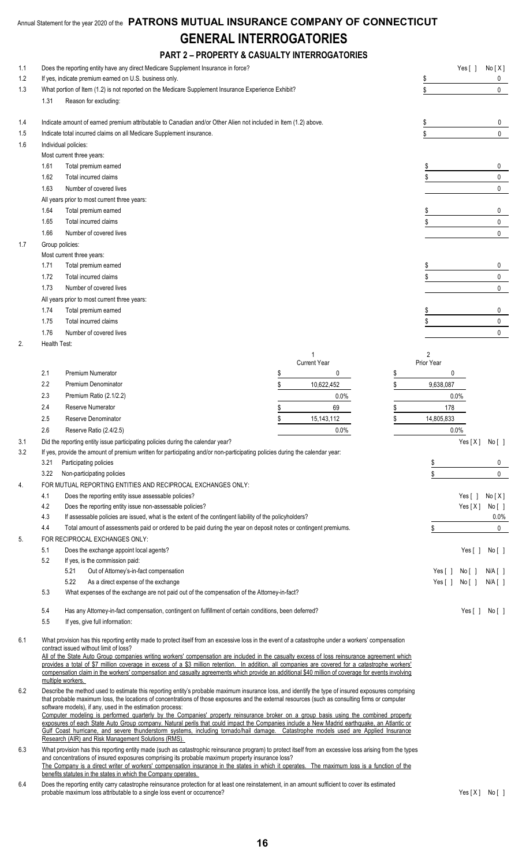|     |              | <b>PART 2 - PROPERTY &amp; CASUALTY INTERROGATORIES</b>                                                                                                                                                                                                                                                                                     |                    |            |                                      |
|-----|--------------|---------------------------------------------------------------------------------------------------------------------------------------------------------------------------------------------------------------------------------------------------------------------------------------------------------------------------------------------|--------------------|------------|--------------------------------------|
| 1.1 |              | Does the reporting entity have any direct Medicare Supplement Insurance in force?                                                                                                                                                                                                                                                           |                    |            | Yes [ ]<br>No[X]                     |
| 1.2 |              | If yes, indicate premium earned on U.S. business only.                                                                                                                                                                                                                                                                                      | $\frac{1}{2}$      | 0          |                                      |
| 1.3 |              | What portion of Item (1.2) is not reported on the Medicare Supplement Insurance Experience Exhibit?                                                                                                                                                                                                                                         |                    | \$         | 0                                    |
|     | 1.31         | Reason for excluding:                                                                                                                                                                                                                                                                                                                       |                    |            |                                      |
| 1.4 |              | Indicate amount of earned premium attributable to Canadian and/or Other Alien not included in Item (1.2) above.                                                                                                                                                                                                                             |                    | \$         | 0                                    |
| 1.5 |              | Indicate total incurred claims on all Medicare Supplement insurance.                                                                                                                                                                                                                                                                        |                    | \$         | $\mathbf{0}$                         |
| 1.6 |              | Individual policies:                                                                                                                                                                                                                                                                                                                        |                    |            |                                      |
|     |              | Most current three years:                                                                                                                                                                                                                                                                                                                   |                    |            |                                      |
|     | 1.61         | Total premium earned                                                                                                                                                                                                                                                                                                                        |                    |            | 0                                    |
|     | 1.62         | Total incurred claims                                                                                                                                                                                                                                                                                                                       |                    | \$         | 0                                    |
|     | 1.63         | Number of covered lives                                                                                                                                                                                                                                                                                                                     |                    |            | 0                                    |
|     |              | All years prior to most current three years:                                                                                                                                                                                                                                                                                                |                    |            |                                      |
|     | 1.64         | Total premium earned                                                                                                                                                                                                                                                                                                                        |                    |            | 0                                    |
|     | 1.65         | Total incurred claims                                                                                                                                                                                                                                                                                                                       |                    |            | $\mathbf 0$                          |
|     | 1.66         | Number of covered lives                                                                                                                                                                                                                                                                                                                     |                    |            | $\mathbf 0$                          |
| 1.7 |              | Group policies:                                                                                                                                                                                                                                                                                                                             |                    |            |                                      |
|     |              | Most current three years:                                                                                                                                                                                                                                                                                                                   |                    |            |                                      |
|     | 1.71         | Total premium earned                                                                                                                                                                                                                                                                                                                        |                    |            | 0                                    |
|     | 1.72         | Total incurred claims                                                                                                                                                                                                                                                                                                                       |                    |            | 0                                    |
|     | 1.73         | Number of covered lives                                                                                                                                                                                                                                                                                                                     |                    |            | $\mathbf 0$                          |
|     |              | All years prior to most current three years:                                                                                                                                                                                                                                                                                                |                    |            |                                      |
|     | 1.74<br>1.75 | Total premium earned<br>Total incurred claims                                                                                                                                                                                                                                                                                               |                    |            | 0                                    |
|     | 1.76         | Number of covered lives                                                                                                                                                                                                                                                                                                                     |                    |            | 0<br>$\mathbf 0$                     |
| 2.  |              | Health Test:                                                                                                                                                                                                                                                                                                                                |                    |            |                                      |
|     |              |                                                                                                                                                                                                                                                                                                                                             |                    | 2          |                                      |
|     |              |                                                                                                                                                                                                                                                                                                                                             | Current Year       | Prior Year |                                      |
|     | 2.1          | Premium Numerator                                                                                                                                                                                                                                                                                                                           | \$<br>0            | \$         | 0                                    |
|     | $2.2\,$      | Premium Denominator                                                                                                                                                                                                                                                                                                                         | \$<br>10,622,452   | \$         | 9,638,087                            |
|     | 2.3          | Premium Ratio (2.1/2.2)                                                                                                                                                                                                                                                                                                                     | $0.0\%$            |            | 0.0%                                 |
|     | 2.4          | Reserve Numerator                                                                                                                                                                                                                                                                                                                           | 69                 | \$         | 178                                  |
|     | 2.5          | Reserve Denominator                                                                                                                                                                                                                                                                                                                         | \$<br>15, 143, 112 | \$         | 14,805,833                           |
|     | 2.6          | Reserve Ratio (2.4/2.5)                                                                                                                                                                                                                                                                                                                     | 0.0%               |            | 0.0%                                 |
| 3.1 |              | Did the reporting entity issue participating policies during the calendar year?                                                                                                                                                                                                                                                             |                    |            | Yes[X] No[]                          |
| 3.2 |              | If yes, provide the amount of premium written for participating and/or non-participating policies during the calendar year:                                                                                                                                                                                                                 |                    |            |                                      |
|     | 3.21         | Participating policies                                                                                                                                                                                                                                                                                                                      |                    | \$         | 0                                    |
|     | 3.22         | Non-participating policies                                                                                                                                                                                                                                                                                                                  |                    | \$         | $\mathbf{0}$                         |
| 4.  |              | FOR MUTUAL REPORTING ENTITIES AND RECIPROCAL EXCHANGES ONLY:                                                                                                                                                                                                                                                                                |                    |            |                                      |
|     | 4.1          | Does the reporting entity issue assessable policies?                                                                                                                                                                                                                                                                                        |                    |            | No[X]<br>Yes $[ \ ]$                 |
|     | 4.2          | Does the reporting entity issue non-assessable policies?                                                                                                                                                                                                                                                                                    |                    |            | Yes[X]<br>No[ ]                      |
|     | $4.3$        | If assessable policies are issued, what is the extent of the contingent liability of the policyholders?                                                                                                                                                                                                                                     |                    | 0.0%       |                                      |
|     | 4.4          | Total amount of assessments paid or ordered to be paid during the year on deposit notes or contingent premiums.<br>FOR RECIPROCAL EXCHANGES ONLY:                                                                                                                                                                                           |                    | \$         | $\mathbf 0$                          |
| 5.  | 5.1          | Does the exchange appoint local agents?                                                                                                                                                                                                                                                                                                     |                    |            | Yes $[ ]$<br>No[]                    |
|     | 5.2          | If yes, is the commission paid:                                                                                                                                                                                                                                                                                                             |                    |            |                                      |
|     |              | 5.21<br>Out of Attorney's-in-fact compensation                                                                                                                                                                                                                                                                                              |                    |            | Yes [ ]<br>N/A [ ]<br>No[ ]          |
|     |              | 5.22<br>As a direct expense of the exchange                                                                                                                                                                                                                                                                                                 |                    |            | Yes $[ ]$<br>No [ ]<br>$N/A$ $[$ $]$ |
|     | 5.3          | What expenses of the exchange are not paid out of the compensation of the Attorney-in-fact?                                                                                                                                                                                                                                                 |                    |            |                                      |
|     | 5.4          | Has any Attorney-in-fact compensation, contingent on fulfillment of certain conditions, been deferred?                                                                                                                                                                                                                                      |                    |            | Yes $[ \ ]$<br>No[]                  |
|     | 5.5          | If yes, give full information:                                                                                                                                                                                                                                                                                                              |                    |            |                                      |
| 6.1 |              | What provision has this reporting entity made to protect itself from an excessive loss in the event of a catastrophe under a workers' compensation<br>contract issued without limit of loss?<br>All of the State Auto Group companies writing workers' compensation are included in the casualty excess of loss reinsurance agreement which |                    |            |                                      |

provides a total of \$7 million coverage in excess of a \$3 million retention. In addition, all companies are covered for a catastrophe workers' compensation claim in the workers' compensation and casualty agreements which provide an additional \$40 million of coverage for events involving multiple workers.

6.2 Describe the method used to estimate this reporting entity's probable maximum insurance loss, and identify the type of insured exposures comprising that probable maximum loss, the locations of concentrations of those exposures and the external resources (such as consulting firms or computer software models), if any, used in the estimation process:

Computer modeling is performed quarterly by the Companies' property reinsurance broker on a group basis using the combined property exposures of each State Auto Group company. Natural perils that could impact the Companies include a New Madrid earthquake, an Atlantic or Gulf Coast hurricane, and severe thunderstorm systems, including tornado/hail damage. Catastrophe models used are Applied Insurance Research (AIR) and Risk Management Solutions (RMS).

6.3 What provision has this reporting entity made (such as catastrophic reinsurance program) to protect itself from an excessive loss arising from the types and concentrations of insured exposures comprising its probable maximum property insurance loss? The Company is a direct writer of workers' compensation insurance in the states in which it operates. The maximum loss is a function of the benefits statutes in the states in which the Company operates.

6.4 Does the reporting entity carry catastrophe reinsurance protection for at least one reinstatement, in an amount sufficient to cover its estimated probable maximum loss attributable to a single loss event or occurrence? Yes [ X ] No [ ]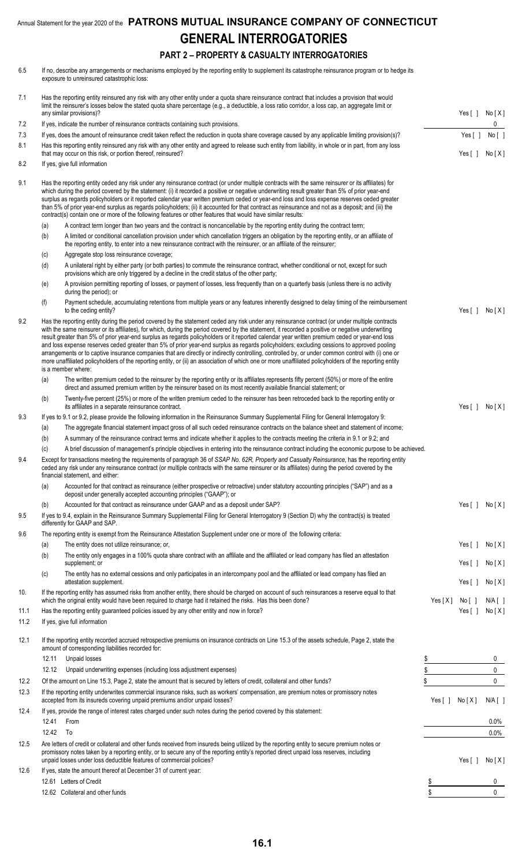### **PART 2 – PROPERTY & CASUALTY INTERROGATORIES**

| 6.5  | If no, describe any arrangements or mechanisms employed by the reporting entity to supplement its catastrophe reinsurance program or to hedge its<br>exposure to unreinsured catastrophic loss: |                                                                                                                                                                                                                                                                                                                                                                                                                                                                                                                                                                                                                                                                                                                                                                                                                                                                                                                                            |           |                        |                         |
|------|-------------------------------------------------------------------------------------------------------------------------------------------------------------------------------------------------|--------------------------------------------------------------------------------------------------------------------------------------------------------------------------------------------------------------------------------------------------------------------------------------------------------------------------------------------------------------------------------------------------------------------------------------------------------------------------------------------------------------------------------------------------------------------------------------------------------------------------------------------------------------------------------------------------------------------------------------------------------------------------------------------------------------------------------------------------------------------------------------------------------------------------------------------|-----------|------------------------|-------------------------|
| 7.1  |                                                                                                                                                                                                 | Has the reporting entity reinsured any risk with any other entity under a quota share reinsurance contract that includes a provision that would<br>limit the reinsurer's losses below the stated quota share percentage (e.g., a deductible, a loss ratio corridor, a loss cap, an aggregate limit or<br>any similar provisions)?                                                                                                                                                                                                                                                                                                                                                                                                                                                                                                                                                                                                          |           | Yes [ ]                | No [ X ]                |
| 7.2  |                                                                                                                                                                                                 | If yes, indicate the number of reinsurance contracts containing such provisions.                                                                                                                                                                                                                                                                                                                                                                                                                                                                                                                                                                                                                                                                                                                                                                                                                                                           |           |                        | 0                       |
| 7.3  |                                                                                                                                                                                                 | If yes, does the amount of reinsurance credit taken reflect the reduction in quota share coverage caused by any applicable limiting provision(s)?                                                                                                                                                                                                                                                                                                                                                                                                                                                                                                                                                                                                                                                                                                                                                                                          |           | Yes $[ ]$              | No [ ]                  |
| 8.1  |                                                                                                                                                                                                 | Has this reporting entity reinsured any risk with any other entity and agreed to release such entity from liability, in whole or in part, from any loss<br>that may occur on this risk, or portion thereof, reinsured?                                                                                                                                                                                                                                                                                                                                                                                                                                                                                                                                                                                                                                                                                                                     |           | Yes[]                  | No [ X ]                |
| 8.2  |                                                                                                                                                                                                 | If yes, give full information                                                                                                                                                                                                                                                                                                                                                                                                                                                                                                                                                                                                                                                                                                                                                                                                                                                                                                              |           |                        |                         |
| 9.1  |                                                                                                                                                                                                 | Has the reporting entity ceded any risk under any reinsurance contract (or under multiple contracts with the same reinsurer or its affiliates) for<br>which during the period covered by the statement: (i) it recorded a positive or negative underwriting result greater than 5% of prior year-end<br>surplus as regards policyholders or it reported calendar year written premium ceded or year-end loss and loss expense reserves ceded greater<br>than 5% of prior year-end surplus as regards policyholders; (ii) it accounted for that contract as reinsurance and not as a deposit; and (iii) the<br>contract(s) contain one or more of the following features or other features that would have similar results:                                                                                                                                                                                                                 |           |                        |                         |
|      | (a)                                                                                                                                                                                             | A contract term longer than two years and the contract is noncancellable by the reporting entity during the contract term;                                                                                                                                                                                                                                                                                                                                                                                                                                                                                                                                                                                                                                                                                                                                                                                                                 |           |                        |                         |
|      | (b)                                                                                                                                                                                             | A limited or conditional cancellation provision under which cancellation triggers an obligation by the reporting entity, or an affiliate of<br>the reporting entity, to enter into a new reinsurance contract with the reinsurer, or an affiliate of the reinsurer;                                                                                                                                                                                                                                                                                                                                                                                                                                                                                                                                                                                                                                                                        |           |                        |                         |
|      | (c)                                                                                                                                                                                             | Aggregate stop loss reinsurance coverage;                                                                                                                                                                                                                                                                                                                                                                                                                                                                                                                                                                                                                                                                                                                                                                                                                                                                                                  |           |                        |                         |
|      | (d)                                                                                                                                                                                             | A unilateral right by either party (or both parties) to commute the reinsurance contract, whether conditional or not, except for such<br>provisions which are only triggered by a decline in the credit status of the other party;                                                                                                                                                                                                                                                                                                                                                                                                                                                                                                                                                                                                                                                                                                         |           |                        |                         |
|      | (e)                                                                                                                                                                                             | A provision permitting reporting of losses, or payment of losses, less frequently than on a quarterly basis (unless there is no activity<br>during the period); or                                                                                                                                                                                                                                                                                                                                                                                                                                                                                                                                                                                                                                                                                                                                                                         |           |                        |                         |
|      | (f)                                                                                                                                                                                             | Payment schedule, accumulating retentions from multiple years or any features inherently designed to delay timing of the reimbursement<br>to the ceding entity?                                                                                                                                                                                                                                                                                                                                                                                                                                                                                                                                                                                                                                                                                                                                                                            |           | Yes $[ ]$              | No[X]                   |
| 9.2  |                                                                                                                                                                                                 | Has the reporting entity during the period covered by the statement ceded any risk under any reinsurance contract (or under multiple contracts<br>with the same reinsurer or its affiliates), for which, during the period covered by the statement, it recorded a positive or negative underwriting<br>result greater than 5% of prior year-end surplus as regards policyholders or it reported calendar year written premium ceded or year-end loss<br>and loss expense reserves ceded greater than 5% of prior year-end surplus as regards policyholders; excluding cessions to approved pooling<br>arrangements or to captive insurance companies that are directly or indirectly controlling, controlled by, or under common control with (i) one or<br>more unaffiliated policyholders of the reporting entity, or (ii) an association of which one or more unaffiliated policyholders of the reporting entity<br>is a member where: |           |                        |                         |
|      | (a)                                                                                                                                                                                             | The written premium ceded to the reinsurer by the reporting entity or its affiliates represents fifty percent (50%) or more of the entire<br>direct and assumed premium written by the reinsurer based on its most recently available financial statement; or                                                                                                                                                                                                                                                                                                                                                                                                                                                                                                                                                                                                                                                                              |           |                        |                         |
|      | (b)                                                                                                                                                                                             | Twenty-five percent (25%) or more of the written premium ceded to the reinsurer has been retroceded back to the reporting entity or<br>its affiliates in a separate reinsurance contract.                                                                                                                                                                                                                                                                                                                                                                                                                                                                                                                                                                                                                                                                                                                                                  |           | Yes[]                  | No [ X ]                |
| 9.3  |                                                                                                                                                                                                 | If yes to 9.1 or 9.2, please provide the following information in the Reinsurance Summary Supplemental Filing for General Interrogatory 9:                                                                                                                                                                                                                                                                                                                                                                                                                                                                                                                                                                                                                                                                                                                                                                                                 |           |                        |                         |
|      | (a)                                                                                                                                                                                             | The aggregate financial statement impact gross of all such ceded reinsurance contracts on the balance sheet and statement of income;                                                                                                                                                                                                                                                                                                                                                                                                                                                                                                                                                                                                                                                                                                                                                                                                       |           |                        |                         |
|      | (b)                                                                                                                                                                                             | A summary of the reinsurance contract terms and indicate whether it applies to the contracts meeting the criteria in 9.1 or 9.2; and                                                                                                                                                                                                                                                                                                                                                                                                                                                                                                                                                                                                                                                                                                                                                                                                       |           |                        |                         |
|      | (c)                                                                                                                                                                                             | A brief discussion of management's principle objectives in entering into the reinsurance contract including the economic purpose to be achieved.                                                                                                                                                                                                                                                                                                                                                                                                                                                                                                                                                                                                                                                                                                                                                                                           |           |                        |                         |
| 9.4  |                                                                                                                                                                                                 | Except for transactions meeting the requirements of paragraph 36 of SSAP No. 62R, Property and Casualty Reinsurance, has the reporting entity<br>ceded any risk under any reinsurance contract (or multiple contracts with the same reinsurer or its affiliates) during the period covered by the<br>financial statement, and either:                                                                                                                                                                                                                                                                                                                                                                                                                                                                                                                                                                                                      |           |                        |                         |
|      | (a)                                                                                                                                                                                             | Accounted for that contract as reinsurance (either prospective or retroactive) under statutory accounting principles ("SAP") and as a<br>deposit under generally accepted accounting principles ("GAAP"); or                                                                                                                                                                                                                                                                                                                                                                                                                                                                                                                                                                                                                                                                                                                               |           |                        |                         |
|      | (b)                                                                                                                                                                                             | Accounted for that contract as reinsurance under GAAP and as a deposit under SAP?                                                                                                                                                                                                                                                                                                                                                                                                                                                                                                                                                                                                                                                                                                                                                                                                                                                          |           | Yes[]                  | No [ X ]                |
| 9.5  |                                                                                                                                                                                                 | If yes to 9.4, explain in the Reinsurance Summary Supplemental Filing for General Interrogatory 9 (Section D) why the contract(s) is treated<br>differently for GAAP and SAP.                                                                                                                                                                                                                                                                                                                                                                                                                                                                                                                                                                                                                                                                                                                                                              |           |                        |                         |
| 9.6  |                                                                                                                                                                                                 | The reporting entity is exempt from the Reinsurance Attestation Supplement under one or more of the following criteria:                                                                                                                                                                                                                                                                                                                                                                                                                                                                                                                                                                                                                                                                                                                                                                                                                    |           |                        |                         |
|      | (a)                                                                                                                                                                                             | The entity does not utilize reinsurance; or,                                                                                                                                                                                                                                                                                                                                                                                                                                                                                                                                                                                                                                                                                                                                                                                                                                                                                               |           | Yes $\lceil \; \rceil$ | No[X]                   |
|      | (b)                                                                                                                                                                                             | The entity only engages in a 100% quota share contract with an affiliate and the affiliated or lead company has filed an attestation<br>supplement; or                                                                                                                                                                                                                                                                                                                                                                                                                                                                                                                                                                                                                                                                                                                                                                                     |           | Yes $[ \ ]$            | No[X]                   |
|      | (c)                                                                                                                                                                                             | The entity has no external cessions and only participates in an intercompany pool and the affiliated or lead company has filed an<br>attestation supplement.                                                                                                                                                                                                                                                                                                                                                                                                                                                                                                                                                                                                                                                                                                                                                                               |           | Yes $[ ]$              | No[X]                   |
| 10.  |                                                                                                                                                                                                 | If the reporting entity has assumed risks from another entity, there should be charged on account of such reinsurances a reserve equal to that<br>which the original entity would have been required to charge had it retained the risks. Has this been done?                                                                                                                                                                                                                                                                                                                                                                                                                                                                                                                                                                                                                                                                              | Yes $[X]$ | No [ ]                 | $N/A$ $\lceil$ $\rceil$ |
| 11.1 |                                                                                                                                                                                                 | Has the reporting entity guaranteed policies issued by any other entity and now in force?                                                                                                                                                                                                                                                                                                                                                                                                                                                                                                                                                                                                                                                                                                                                                                                                                                                  |           | Yes $\lceil \rceil$    | No[X]                   |
| 11.2 |                                                                                                                                                                                                 | If yes, give full information                                                                                                                                                                                                                                                                                                                                                                                                                                                                                                                                                                                                                                                                                                                                                                                                                                                                                                              |           |                        |                         |
| 12.1 |                                                                                                                                                                                                 | If the reporting entity recorded accrued retrospective premiums on insurance contracts on Line 15.3 of the assets schedule, Page 2, state the<br>amount of corresponding liabilities recorded for:                                                                                                                                                                                                                                                                                                                                                                                                                                                                                                                                                                                                                                                                                                                                         |           |                        |                         |
|      | 12.11                                                                                                                                                                                           | Unpaid losses                                                                                                                                                                                                                                                                                                                                                                                                                                                                                                                                                                                                                                                                                                                                                                                                                                                                                                                              | \$        |                        | 0                       |
|      | 12.12                                                                                                                                                                                           | Unpaid underwriting expenses (including loss adjustment expenses)                                                                                                                                                                                                                                                                                                                                                                                                                                                                                                                                                                                                                                                                                                                                                                                                                                                                          | \$        |                        | $\mathbf 0$             |
| 12.2 |                                                                                                                                                                                                 | Of the amount on Line 15.3, Page 2, state the amount that is secured by letters of credit, collateral and other funds?                                                                                                                                                                                                                                                                                                                                                                                                                                                                                                                                                                                                                                                                                                                                                                                                                     | \$        |                        | $\mathbf{0}$            |
| 12.3 |                                                                                                                                                                                                 | If the reporting entity underwrites commercial insurance risks, such as workers' compensation, are premium notes or promissory notes<br>accepted from its insureds covering unpaid premiums and/or unpaid losses?                                                                                                                                                                                                                                                                                                                                                                                                                                                                                                                                                                                                                                                                                                                          | Yes [ ]   | No[X]                  | $N/A$ [ ]               |
| 12.4 | 12.41                                                                                                                                                                                           | If yes, provide the range of interest rates charged under such notes during the period covered by this statement:<br>From                                                                                                                                                                                                                                                                                                                                                                                                                                                                                                                                                                                                                                                                                                                                                                                                                  |           |                        | 0.0%                    |
|      | 12.42                                                                                                                                                                                           | To                                                                                                                                                                                                                                                                                                                                                                                                                                                                                                                                                                                                                                                                                                                                                                                                                                                                                                                                         |           |                        | 0.0%                    |
| 12.5 |                                                                                                                                                                                                 | Are letters of credit or collateral and other funds received from insureds being utilized by the reporting entity to secure premium notes or<br>promissory notes taken by a reporting entity, or to secure any of the reporting entity's reported direct unpaid loss reserves, including                                                                                                                                                                                                                                                                                                                                                                                                                                                                                                                                                                                                                                                   |           |                        |                         |
| 12.6 |                                                                                                                                                                                                 | unpaid losses under loss deductible features of commercial policies?<br>If yes, state the amount thereof at December 31 of current year:                                                                                                                                                                                                                                                                                                                                                                                                                                                                                                                                                                                                                                                                                                                                                                                                   |           | Yes $\lceil \; \rceil$ | No[X]                   |
|      |                                                                                                                                                                                                 | 12.61 Letters of Credit                                                                                                                                                                                                                                                                                                                                                                                                                                                                                                                                                                                                                                                                                                                                                                                                                                                                                                                    |           |                        | 0                       |
|      |                                                                                                                                                                                                 | 12.62 Collateral and other funds                                                                                                                                                                                                                                                                                                                                                                                                                                                                                                                                                                                                                                                                                                                                                                                                                                                                                                           |           |                        | $\Omega$                |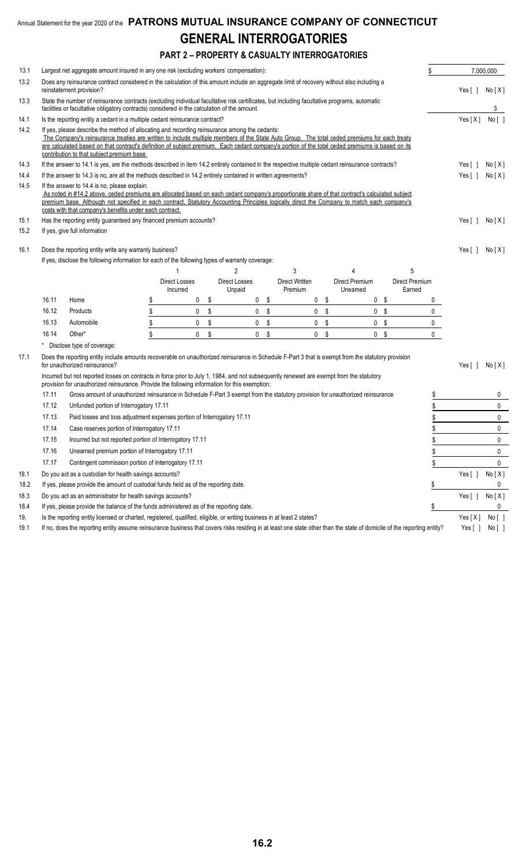### **PART 2 – PROPERTY & CASUALTY INTERROGATORIES**

| 13.1 |                                                                                                                                                                                                                                                                                                                                                                                                          | Largest net aggregate amount insured in any one risk (excluding workers' compensation):                                                                                                                                                                                                                                                                                                                                                         |                   |                                  |    |                                |     |                           |    |                            |                          | \$           |                       | 7,000,000 |
|------|----------------------------------------------------------------------------------------------------------------------------------------------------------------------------------------------------------------------------------------------------------------------------------------------------------------------------------------------------------------------------------------------------------|-------------------------------------------------------------------------------------------------------------------------------------------------------------------------------------------------------------------------------------------------------------------------------------------------------------------------------------------------------------------------------------------------------------------------------------------------|-------------------|----------------------------------|----|--------------------------------|-----|---------------------------|----|----------------------------|--------------------------|--------------|-----------------------|-----------|
| 13.2 |                                                                                                                                                                                                                                                                                                                                                                                                          | Does any reinsurance contract considered in the calculation of this amount include an aggregate limit of recovery without also including a<br>reinstatement provision?                                                                                                                                                                                                                                                                          |                   |                                  |    |                                |     |                           |    |                            |                          |              | Yes[]                 | No [X]    |
| 13.3 |                                                                                                                                                                                                                                                                                                                                                                                                          | State the number of reinsurance contracts (excluding individual facultative risk certificates, but including facultative programs, automatic<br>facilities or facultative obligatory contracts) considered in the calculation of the amount.                                                                                                                                                                                                    |                   |                                  |    |                                |     |                           |    |                            |                          |              |                       | 3         |
| 14.1 |                                                                                                                                                                                                                                                                                                                                                                                                          | Is the reporting entity a cedant in a multiple cedant reinsurance contract?                                                                                                                                                                                                                                                                                                                                                                     |                   |                                  |    |                                |     |                           |    |                            |                          |              | Yes[X]                | No [ ]    |
| 14.2 |                                                                                                                                                                                                                                                                                                                                                                                                          | If yes, please describe the method of allocating and recording reinsurance among the cedants:<br>The Company's reinsurance treaties are written to include multiple members of the State Auto Group. The total ceded premiums for each treaty<br>are calculated based on that contract's definition of subject premium. Each cedant company's portion of the total ceded premiums is based on its<br>contribution to that subject premium base. |                   |                                  |    |                                |     |                           |    |                            |                          |              |                       |           |
| 14.3 |                                                                                                                                                                                                                                                                                                                                                                                                          | If the answer to 14.1 is yes, are the methods described in item 14.2 entirely contained in the respective multiple cedant reinsurance contracts?                                                                                                                                                                                                                                                                                                |                   |                                  |    |                                |     |                           |    |                            |                          |              | Yes [ ]               | No[X]     |
| 14.4 |                                                                                                                                                                                                                                                                                                                                                                                                          | If the answer to 14.3 is no, are all the methods described in 14.2 entirely contained in written agreements?                                                                                                                                                                                                                                                                                                                                    |                   |                                  |    |                                |     |                           |    |                            |                          |              | Yes $\lceil \ \rceil$ | No[X]     |
| 14.5 | If the answer to 14.4 is no, please explain:<br>As noted in #14.2 above, ceded premiums are allocated based on each cedant company's proportionate share of that contract's calculated subject<br>premium base. Although not specified in each contract, Statutory Accounting Principles logically direct the Company to match each company's<br>costs with that company's benefits under each contract. |                                                                                                                                                                                                                                                                                                                                                                                                                                                 |                   |                                  |    |                                |     |                           |    |                            |                          |              |                       |           |
| 15.1 |                                                                                                                                                                                                                                                                                                                                                                                                          | Has the reporting entity guaranteed any financed premium accounts?                                                                                                                                                                                                                                                                                                                                                                              |                   |                                  |    |                                |     |                           |    |                            |                          |              | Yes [ ]               | No[X]     |
| 15.2 |                                                                                                                                                                                                                                                                                                                                                                                                          | If yes, give full information                                                                                                                                                                                                                                                                                                                                                                                                                   |                   |                                  |    |                                |     |                           |    |                            |                          |              |                       |           |
| 16.1 |                                                                                                                                                                                                                                                                                                                                                                                                          | Does the reporting entity write any warranty business?<br>If yes, disclose the following information for each of the following types of warranty coverage:                                                                                                                                                                                                                                                                                      |                   |                                  |    |                                |     |                           |    |                            |                          |              | Yes [ ]               | No[X]     |
|      |                                                                                                                                                                                                                                                                                                                                                                                                          |                                                                                                                                                                                                                                                                                                                                                                                                                                                 |                   |                                  |    | 2                              |     | 3                         |    | 4                          | 5                        |              |                       |           |
|      |                                                                                                                                                                                                                                                                                                                                                                                                          |                                                                                                                                                                                                                                                                                                                                                                                                                                                 |                   | <b>Direct Losses</b><br>Incurred |    | <b>Direct Losses</b><br>Unpaid |     | Direct Written<br>Premium |    | Direct Premium<br>Unearned | Direct Premium<br>Earned |              |                       |           |
|      | 16.11                                                                                                                                                                                                                                                                                                                                                                                                    | Home                                                                                                                                                                                                                                                                                                                                                                                                                                            | \$                | 0                                | \$ | $\mathbf{0}$                   | -\$ | 0                         | \$ |                            | 0 <sup>5</sup>           | 0            |                       |           |
|      | 16.12                                                                                                                                                                                                                                                                                                                                                                                                    | Products                                                                                                                                                                                                                                                                                                                                                                                                                                        | \$                | $\mathbf 0$                      | \$ | 0                              | \$  | 0                         | \$ | $\mathbf{0}$               | -\$                      | 0            |                       |           |
|      | 16.13                                                                                                                                                                                                                                                                                                                                                                                                    | Automobile                                                                                                                                                                                                                                                                                                                                                                                                                                      | $\boldsymbol{\$}$ | 0                                | \$ | $\mathbf 0$                    | \$  | 0                         | \$ |                            | 0 <sup>5</sup>           | 0            |                       |           |
|      | 16.14                                                                                                                                                                                                                                                                                                                                                                                                    | Other*                                                                                                                                                                                                                                                                                                                                                                                                                                          | \$                | $\mathbf 0$                      | \$ | 0 <sup>5</sup>                 |     | $\mathbf{0}$              | \$ |                            | 0 <sup>5</sup>           | $\mathbf{0}$ |                       |           |
|      |                                                                                                                                                                                                                                                                                                                                                                                                          | * Disclose type of coverage:                                                                                                                                                                                                                                                                                                                                                                                                                    |                   |                                  |    |                                |     |                           |    |                            |                          |              |                       |           |
| 17.1 | Does the reporting entity include amounts recoverable on unauthorized reinsurance in Schedule F-Part 3 that is exempt from the statutory provision<br>for unauthorized reinsurance?                                                                                                                                                                                                                      |                                                                                                                                                                                                                                                                                                                                                                                                                                                 |                   |                                  |    |                                |     |                           |    | Yes[]                      | No [X]                   |              |                       |           |
|      | Incurred but not reported losses on contracts in force prior to July 1, 1984, and not subsequently renewed are exempt from the statutory<br>provision for unauthorized reinsurance. Provide the following information for this exemption:                                                                                                                                                                |                                                                                                                                                                                                                                                                                                                                                                                                                                                 |                   |                                  |    |                                |     |                           |    |                            |                          |              |                       |           |
|      | 17.11                                                                                                                                                                                                                                                                                                                                                                                                    | Gross amount of unauthorized reinsurance in Schedule F-Part 3 exempt from the statutory provision for unauthorized reinsurance                                                                                                                                                                                                                                                                                                                  |                   |                                  |    |                                |     |                           |    |                            |                          | \$           |                       | 0         |
|      | 17.12                                                                                                                                                                                                                                                                                                                                                                                                    | Unfunded portion of Interrogatory 17.11                                                                                                                                                                                                                                                                                                                                                                                                         |                   |                                  |    |                                |     |                           |    |                            |                          | \$           |                       | 0         |
|      | 17.13                                                                                                                                                                                                                                                                                                                                                                                                    | Paid losses and loss adjustment expenses portion of Interrogatory 17.11                                                                                                                                                                                                                                                                                                                                                                         |                   |                                  |    |                                |     |                           |    |                            |                          | \$           |                       | 0         |
|      | 17.14                                                                                                                                                                                                                                                                                                                                                                                                    | Case reserves portion of Interrogatory 17.11                                                                                                                                                                                                                                                                                                                                                                                                    |                   |                                  |    |                                |     |                           |    |                            |                          | \$           |                       | 0         |
|      | 17.15                                                                                                                                                                                                                                                                                                                                                                                                    | Incurred but not reported portion of Interrogatory 17.11                                                                                                                                                                                                                                                                                                                                                                                        |                   |                                  |    |                                |     |                           |    |                            |                          | \$           |                       | 0         |
|      | 17.16<br>Unearned premium portion of Interrogatory 17.11                                                                                                                                                                                                                                                                                                                                                 |                                                                                                                                                                                                                                                                                                                                                                                                                                                 |                   |                                  |    |                                |     |                           |    |                            | \$                       |              | 0                     |           |
|      | 17.17                                                                                                                                                                                                                                                                                                                                                                                                    | Contingent commission portion of Interrogatory 17.11                                                                                                                                                                                                                                                                                                                                                                                            |                   |                                  |    |                                |     |                           |    |                            |                          | \$           |                       | 0         |
| 18.1 |                                                                                                                                                                                                                                                                                                                                                                                                          | Do you act as a custodian for health savings accounts?                                                                                                                                                                                                                                                                                                                                                                                          |                   |                                  |    |                                |     |                           |    |                            |                          |              | Yes[ ]                | No [X]    |
| 18.2 |                                                                                                                                                                                                                                                                                                                                                                                                          | If yes, please provide the amount of custodial funds held as of the reporting date.                                                                                                                                                                                                                                                                                                                                                             |                   |                                  |    |                                |     |                           |    |                            |                          | \$           |                       | 0         |
| 18.3 |                                                                                                                                                                                                                                                                                                                                                                                                          | Do you act as an administrator for health savings accounts?                                                                                                                                                                                                                                                                                                                                                                                     |                   |                                  |    |                                |     |                           |    |                            |                          |              | Yes $[ ]$             | No[X]     |
| 18.4 |                                                                                                                                                                                                                                                                                                                                                                                                          | If yes, please provide the balance of the funds administered as of the reporting date.                                                                                                                                                                                                                                                                                                                                                          |                   |                                  |    |                                |     |                           |    |                            |                          | \$           |                       | 0         |
| 19.  |                                                                                                                                                                                                                                                                                                                                                                                                          | Is the reporting entity licensed or charted, registered, qualified, eligible, or writing business in at least 2 states?                                                                                                                                                                                                                                                                                                                         |                   |                                  |    |                                |     |                           |    |                            |                          |              | Yes $[X]$             | No [ ]    |
| 19.1 |                                                                                                                                                                                                                                                                                                                                                                                                          | If no, does the reporting entity assume reinsurance business that covers risks residing in at least one state other than the state of domicile of the reporting entity?                                                                                                                                                                                                                                                                         |                   |                                  |    |                                |     |                           |    |                            |                          |              | Yes $[ ]$             | No[]      |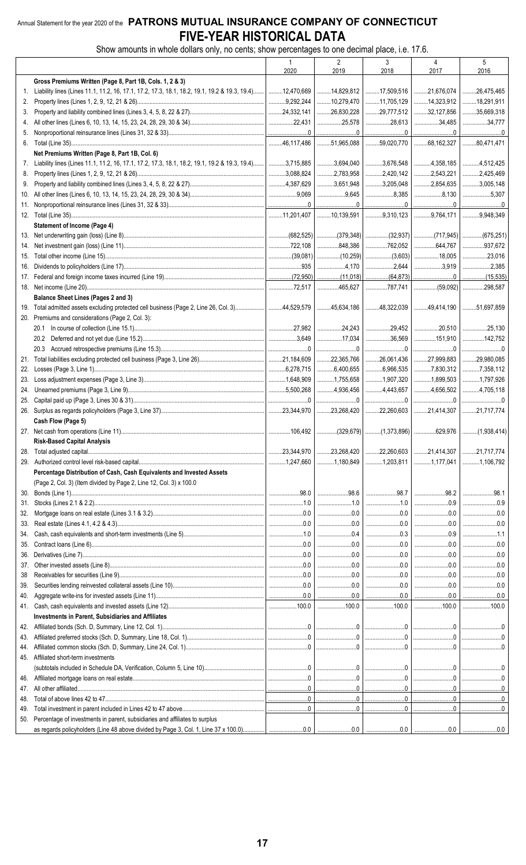### Annual Statement for the year 2020 of the PATRONS MUTUAL INSURANCE COMPANY OF CONNECTICUT FIVE-YEAR HISTORICAL DATA

Show amounts in whole dollars only, no cents; show percentages to one decimal place, i.e. 17.6.

|     |                                                                                                                                    | $\overline{1}$     | $\overline{2}$                                                                                                                                                                                                                                                                                                                 | 3                                                                                                                                                                                                                                                                                                                                                                   | $\overline{4}$                            | 5               |
|-----|------------------------------------------------------------------------------------------------------------------------------------|--------------------|--------------------------------------------------------------------------------------------------------------------------------------------------------------------------------------------------------------------------------------------------------------------------------------------------------------------------------|---------------------------------------------------------------------------------------------------------------------------------------------------------------------------------------------------------------------------------------------------------------------------------------------------------------------------------------------------------------------|-------------------------------------------|-----------------|
|     |                                                                                                                                    | 2020               | 2019                                                                                                                                                                                                                                                                                                                           | 2018                                                                                                                                                                                                                                                                                                                                                                | 2017                                      | 2016            |
|     | Gross Premiums Written (Page 8, Part 1B, Cols. 1, 2 & 3)                                                                           |                    |                                                                                                                                                                                                                                                                                                                                |                                                                                                                                                                                                                                                                                                                                                                     |                                           |                 |
| 1.  | Liability lines (Lines 11.1, 11.2, 16, 17.1, 17.2, 17.3, 18.1, 18.2, 19.1, 19.2 & 19.3, 19.4)   12,470,669                         |                    | 14,829,812                                                                                                                                                                                                                                                                                                                     |                                                                                                                                                                                                                                                                                                                                                                     | $\ldots$ 17,509,516 $\ldots$ 21,676,074   | 26,475,465      |
|     |                                                                                                                                    | 3,292,244          | $\ldots$ 10,279,470                                                                                                                                                                                                                                                                                                            | $\ldots$ 11,705,129                                                                                                                                                                                                                                                                                                                                                 | 14,323,912                                |                 |
| 2.  |                                                                                                                                    |                    |                                                                                                                                                                                                                                                                                                                                |                                                                                                                                                                                                                                                                                                                                                                     |                                           | 18,291,911      |
| 3.  |                                                                                                                                    | $\vert$ 24,332,141 | 26,830,228                                                                                                                                                                                                                                                                                                                     | 29,777,512                                                                                                                                                                                                                                                                                                                                                          | 32,127,856                                | 35,669,318      |
| 4.  |                                                                                                                                    |                    | 25,578                                                                                                                                                                                                                                                                                                                         | $\ldots$ 28,613                                                                                                                                                                                                                                                                                                                                                     | 34,485                                    | 34,777          |
| 5.  |                                                                                                                                    |                    |                                                                                                                                                                                                                                                                                                                                | 0 <u></u> 0                                                                                                                                                                                                                                                                                                                                                         |                                           | 0               |
|     |                                                                                                                                    |                    | $\ldots$ 51,965,088                                                                                                                                                                                                                                                                                                            | $\ldots$ 59,020,770 $68,162,327$                                                                                                                                                                                                                                                                                                                                    |                                           | 80,471,471      |
|     | Net Premiums Written (Page 8, Part 1B, Col. 6)                                                                                     |                    |                                                                                                                                                                                                                                                                                                                                |                                                                                                                                                                                                                                                                                                                                                                     |                                           |                 |
| 7.  | Liability lines (Lines 11.1, 11.2, 16, 17.1, 17.2, 17.3, 18.1, 18.2, 19.1, 19.2 & 19.3, 19.4)   3,715,885                          |                    | 3,694,040                                                                                                                                                                                                                                                                                                                      | 3,676,548                                                                                                                                                                                                                                                                                                                                                           | 1.1114,358,185                            | 4,512,425       |
| 8.  |                                                                                                                                    | 3,088,824          | $\dots$ 2,783,958                                                                                                                                                                                                                                                                                                              | $\ldots$ 2,420,142                                                                                                                                                                                                                                                                                                                                                  | 1.11112.543.221                           | 2,425,469       |
|     |                                                                                                                                    |                    |                                                                                                                                                                                                                                                                                                                                |                                                                                                                                                                                                                                                                                                                                                                     |                                           |                 |
| 9.  |                                                                                                                                    | $1$ 4,387,629      | 3,651,948                                                                                                                                                                                                                                                                                                                      | 3,205,048                                                                                                                                                                                                                                                                                                                                                           | 354,635                                   | 3,005,148       |
| 10. |                                                                                                                                    |                    | 3,645                                                                                                                                                                                                                                                                                                                          | $\dots\dots\dots\dots\dots 8,385$                                                                                                                                                                                                                                                                                                                                   | $\ldots$ 8,130                            | 5,307           |
| 11. |                                                                                                                                    |                    | 0 <u></u> 0                                                                                                                                                                                                                                                                                                                    |                                                                                                                                                                                                                                                                                                                                                                     |                                           | 0               |
|     |                                                                                                                                    |                    | $\ldots$ 10,139,591                                                                                                                                                                                                                                                                                                            | 9,310,123                                                                                                                                                                                                                                                                                                                                                           |                                           |                 |
|     | <b>Statement of Income (Page 4)</b>                                                                                                |                    |                                                                                                                                                                                                                                                                                                                                |                                                                                                                                                                                                                                                                                                                                                                     |                                           |                 |
|     |                                                                                                                                    |                    | (682,525) (379,348) (32,937) (717,945) (675,251)                                                                                                                                                                                                                                                                               |                                                                                                                                                                                                                                                                                                                                                                     |                                           |                 |
| 14. |                                                                                                                                    |                    | 848,386                                                                                                                                                                                                                                                                                                                        |                                                                                                                                                                                                                                                                                                                                                                     |                                           | $$ 937,672      |
|     |                                                                                                                                    | $\vert$ (39,081)   | $\left  \dots \dots \dots \dots (10,259) \right  \dots \dots \dots (3,603) \right  \dots \dots \dots 18,005$                                                                                                                                                                                                                   |                                                                                                                                                                                                                                                                                                                                                                     |                                           | $\ldots$ 23,016 |
|     |                                                                                                                                    |                    |                                                                                                                                                                                                                                                                                                                                |                                                                                                                                                                                                                                                                                                                                                                     |                                           |                 |
|     |                                                                                                                                    |                    |                                                                                                                                                                                                                                                                                                                                | $\ldots$ 2,644                                                                                                                                                                                                                                                                                                                                                      | 3,919                                     | 2,385           |
|     |                                                                                                                                    |                    |                                                                                                                                                                                                                                                                                                                                |                                                                                                                                                                                                                                                                                                                                                                     |                                           |                 |
|     |                                                                                                                                    |                    |                                                                                                                                                                                                                                                                                                                                |                                                                                                                                                                                                                                                                                                                                                                     |                                           |                 |
|     | Balance Sheet Lines (Pages 2 and 3)                                                                                                |                    |                                                                                                                                                                                                                                                                                                                                |                                                                                                                                                                                                                                                                                                                                                                     |                                           |                 |
|     | 19. Total admitted assets excluding protected cell business (Page 2, Line 26, Col. 3) 44,529,579                                   |                    | 45,634,186                                                                                                                                                                                                                                                                                                                     | $\ldots$ 48,322,039                                                                                                                                                                                                                                                                                                                                                 | 1.11114.190                               | 51,697,859      |
|     | 20. Premiums and considerations (Page 2, Col. 3):                                                                                  |                    |                                                                                                                                                                                                                                                                                                                                |                                                                                                                                                                                                                                                                                                                                                                     |                                           |                 |
|     |                                                                                                                                    | 27.982             |                                                                                                                                                                                                                                                                                                                                | 29,452                                                                                                                                                                                                                                                                                                                                                              | $\ldots$ 20,510                           | 25,130          |
|     |                                                                                                                                    | $1$ 3,649          |                                                                                                                                                                                                                                                                                                                                | $\ldots$ 36,569                                                                                                                                                                                                                                                                                                                                                     | 151,910                                   | 142.752         |
|     |                                                                                                                                    |                    |                                                                                                                                                                                                                                                                                                                                |                                                                                                                                                                                                                                                                                                                                                                     |                                           |                 |
|     |                                                                                                                                    |                    | $\begin{array}{l} \rule{0.2cm}{0.15mm} \ldots \end{array} \qquad \begin{array}{ll} \rule{0.2cm}{0.15mm} \ldots \end{array} \qquad \begin{array}{ll} \rule{0.2cm}{0.15mm} \ldots \end{array} \qquad \begin{array}{ll} \rule{0.2cm}{0.15mm} \ldots \end{array} \qquad \begin{array}{ll} \rule{0.2cm}{0.15mm} \ldots \end{array}$ | $\begin{picture}(20,20) \put(0,0){\vector(1,0){100}} \put(15,0){\vector(1,0){100}} \put(15,0){\vector(1,0){100}} \put(15,0){\vector(1,0){100}} \put(15,0){\vector(1,0){100}} \put(15,0){\vector(1,0){100}} \put(15,0){\vector(1,0){100}} \put(15,0){\vector(1,0){100}} \put(15,0){\vector(1,0){100}} \put(15,0){\vector(1,0){100}} \put(15,0){\vector(1,0){100}} \$ | 0                                         |                 |
|     |                                                                                                                                    |                    | $\ldots$ 22,365,766                                                                                                                                                                                                                                                                                                            | $1.11$ 26,061,436                                                                                                                                                                                                                                                                                                                                                   | 27,999,883                                | 29,980,085      |
|     |                                                                                                                                    | $$ 6,278,715       | $\ldots$ 6,400,655                                                                                                                                                                                                                                                                                                             | $\ldots$ 6,966,535                                                                                                                                                                                                                                                                                                                                                  | 7,830,312                                 | 7,358,112       |
| 23. |                                                                                                                                    | $\vert$ 1,648,909  | 1,755,658                                                                                                                                                                                                                                                                                                                      | 1,907,320                                                                                                                                                                                                                                                                                                                                                           | 1,899,503                                 | 1,797,926       |
| 24. |                                                                                                                                    |                    | 1.1, 4.936, 456                                                                                                                                                                                                                                                                                                                | 1.1114.443.657                                                                                                                                                                                                                                                                                                                                                      | 1.11114.656.502                           | 4,705,118       |
|     |                                                                                                                                    |                    | 0                                                                                                                                                                                                                                                                                                                              | 0                                                                                                                                                                                                                                                                                                                                                                   | 0                                         |                 |
|     |                                                                                                                                    |                    | $\ldots$ 23,268,420                                                                                                                                                                                                                                                                                                            | $\ldots$ 22,260,603                                                                                                                                                                                                                                                                                                                                                 | 21,414,307                                | 21,717,774      |
|     | Cash Flow (Page 5)                                                                                                                 |                    |                                                                                                                                                                                                                                                                                                                                |                                                                                                                                                                                                                                                                                                                                                                     |                                           |                 |
|     |                                                                                                                                    | 106.492            | │(329,679)│(1,373,896)│629,976 │(1,938,414)                                                                                                                                                                                                                                                                                    |                                                                                                                                                                                                                                                                                                                                                                     |                                           |                 |
|     |                                                                                                                                    |                    |                                                                                                                                                                                                                                                                                                                                |                                                                                                                                                                                                                                                                                                                                                                     |                                           |                 |
|     | <b>Risk-Based Capital Analysis</b>                                                                                                 |                    |                                                                                                                                                                                                                                                                                                                                |                                                                                                                                                                                                                                                                                                                                                                     |                                           |                 |
| 28. |                                                                                                                                    |                    | 1.11123,268,420                                                                                                                                                                                                                                                                                                                |                                                                                                                                                                                                                                                                                                                                                                     | $\ldots$ 22,260,603 21,414,307 21,717,774 |                 |
|     |                                                                                                                                    |                    | 1,180,849                                                                                                                                                                                                                                                                                                                      |                                                                                                                                                                                                                                                                                                                                                                     |                                           | 1,106,792       |
|     | Percentage Distribution of Cash, Cash Equivalents and Invested Assets                                                              |                    |                                                                                                                                                                                                                                                                                                                                |                                                                                                                                                                                                                                                                                                                                                                     |                                           |                 |
|     | (Page 2, Col. 3) (Item divided by Page 2, Line 12, Col. 3) x 100.0                                                                 |                    |                                                                                                                                                                                                                                                                                                                                |                                                                                                                                                                                                                                                                                                                                                                     |                                           |                 |
| 30. |                                                                                                                                    |                    | 98.6                                                                                                                                                                                                                                                                                                                           | 98.7                                                                                                                                                                                                                                                                                                                                                                | $\ldots$ 98.2                             | 98.1            |
| 31. |                                                                                                                                    |                    | $\ldots$                                                                                                                                                                                                                                                                                                                       |                                                                                                                                                                                                                                                                                                                                                                     | $\ldots$ 0.9                              | 0.9             |
| 32. |                                                                                                                                    |                    |                                                                                                                                                                                                                                                                                                                                |                                                                                                                                                                                                                                                                                                                                                                     | $\ldots$ 0.0                              | $\ldots$ 0.0    |
|     |                                                                                                                                    |                    |                                                                                                                                                                                                                                                                                                                                |                                                                                                                                                                                                                                                                                                                                                                     |                                           |                 |
| 33. |                                                                                                                                    |                    |                                                                                                                                                                                                                                                                                                                                |                                                                                                                                                                                                                                                                                                                                                                     |                                           |                 |
| 34. |                                                                                                                                    |                    |                                                                                                                                                                                                                                                                                                                                | $\ldots$ 0.3                                                                                                                                                                                                                                                                                                                                                        |                                           | 1.1             |
| 35. |                                                                                                                                    |                    | 0.0                                                                                                                                                                                                                                                                                                                            |                                                                                                                                                                                                                                                                                                                                                                     | $\ldots$ 0.0                              | $\ldots$ 0.0    |
|     |                                                                                                                                    |                    | $\begin{array}{c} 0.0 \\ \cdots \end{array}$                                                                                                                                                                                                                                                                                   | $\ldots$ 0.0                                                                                                                                                                                                                                                                                                                                                        |                                           | $\ldots$ 0.0    |
| 37. |                                                                                                                                    |                    |                                                                                                                                                                                                                                                                                                                                | $\ldots$ 0.0                                                                                                                                                                                                                                                                                                                                                        |                                           | $\ldots$ 0.0    |
| 38  |                                                                                                                                    |                    | $\begin{array}{ccc}\n&\mathbf{0.0}\n\end{array}$                                                                                                                                                                                                                                                                               | $\ldots$ 0.0                                                                                                                                                                                                                                                                                                                                                        |                                           |                 |
| 39. |                                                                                                                                    |                    | $\begin{array}{ccc}\n&\mathbf{0.0}\n\end{array}$                                                                                                                                                                                                                                                                               | $\ldots$ 0.0                                                                                                                                                                                                                                                                                                                                                        |                                           |                 |
| 40. |                                                                                                                                    |                    |                                                                                                                                                                                                                                                                                                                                |                                                                                                                                                                                                                                                                                                                                                                     |                                           | 0.0             |
|     |                                                                                                                                    |                    |                                                                                                                                                                                                                                                                                                                                |                                                                                                                                                                                                                                                                                                                                                                     |                                           |                 |
|     |                                                                                                                                    |                    |                                                                                                                                                                                                                                                                                                                                |                                                                                                                                                                                                                                                                                                                                                                     |                                           |                 |
|     | Investments in Parent, Subsidiaries and Affiliates                                                                                 |                    |                                                                                                                                                                                                                                                                                                                                |                                                                                                                                                                                                                                                                                                                                                                     |                                           |                 |
|     |                                                                                                                                    |                    |                                                                                                                                                                                                                                                                                                                                |                                                                                                                                                                                                                                                                                                                                                                     |                                           |                 |
| 43. |                                                                                                                                    |                    |                                                                                                                                                                                                                                                                                                                                |                                                                                                                                                                                                                                                                                                                                                                     |                                           |                 |
| 44. |                                                                                                                                    |                    |                                                                                                                                                                                                                                                                                                                                |                                                                                                                                                                                                                                                                                                                                                                     |                                           |                 |
|     | 45. Affiliated short-term investments                                                                                              |                    |                                                                                                                                                                                                                                                                                                                                |                                                                                                                                                                                                                                                                                                                                                                     |                                           |                 |
|     |                                                                                                                                    |                    |                                                                                                                                                                                                                                                                                                                                |                                                                                                                                                                                                                                                                                                                                                                     |                                           |                 |
|     |                                                                                                                                    |                    |                                                                                                                                                                                                                                                                                                                                |                                                                                                                                                                                                                                                                                                                                                                     |                                           |                 |
| 47. |                                                                                                                                    |                    |                                                                                                                                                                                                                                                                                                                                |                                                                                                                                                                                                                                                                                                                                                                     |                                           |                 |
| 48. |                                                                                                                                    |                    |                                                                                                                                                                                                                                                                                                                                |                                                                                                                                                                                                                                                                                                                                                                     |                                           |                 |
|     |                                                                                                                                    |                    |                                                                                                                                                                                                                                                                                                                                |                                                                                                                                                                                                                                                                                                                                                                     |                                           |                 |
| 49. |                                                                                                                                    |                    |                                                                                                                                                                                                                                                                                                                                |                                                                                                                                                                                                                                                                                                                                                                     |                                           |                 |
|     | 50. Percentage of investments in parent, subsidiaries and affiliates to surplus                                                    |                    |                                                                                                                                                                                                                                                                                                                                |                                                                                                                                                                                                                                                                                                                                                                     |                                           |                 |
|     | as regards policyholders (Line 48 above divided by Page 3, Col. 1, Line 37 x 100.0) $\begin{bmatrix} 0 & 0 \\ 0 & 1 \end{bmatrix}$ |                    | 00 <sub>1</sub>                                                                                                                                                                                                                                                                                                                | 00                                                                                                                                                                                                                                                                                                                                                                  | 001                                       | 0 U             |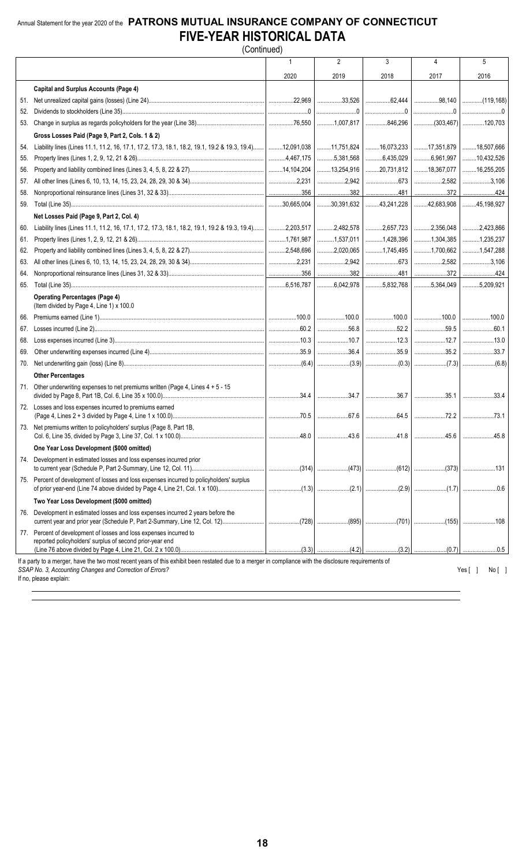### Annual Statement for the year 2020 of the **PATRONS MUTUAL INSURANCE COMPANY OF CONNECTICUT FIVE-YEAR HISTORICAL DATA** (Continued)

|     |                                                                                                                                                                                                                    | 1    | $\overline{2}$                                     | 3           | 4    | 5             |
|-----|--------------------------------------------------------------------------------------------------------------------------------------------------------------------------------------------------------------------|------|----------------------------------------------------|-------------|------|---------------|
|     |                                                                                                                                                                                                                    | 2020 | 2019                                               | 2018        | 2017 | 2016          |
|     | <b>Capital and Surplus Accounts (Page 4)</b>                                                                                                                                                                       |      |                                                    |             |      |               |
|     |                                                                                                                                                                                                                    |      |                                                    |             |      |               |
| 52. |                                                                                                                                                                                                                    |      |                                                    |             |      |               |
|     |                                                                                                                                                                                                                    |      |                                                    |             |      |               |
|     | Gross Losses Paid (Page 9, Part 2, Cols. 1 & 2)                                                                                                                                                                    |      |                                                    |             |      |               |
| 54. | Liability lines (Lines 11.1, 11.2, 16, 17.1, 17.2, 17.3, 18.1, 18.2, 19.1, 19.2 & 19.3, 19.4)   12,091,038   17,51,824   16,073,233   17,351,879   18,507,666                                                      |      |                                                    |             |      |               |
| 55. |                                                                                                                                                                                                                    |      |                                                    |             |      |               |
| 56. |                                                                                                                                                                                                                    |      |                                                    |             |      |               |
| 57. |                                                                                                                                                                                                                    |      |                                                    |             |      |               |
| 58. |                                                                                                                                                                                                                    |      |                                                    |             |      |               |
|     |                                                                                                                                                                                                                    |      |                                                    |             |      |               |
|     | Net Losses Paid (Page 9, Part 2, Col. 4)                                                                                                                                                                           |      |                                                    |             |      |               |
| 60. |                                                                                                                                                                                                                    |      |                                                    |             |      |               |
| 61. |                                                                                                                                                                                                                    |      |                                                    |             |      |               |
| 62. |                                                                                                                                                                                                                    |      |                                                    |             |      |               |
| 63. |                                                                                                                                                                                                                    |      |                                                    |             |      |               |
| 64. |                                                                                                                                                                                                                    |      |                                                    |             |      |               |
| 65. |                                                                                                                                                                                                                    |      |                                                    |             |      |               |
|     | <b>Operating Percentages (Page 4)</b><br>(Item divided by Page 4, Line 1) x 100.0                                                                                                                                  |      |                                                    |             |      |               |
|     |                                                                                                                                                                                                                    |      |                                                    |             |      |               |
| 67. |                                                                                                                                                                                                                    |      |                                                    | 56.8   52.2 | 59.5 | 60.1          |
| 68. |                                                                                                                                                                                                                    |      | $\ldots$ 10.7 $\ldots$ 10.7 $\ldots$ 12.3 $\ldots$ |             | 12.7 | 13.0          |
| 69. |                                                                                                                                                                                                                    |      |                                                    |             |      |               |
| 70. |                                                                                                                                                                                                                    |      |                                                    |             |      |               |
|     | <b>Other Percentages</b>                                                                                                                                                                                           |      |                                                    |             |      |               |
|     | 71. Other underwriting expenses to net premiums written (Page 4, Lines $4 + 5 - 15$                                                                                                                                |      |                                                    |             |      |               |
|     | 72. Losses and loss expenses incurred to premiums earned                                                                                                                                                           |      |                                                    |             |      |               |
|     |                                                                                                                                                                                                                    |      |                                                    |             |      |               |
|     | 73. Net premiums written to policyholders' surplus (Page 8, Part 1B,                                                                                                                                               |      |                                                    |             |      |               |
|     | One Year Loss Development (\$000 omitted)                                                                                                                                                                          |      |                                                    |             |      |               |
|     | 74. Development in estimated losses and loss expenses incurred prior                                                                                                                                               |      |                                                    |             |      |               |
|     | 75. Percent of development of losses and loss expenses incurred to policyholders' surplus                                                                                                                          |      |                                                    |             |      |               |
|     | Two Year Loss Development (\$000 omitted)                                                                                                                                                                          |      |                                                    |             |      |               |
|     | 76. Development in estimated losses and loss expenses incurred 2 years before the<br>current year and prior year (Schedule P, Part 2-Summary, Line 12, Col. 12)(728) (701) (155)                                   |      |                                                    |             |      |               |
|     | 77. Percent of development of losses and loss expenses incurred to<br>reported policyholders' surplus of second prior-year end                                                                                     |      |                                                    |             |      |               |
|     |                                                                                                                                                                                                                    |      |                                                    |             |      |               |
|     | If a party to a merger, have the two most recent years of this exhibit been restated due to a merger in compliance with the disclosure requirements of<br>SSAP No. 3, Accounting Changes and Correction of Errors? |      |                                                    |             |      | Yes [<br>No [ |

If no, please explain: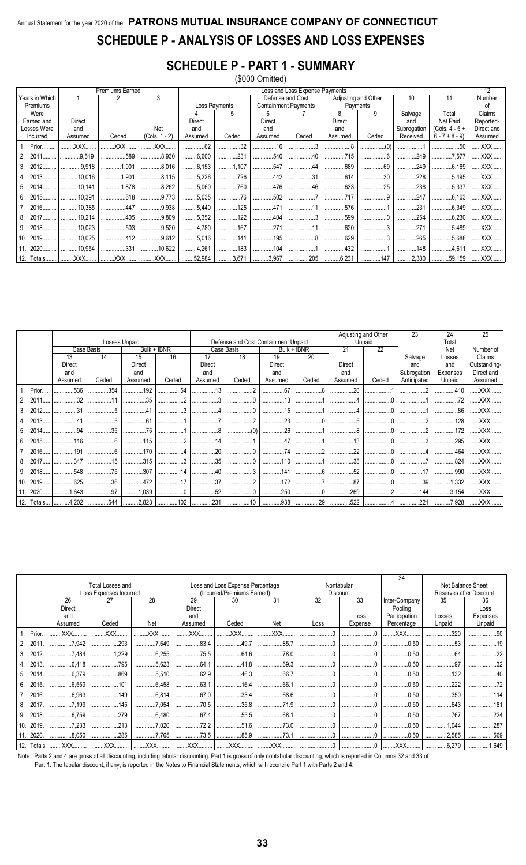### Annual Statement for the year 2020 of the PATRONS MUTUAL INSURANCE COMPANY OF CONNECTICUT SCHEDULE P - ANALYSIS OF LOSSES AND LOSS EXPENSES

### **SCHEDULE P - PART 1 - SUMMARY**

|  |  | (\$000 Omitted) |  |
|--|--|-----------------|--|
|  |  |                 |  |

|     |                |                | <b>Premiums Earned</b> |                 |               |               |                                          | Loss and Loss Expense Payments                 |          |                     |             |                  | 12         |
|-----|----------------|----------------|------------------------|-----------------|---------------|---------------|------------------------------------------|------------------------------------------------|----------|---------------------|-------------|------------------|------------|
|     | Years in Which |                |                        | 3               |               |               |                                          | Defense and Cost                               |          | Adjusting and Other | 10          | 11               | Number     |
|     | Premiums       |                |                        |                 |               | Loss Payments |                                          | <b>Containment Payments</b>                    | Payments |                     |             |                  | οf         |
|     | Were           |                |                        |                 |               | 5             | 6                                        |                                                | 8        | 9                   | Salvage     | Total            | Claims     |
|     | Earned and     | Direct         |                        |                 | <b>Direct</b> |               | Direct                                   |                                                | Direct   |                     | and         | Net Paid         | Reported-  |
|     | Losses Were    | and            |                        | Net             | and           |               | and                                      |                                                | and      |                     | Subrogation | $(Cols. 4 - 5 +$ | Direct and |
|     | Incurred       | Assumed        | Ceded                  | $(Cols. 1 - 2)$ | Assumed       | Ceded         | Assumed                                  | Ceded                                          | Assumed  | Ceded               | Received    | $6 - 7 + 8 - 9$  | Assumed    |
|     | 1. Prior       | XXX.           | XXX.                   | <b>XXX</b>      | .62           | 32            | 16                                       |                                                |          |                     |             | .50              | XXX        |
|     | 2011           | .9,519         | .589<br>               | 8.930<br>.      | 6,600         | .231<br>      | .540<br>                                 | $\ldots \ldots \ldots \ldots \ldots \ldots 40$ | .715     | .                   | .249<br>.   | .7,577<br>       | XXX        |
| 3.  | 2012.          | 9,918          | 1,901                  | 8,016           | 6.153         | 1,107         | 547                                      | 44                                             | 689      | 69                  | 249         | $\ldots$ 6,169   | XXX        |
| 4.  |                | .10.016        | 1,901                  | 8,115           | 5,226         | 726           | 442                                      | 31                                             | .614     | 30                  | .228<br>.   | .5.495<br>.      | XXX        |
| 5.  | 2014.          | .10.141        | .1.878                 | 8,262<br>.      | 5,060         | 760           | 476                                      | 46                                             | .633     | 25                  | 238         | .5.337<br>.      | XXX        |
|     | 6. 2015.       | .10,391        | .618<br>               | 9.773<br>.      | 5,035         | 76            | $\ldots \ldots \ldots \ldots \ldots 502$ | .                                              | .717     | .                   | 247<br>.    | .6.163<br>.      | XXX        |
|     | 7. 2016.       | .10,385        | 447                    | 9,938           | 5,440         | 125           | 471                                      |                                                | .576     |                     | 231         | .6,349<br>       | XXX        |
| 8.  | 2017.          | 10,214         | .405                   | $\ldots$ 9,809  | 5,352         | 122           | 404                                      | .                                              | .599     | .                   | . 254       | .6.230           | XXX        |
| 9.  | 2018.          | $\dots$ 10,023 | .503                   | .9,520<br>.     | 4.780         | 167           | 271                                      | 11                                             | .620     |                     | 271         | .5.489<br>       | XXX        |
| 10. | 2019.          | .10,025        | .412                   | 9,612           | 5,016         | 141           | 195                                      | 8                                              | .629     | .                   | .265        | .5,688<br>       | XXX        |
| 11. | 2020.          | 10,954         | 331                    | 10,622          | 4,261         | 183           | 104                                      |                                                | 432      | .                   | 148         | 4,611            | XXX        |
|     | 12. Totals     | $.$ $XXX$      | XXX                    | XXX             | 32,984        | 3,671         | 3,967                                    | 205                                            | 6,231    | 147                 | .2,380      | 59,159           | XXX        |

|    |            |         |            |               |                                                |         |                                     |         |             | Adjusting and Other |        | 23          | 24             | 25           |
|----|------------|---------|------------|---------------|------------------------------------------------|---------|-------------------------------------|---------|-------------|---------------------|--------|-------------|----------------|--------------|
|    |            |         |            | Losses Unpaid |                                                |         | Defense and Cost Containment Unpaid |         |             |                     | Unpaid |             | Total          |              |
|    |            |         | Case Basis |               | Bulk + IBNR                                    |         | Case Basis                          |         | Bulk + IBNR | 21                  | 22     |             | Net            | Number of    |
|    |            | 13      | 14         | 15            | 16                                             | 17      | 18                                  | 19      | 20          |                     |        | Salvage     | Losses         | Claims       |
|    |            | Direct  |            | Direct        |                                                | Direct  |                                     | Direct  |             | Direct              |        | and         | and            | Outstanding- |
|    |            | and     |            | and           |                                                | and     |                                     | and     |             | and                 |        | Subrogation | Expenses       | Direct and   |
|    |            | Assumed | Ceded      | Assumed       | Ceded                                          | Assumed | Ceded                               | Assumed | Ceded       | Assumed             | Ceded  | Anticipated | Unpaid         | Assumed      |
|    | 1. Prior.  | .536    | .354       | 192           | $\dots$ 54                                     | 13      |                                     | .67     |             | 20                  |        |             | 410            | XXX          |
|    |            | 32      |            | 35            |                                                |         |                                     |         |             |                     |        |             |                | XXX          |
| 3. | 2012       | 21      |            |               |                                                |         |                                     | 15      |             |                     |        |             | .86            | XXX.         |
|    | 4. 2013.   |         |            | .61           |                                                |         |                                     | 23      |             |                     |        |             | .128           | XXX          |
|    | 5. 2014.   | .94     | .35        | .75<br>.      |                                                |         | (0)<br>.                            | 26      |             |                     |        |             | .172           | XXX.         |
|    | 6. 2015    | .116    |            | .115          | C                                              | .14     |                                     | .47     |             | .13                 |        |             | 295            | XXX          |
|    | 7. 2016.   | .191    |            | 170           |                                                | 20      |                                     | 74      |             | 22                  |        |             | .464           | .XXX         |
|    | 8. 2017    | .347    | .15        | .315          |                                                | .35     | .                                   | 110     |             | .38                 |        |             | .824           | XXX.         |
|    | 9. 2018.   | 548     | .75        | 307           | $\ldots \ldots \ldots \ldots \ldots \ldots 14$ | 40      | .                                   | 141     | 6           | .52                 |        | 17          | 990            | XXX          |
|    | 10. 2019.  | 625     | .36        | .472<br>.     | 17                                             | 37      | . 4                                 | 172     |             | .87                 |        | .39         | $\ldots$ 1,332 | XXX          |
|    | 11. 2020   | 1,643   | .97        | 1.039         |                                                | .52     |                                     | 250     |             | .269                |        | 144         | $\ldots$ 3,154 | XXX          |
|    | 12. Totals | 1.1202  | 644        | $1$ 2,823     | 102                                            | 231     | 10                                  |         | 29          | 522                 |        | 221         | 7,928          | XXX          |

|     |            |               | Total Losses and<br>Loss Expenses Incurred |             |            | Loss and Loss Expense Percentage<br>(Incurred/Premiums Earned) |            |                 | Nontabular<br><b>Discount</b> | 34            |            | Net Balance Sheet<br>Reserves after Discount |
|-----|------------|---------------|--------------------------------------------|-------------|------------|----------------------------------------------------------------|------------|-----------------|-------------------------------|---------------|------------|----------------------------------------------|
|     |            | 26            | 27                                         | 28          | 29         | 30                                                             | 31         | $\overline{32}$ | 33                            | Inter-Company | 35         | 36                                           |
|     |            | <b>Direct</b> |                                            | Direct      |            |                                                                |            |                 | Pooling                       |               | Loss       |                                              |
|     |            | and           |                                            |             | and        |                                                                |            |                 | Loss                          | Participation | Losses     | Expenses                                     |
|     |            | Assumed       | Ceded                                      | Net         | Assumed    | Ceded                                                          | Net        | Loss            | Expense                       | Percentage    | Unpaid     | Unpaid                                       |
|     | 1. Prior.  | XXX           | .XXX                                       | XXX.        | XXX        | <b>XXX</b>                                                     | XXX        |                 |                               | XXX.          | 320        |                                              |
| 2.  | 2011       | .7.942        | .293<br>                                   | 7,649       | .83.4<br>  | 49.7                                                           | .85.7      |                 |                               | .0.50         |            |                                              |
| 3.  | 2012       | 7.484         | 1.229<br>.                                 | .6.255<br>  | .75.5<br>. | .64.6<br>.                                                     | .78.0      |                 |                               | .0.50         | 64         |                                              |
|     | 4. 2013    | .6.418        | 795                                        | .5.623      | .64.1      | .41.8<br>.                                                     | .69.3      |                 |                               | .0.50         | .97        |                                              |
|     | 5. 2014.   | 6,379         | .869<br>                                   | .5.510<br>. | .62.9<br>. | .46.3<br>                                                      | .66.7<br>. |                 |                               | .0.50         | 132        |                                              |
| 6.  | 2015.      | .6.559        | .101                                       | .6.458      | .63.1<br>. | .16.4<br>.                                                     | .66.1<br>. |                 |                               | .0.50         | .222       |                                              |
|     | 7. 2016.   | .6,963        | .149                                       | .6,814<br>  | .67.0      | .33.4<br>.                                                     | .68.6<br>. |                 |                               | .0.50         | .350       |                                              |
| 8.  | 2017       | 7,199         | 145                                        | 7,054       | 70.5       | .35.8<br>.                                                     | .71.9      |                 |                               | .0.50         | .643       |                                              |
| 9.  | 2018.      | .6.759        | .279                                       | .6.480      | .67.4      | .55.5<br>.                                                     | .68.1      |                 |                               | .0.50         | 767        |                                              |
| 10. | 2019.      | .7,233        | .213<br>                                   | .7.020      | .72.2<br>. | .51.6<br>                                                      | .73.0      |                 |                               | .0.50         | 1.044<br>  |                                              |
|     | 2020       | .8,050<br>    | .285                                       | 7.765       | .73.5      | .85.9                                                          | .73.1      |                 |                               | .0.50         | .2,585<br> |                                              |
|     | 12. Totals | XXX           | .XXX                                       | XXX         | XXX        | XXX                                                            | XXX        |                 |                               | XXX           | 6,279      | 1,649                                        |

Note: Parts 2 and 4 are gross of all discounting, including tabular discounting. Part 1 is gross of only nontabular discounting, which is reported in Columns 32 and 33 of Part 1. The tabular discount, if any, is reported in the Notes to Financial Statements, which will reconcile Part 1 with Parts 2 and 4.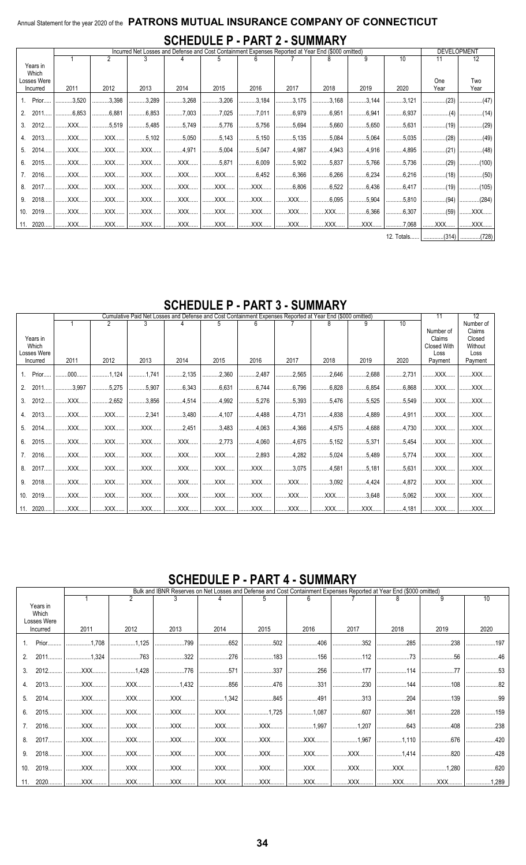### Annual Statement for the year 2020 of the PATRONS MUTUAL INSURANCE COMPANY OF CONNECTICUT **SCHEDULE P - PART 2 - SUMMARY**

|                                  |          |                  | <b>DEVELOPMENT</b> |                |                |                |                                     |               |                                |               |                                      |                                 |       |
|----------------------------------|----------|------------------|--------------------|----------------|----------------|----------------|-------------------------------------|---------------|--------------------------------|---------------|--------------------------------------|---------------------------------|-------|
|                                  |          | 10<br>2<br>9     |                    |                |                |                |                                     |               |                                |               | 11                                   | 12                              |       |
| Years in<br>Which<br>Losses Were |          |                  |                    |                |                |                |                                     |               |                                |               |                                      | One                             | Two   |
|                                  | Incurred | 2011             | 2012               | 2013           | 2014           | 2015           | 2016                                | 2017          | 2018                           | 2019          | 2020                                 | Year                            | Year  |
|                                  | 1. Prior | $\ldots$ 3.520   | 3,398              | 3,289          | $\ldots$ 3,268 | $\ldots$ 3,206 | 3,184                               | 3,175         | $\ldots$ 3.168                 | $\vert$ 3,144 | $\dots$ 3,121                        |                                 |       |
|                                  | 2. 2011  | $1$ 6,853        | 6,881              | $\ldots$ 6,853 | 7,003          |                | 7,011                               | $\dots$ 6,979 | $\ldots$ $6,951$               | $ $ 6,941     | $\ldots$ 6,937                       | $\dots\dots\dots\dots\dots(4)$  |       |
|                                  | 3. 2012  |                  |                    | $\ldots$ 5,485 | $\ldots$ 5,749 | $\ldots$ 5,776 | $\ldots$ 5,756                      |               | $\dots$ 5,694   5,660          | $\vert$ 5,650 | $\ldots$ 5,631                       | $ $ (19)                        |       |
|                                  | 2013     | XXX   XXX        |                    | $\ldots$ 5,102 | $\ldots$ 5,050 | $\ldots$ 5,143 | $\ldots$ 5,150                      |               | $\ldots$ 5,135   5,084   5,064 |               | $\ldots$ 5,035                       | $\dots\dots\dots\dots\dots(28)$ |       |
|                                  |          | 2014   XXX   XXX |                    | XXX            | 1.1.1.4.971    | $\ldots$ 5,004 | $\ldots$ 5,047                      |               |                                |               | $ $ 4,895                            | $\ldots$ (21)                   |       |
| 6.                               | 2015     | l XXX            | XXX                | XXX            | XXX            | $\ldots$ 5,871 | $\ldots \ldots \ldots \ldots 6,009$ |               | $\ldots$ 5,902 5,837           | $1$ 5,766     | $\ldots$ 5,736                       | $ $ (29)                        |       |
|                                  | 7.2016   | XXX              | XXX                | XXX            | XXX            |                | XXX   6.452                         |               |                                |               | 6,366   6,266   6,234   6,216   (18) |                                 |       |
|                                  | 2017     | XXX              | XXX                | XXX            | XXX            |                | XXX   XXX                           |               | 6,806     6,522     6,436      |               | $$ 6,417                             | $ $ (19)                        |       |
| 9.                               | 2018     | XXX              | XXX                | XXX            | XXX            | XXX            |                                     |               |                                | $\vert$ 5,904 | $\ldots$ 5,810                       |                                 |       |
|                                  | 10.2019  | XXX   XXX        |                    | XXX            | XXX            |                |                                     |               |                                |               | $\ldots$ 6,307                       | $ $ (59)                        | XXX   |
|                                  | 11. 2020 | XXX              | XXX                | XXX            | XXX            |                |                                     |               |                                |               |                                      | $\ldots$ XXX $\ldots$           | XXX   |
|                                  |          |                  |                    |                |                |                |                                     |               |                                |               | $40T - 1 - 1$                        | 104M                            | 17001 |

12. Totals...... | .............(314) | .............(728) |

#### ent Expen Cumulative Paid Net Lo ses Reported at Year End (\$000 omitted)  $12$ es and Defense and Cost C  $11$  $10$  $\overline{1}$  $\overline{2}$ 3 5 6 8 9 Number of Number of  $Claims$ Years in Claims Closed Which Closed With Without Losses Were Loss Loss 2011 2012 2013 2014 2015 2016 2017 2018 2019 2020 Payment Payment Incurred  $1.$ Prior.  $.000.$  $.1,124$  $.1,741$  $.2,135$  $.2.360$ .2.487 ..2.565 ..2.646 .2.688  $.2.731$ XXX. **XXX**  $2, 2011$ 5 2 7 5 6 343 6631 6 744 6 796 6828 6854 3 9 9 7 5 907 6868 **XXX XXX**  $3.$  $2012...$ XXX.  $.2,652$ .3,856 .4,514  $.4,992$ .5,276 .5,393 .5,476  $.5,525$ .5,549 XXX. XXX. 4. 2013... **XXX** XXX.  $.2,341$  $.3,480$  $.4,107$ .4,488 .4,731 4,838 .4,889 .4,911 XXX. XXX.  $5<sub>1</sub>$ 2014 **XXX XXX XXX** 2451 3483 4 063 4 366 4575 4688 4 730 **XXX XXX** 6.  $2015...$ XXX. XXX. .XXX. XXX.  $.2,773$ 4,060  $.4,675$  $.5,152$  $.5,371$  $.5,454$ XXX. XXX.  $\overline{7}$ . 2016. XXX. XXX. .XXX. XXX. XXX. .2,893  $.4,282$  $.5,024$ .5,489 .5,774 XXX. XXX. 2017. 4.581 **XXX XXX XXX XXX** .3.075 .5.181 .5.631 **XXX** 8. **XXX XXX XXX** 9. 2018... XXX. XXX. .XXX. .XXX. XXX. XXX. .XXX... .3,092 .4,424 .4,872 XXX. XXX.  $10.$ 2019. XXX. XXX. XXX. XXX. XXX. XXX. XXX. XXX. .3,648  $.5,062$ XXX. XXX. 4,181  $11$ 2020 XXX. XXX. XXX. XXX. XXX. XXX. XXX. XXX. XXX. XXX. **XXX**

### **SCHEDULE P - PART 3 - SUMMARY**

### **SCHEDULE P - PART 4 - SUMMARY**

|          |             | Bulk and IBNR Reserves on Net Losses and Defense and Cost Containment Expenses Reported at Year End (\$000 omitted) |                |      |      |          |          |                                                                                                                                                                                                                                                                                                                                                                                                                                                                                    |       |                                                |      |  |  |  |
|----------|-------------|---------------------------------------------------------------------------------------------------------------------|----------------|------|------|----------|----------|------------------------------------------------------------------------------------------------------------------------------------------------------------------------------------------------------------------------------------------------------------------------------------------------------------------------------------------------------------------------------------------------------------------------------------------------------------------------------------|-------|------------------------------------------------|------|--|--|--|
|          |             |                                                                                                                     | $\mathfrak{p}$ |      |      |          |          |                                                                                                                                                                                                                                                                                                                                                                                                                                                                                    |       | q                                              | 10   |  |  |  |
|          | Years in    |                                                                                                                     |                |      |      |          |          |                                                                                                                                                                                                                                                                                                                                                                                                                                                                                    |       |                                                |      |  |  |  |
|          | Which       |                                                                                                                     |                |      |      |          |          |                                                                                                                                                                                                                                                                                                                                                                                                                                                                                    |       |                                                |      |  |  |  |
|          | Losses Were |                                                                                                                     |                |      |      |          |          |                                                                                                                                                                                                                                                                                                                                                                                                                                                                                    |       |                                                |      |  |  |  |
| Incurred |             | 2011                                                                                                                | 2012           | 2013 | 2014 | 2015     | 2016     | 2017                                                                                                                                                                                                                                                                                                                                                                                                                                                                               | 2018  | 2019                                           | 2020 |  |  |  |
|          | Prior       | 1, 708                                                                                                              | 1,125          | 799  |      | 502<br>. | 406      | .352<br>.                                                                                                                                                                                                                                                                                                                                                                                                                                                                          | 285   | $\ldots$                                       | 197  |  |  |  |
| 2.       |             | 2011   1,324                                                                                                        | .763<br>.      | 322  | 276  |          | 156      | 112                                                                                                                                                                                                                                                                                                                                                                                                                                                                                | 73    | 56                                             |      |  |  |  |
| 3.       |             | 2012   XXX                                                                                                          | 1,428          | 776  | 571  | 337      | .256<br> | 177                                                                                                                                                                                                                                                                                                                                                                                                                                                                                | 114   | $\ldots \ldots \ldots \ldots \ldots \ldots 77$ |      |  |  |  |
|          |             | 2013   XXX                                                                                                          |                |      | 856  | 476      |          |                                                                                                                                                                                                                                                                                                                                                                                                                                                                                    |       |                                                | 82   |  |  |  |
| 5.       |             | XXX                                                                                                                 | XXX            |      |      | 845      | 491      |                                                                                                                                                                                                                                                                                                                                                                                                                                                                                    | 204   |                                                |      |  |  |  |
| 6.       | 2015        |                                                                                                                     |                |      |      |          |          | $\begin{array}{ccc} \hline \multicolumn{3}{c}{} & \multicolumn{3}{c}{} & \multicolumn{3}{c}{} & \multicolumn{3}{c}{} & \multicolumn{3}{c}{} & \multicolumn{3}{c}{} & \multicolumn{3}{c}{} & \multicolumn{3}{c}{} & \multicolumn{3}{c}{} & \multicolumn{3}{c}{} & \multicolumn{3}{c}{} & \multicolumn{3}{c}{} & \multicolumn{3}{c}{} & \multicolumn{3}{c}{} & \multicolumn{3}{c}{} & \multicolumn{3}{c}{} & \multicolumn{3}{c}{} & \multicolumn{3}{c}{} & \multicolumn{3}{c}{} & \$ | 361   | $ $ 228                                        |      |  |  |  |
|          |             | 2016   XXX                                                                                                          |                |      |      |          |          |                                                                                                                                                                                                                                                                                                                                                                                                                                                                                    |       |                                                | 238  |  |  |  |
| 8.       | $2017$      | XXX                                                                                                                 | XXX            |      |      |          |          |                                                                                                                                                                                                                                                                                                                                                                                                                                                                                    | 1,110 | 676                                            |      |  |  |  |
| 9.       |             | XXX                                                                                                                 | XXX            | XXX  |      |          |          |                                                                                                                                                                                                                                                                                                                                                                                                                                                                                    | 1,414 | 820                                            | 428  |  |  |  |
| 10.      | 2019        | XXX                                                                                                                 | XXX            | XXX  |      |          |          |                                                                                                                                                                                                                                                                                                                                                                                                                                                                                    | XXX   | $ $ 1,280                                      | .620 |  |  |  |
|          |             |                                                                                                                     |                |      |      |          |          |                                                                                                                                                                                                                                                                                                                                                                                                                                                                                    |       |                                                |      |  |  |  |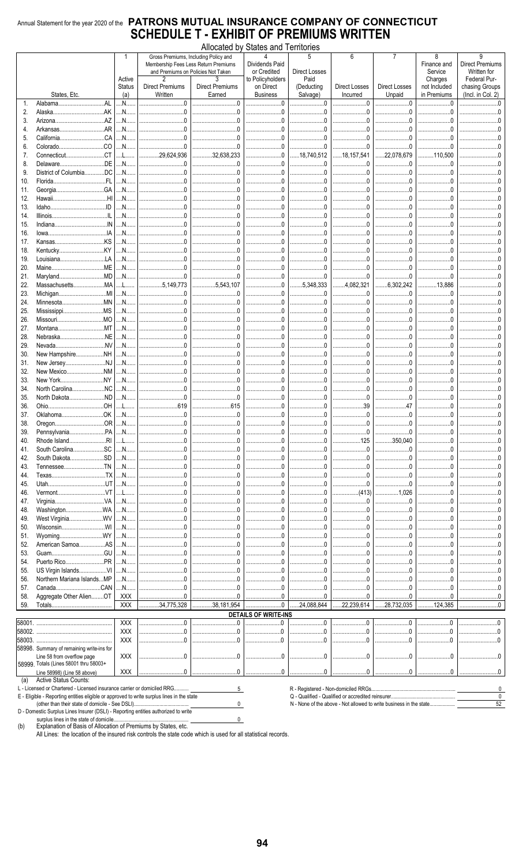#### Annual Statement for the year 2020 of the PATRONS MUTUAL INSURANCE COMPANY OF CONNECTICUT **SCHEDULE T - EXHIBIT OF PREMIUMS WRITTEN**  $\lambda$  II. ء<br>سالمہ  $C1 - 1$

|            |                                                                         |                         |                              | Gross Premiums, Including Policy and<br>Membership Fees Less Return Premiums | Allocated by States and Territories<br>Δ<br><b>Dividends Paid</b> | 5                                   | 6                       |                                  | 8<br>Finance and                   | 9<br><b>Direct Premiums</b>                   |
|------------|-------------------------------------------------------------------------|-------------------------|------------------------------|------------------------------------------------------------------------------|-------------------------------------------------------------------|-------------------------------------|-------------------------|----------------------------------|------------------------------------|-----------------------------------------------|
|            |                                                                         | Active<br><b>Status</b> | 2<br><b>Direct Premiums</b>  | and Premiums on Policies Not Taken<br><b>Direct Premiums</b>                 | or Credited<br>to Policyholders<br>on Direct                      | Direct Losses<br>Paid<br>(Deducting | <b>Direct Losses</b>    | <b>Direct Losses</b>             | Service<br>Charges<br>not Included | Written for<br>Federal Pur-<br>chasing Groups |
|            | States, Etc.                                                            | (a)                     | Written                      | Earned                                                                       | <b>Business</b>                                                   | Salvage)                            | Incurred                | Unpaid                           | in Premiums                        | (Incl. in Col. 2)                             |
| 1.         | AL<br>Alabama                                                           | $\ldots$ N $\ldots$     | $\ldots 0$                   | $\ldots 0$                                                                   | .0                                                                |                                     | $\dots$ 0               | $\overline{0}$                   | $\Omega$                           |                                               |
| 2.         | .AK<br>Alaska                                                           | N                       | $\overline{0}$               | $\Omega$                                                                     | $\begin{array}{c} 0 \\ \end{array}$                               | $\Omega$ .                          |                         |                                  | $\Omega$                           |                                               |
| 3.         | .AZ<br>Arizona                                                          | N                       | $\overline{0}$<br>.          | $\overline{0}$                                                               | $\overline{0}$                                                    | $\Omega$ .<br>.                     | $\dots 0$<br>.          | $\overline{0}$                   | $\overline{0}$<br>.                |                                               |
| 4.         | .AR<br>Arkansas.<br>.CA                                                 | N                       | 0                            | $\overline{0}$                                                               | $\ldots 0$                                                        | $\ldots$ 0<br>0                     | 0<br>.<br>0             | . 0                              | $0$ 0                              |                                               |
| 5.<br>6.   | .CO<br>Colorado                                                         | N<br>N                  | $\ldots 0$                   | $\ldots 0$                                                                   | $\ldots \ldots \ldots \ldots 0$<br>$\overline{0}$                 | $0$ .<br>.                          | 0                       | . 0<br>$\ldots 0$                | $\Omega$                           |                                               |
| 7.         | .CT<br>Connecticut                                                      | L                       | .29,624,936                  | .32,638,233                                                                  | . 0                                                               | 18.740.512                          | .<br>18,157,541         | .22,078,679                      | 110,500                            |                                               |
| 8.         | .DE<br>Delaware                                                         | N                       | $\dots$ 0                    | $\dots 0$                                                                    | 0                                                                 | 0                                   |                         | . 0<br>.                         | . 0<br>.                           |                                               |
| 9.         | .DC<br>District of Columbia.                                            | N                       | $\Omega$                     | $\Omega$                                                                     | $\Omega$                                                          | $\Omega$                            | $\overline{0}$          | $\overline{0}$                   | $\Omega$                           |                                               |
| 10.        | .FL<br>Florida                                                          | N                       | .                            | $\dots 0$                                                                    |                                                                   |                                     |                         | . 0                              | .                                  |                                               |
| 11.        | .GA<br>Georgia                                                          | N                       | $\ldots$ 0                   | $\overline{0}$                                                               | $\mathbf{0}$                                                      | $\Omega$<br>.                       | 00<br>.                 | $\overline{0}$                   | $\overline{0}$                     |                                               |
| 12.        | .HI<br>Hawaii                                                           | N                       | $\ldots 0$                   | $\Omega$                                                                     | $\ldots 0$                                                        | $\Omega$                            | 0<br>.                  | $\overline{0}$                   |                                    |                                               |
| 13.        | ID.<br>Idaho.                                                           | N                       |                              |                                                                              | $\overline{0}$                                                    | $0$ .<br>.                          | $\dots$ 0               | . 0                              |                                    |                                               |
| 14.        | Illinois.                                                               | N                       |                              |                                                                              | $\dots\dots\dots0$                                                | $\Omega$<br>.                       | $\dots$ 0<br>.          | $\overline{0}$                   | $\Omega$                           |                                               |
| 15.        | IN<br>Indiana<br>IA                                                     | N                       | $\Omega$                     | $\Omega$                                                                     | $\overline{0}$<br>$\overline{0}$                                  | $\Omega$                            | $\ldots$ 0              | $\overline{0}$                   |                                    |                                               |
| 16.<br>17. | lowa<br>.KS<br>Kansas                                                   | M<br>N                  | $\Omega$                     | $\overline{0}$                                                               | $\Omega$                                                          | $0$ .<br>.<br>$\Omega$              | 0<br>.<br>$\ldots 0$    | . 0<br>$\overline{0}$            |                                    |                                               |
| 18.        |                                                                         | N                       | $\overline{0}$               | $\overline{0}$                                                               | 0                                                                 |                                     | . 0<br>.                | $\overline{0}$                   |                                    |                                               |
| 19.        | LA<br>Louisiana                                                         | N                       | 0                            | $0$                                                                          | . 0                                                               | $0$<br>.                            | . 0<br>.                | . 0                              | $\Omega$                           |                                               |
| 20.        | ME<br>Maine                                                             | N                       |                              | $\overline{0}$                                                               | $\overline{0}$                                                    | $0$ .                               | $\ldots 0$              | . 0                              | $\overline{0}$                     |                                               |
| 21.        | MD<br>Maryland.                                                         | N                       | . 0<br>.                     | 0                                                                            | $\overline{0}$                                                    | 0                                   | 0                       | 1.1.1.0                          | $\Omega$                           |                                               |
| 22.        | .MA<br>Massachusetts                                                    | L                       | 5.149.773                    | 5,543,107<br>.                                                               | . 0                                                               | $\ldots$ 5,348,333                  | 4.082.321               | 6.302.242                        | 13.886<br>.                        | .                                             |
| 23.        | .MI<br>Michigan                                                         | N                       | $\ldots 0$                   | $\overline{0}$                                                               | $\Omega$                                                          | 0.5                                 | $\dots$ 0<br>.          | . 0                              | $\overline{0}$                     |                                               |
| 24.        | MN.<br>Minnesota.                                                       | M                       | $\overline{0}$               | $\overline{0}$                                                               | $\overline{0}$                                                    | $\Omega$ .<br>.                     |                         | $\overline{0}$                   | $\Omega$                           |                                               |
| 25.        | MS<br>Mississippi                                                       | N                       |                              | 0                                                                            | . 0                                                               | 0                                   |                         | . 0                              | $\overline{0}$<br>.                |                                               |
| 26.        | .MO<br>Missouri.                                                        | N                       |                              |                                                                              | $\dots\dots0$                                                     | $\ldots 0$                          | $\dots 0$<br>.          | . 0                              |                                    |                                               |
| 27.        | MT<br>Montana.                                                          | .N                      | $\overline{0}$               | $\overline{0}$                                                               | $\overline{0}$                                                    | $\Omega$ .                          | 0                       | $\overline{0}$                   | $\Omega$                           |                                               |
| 28.        | .NE<br>Nebraska                                                         | N                       | $\Omega$                     | $\Omega$                                                                     | - 0                                                               | $\Omega$                            | 0<br>.                  | $\bigcirc$                       | $\Omega$                           |                                               |
| 29.        | .NV<br>Nevada                                                           | N                       | $\ldots$ 0<br>.              | . 0                                                                          |                                                                   | . 0<br>.                            | $\ldots 0$<br>.         | . 0                              | .                                  |                                               |
| 30.        | $$ NH<br>New Hampshire                                                  | N                       | $\overline{0}$<br>$\bigcirc$ | $\overline{0}$<br>$\overline{0}$                                             | $\overline{0}$<br>$\overline{0}$                                  | $\Omega$ .<br>$0$ .                 | 0<br>0                  | $\overline{0}$<br>$\overline{0}$ | $\overline{0}$                     |                                               |
| 31.        | New JerseyNJ<br>.MM                                                     | N<br>N                  | .                            |                                                                              |                                                                   | .<br>0                              | .<br>$\dots$ 0          | . 0                              | $\Omega$                           |                                               |
| 32.<br>33. | New Mexico<br>.NY<br>New York.                                          | .M.                     | $\overline{0}$               | $\Omega$                                                                     | $\overline{0}$                                                    | $\Omega$                            | .<br>$0 \dots$          | $\overline{0}$                   | $\Omega$                           |                                               |
| 34.        | North Carolina<br>.NC                                                   | N                       | $\overline{0}$               | $\Omega$                                                                     | $\Omega$                                                          | $\Omega$                            | 0                       | $\overline{0}$                   | $\Omega$                           |                                               |
| 35.        | ND.<br>North Dakota.                                                    | N                       | $\ldots 0$<br>.              | $\overline{0}$                                                               | $\overline{0}$                                                    | $0$ .<br>.                          | $\dots$ 0<br>.          | . 0                              | $\Omega$                           |                                               |
| 36.        | HO.<br>Ohio.                                                            | L                       | .619                         | 615                                                                          | $\overline{0}$                                                    | $\Omega$                            | .39<br>.                | 47                               | $\Omega$                           |                                               |
| 37.        | OklahomaOK                                                              | N                       | 0                            | $\overline{0}$                                                               | $\overline{0}$                                                    | $\Omega$                            | $0$                     | $\overline{0}$                   | $\Omega$                           |                                               |
| 38.        | .OR<br>Oregon                                                           | N                       | 0                            | $\sim$ 0                                                                     | 0                                                                 | 0                                   | 0                       | . 0                              | $\Omega$                           |                                               |
| 39.        | .PA<br>Pennsylvania                                                     | N                       |                              |                                                                              |                                                                   |                                     |                         |                                  |                                    |                                               |
| 40.        | Rhode IslandRI                                                          | L                       | . 0<br>                      | . 0                                                                          |                                                                   | . 0<br>.                            | 125                     | 350,040                          | . 0<br>.                           |                                               |
| 41.        | .SC<br>South Carolina                                                   | N                       | . . 0                        |                                                                              | $\ldots 0$                                                        | .0<br>.                             | . 0<br>.                | . 0                              | . 0                                |                                               |
| 42.        | .SD<br>South Dakota                                                     | N                       | $\ldots 0$<br>.              | $\overline{0}$                                                               | $\dots\dots\dots0$                                                | $\Omega$<br>.                       | 0<br>.                  | . 0                              | $\overline{0}$<br>.                |                                               |
| 43.        | $\overline{M}$ .<br>Tennessee                                           | N                       | $\ldots 0$<br>.              | $\overline{0}$                                                               | 0                                                                 | $\Omega$ .<br>.                     | 0<br>.                  | 0                                | $\overline{0}$                     |                                               |
| 44.        | .TX<br>Texas.                                                           | N                       | .0                           | $\Omega$                                                                     | $\ldots$ 0                                                        | $\Omega$                            | 0<br>.                  | . 0                              | $\Omega$<br>.                      |                                               |
| 45.<br>46. | <b>UT</b><br>Utah                                                       | N<br>L                  | - 0<br>.<br>$\ldots 0$       | $\overline{0}$                                                               | $\overline{0}$                                                    | $\Omega$<br>$0$ .                   | 0<br>(413)              | 0<br>1.026                       | - 0<br>.<br>. 0                    |                                               |
| 47.        | VA<br>Virginia                                                          | N                       | .<br>$\ldots 0$<br>.         | $\Omega$                                                                     | $\dots 0$                                                         | .<br>$0$ .<br>.                     | .<br>. 0<br>.           | .<br>0                           | .<br>$\cdot$ .0<br>.               | .                                             |
| 48.        | WA<br>Washington                                                        | N                       | $\ldots 0$                   |                                                                              | $\Omega$                                                          | $\Omega$                            | $\ldots 0$              | $\ldots 0$                       |                                    |                                               |
| 49.        | WV<br>West Virginia                                                     | N                       | $\ldots 0$                   | $\overline{0}$                                                               | $\bigcirc$                                                        | .0<br>.                             | $\ldots 0$              | . 0                              | $\Omega$                           |                                               |
| 50.        | $W$<br>Wisconsin                                                        | N                       | $\ldots 0$<br>.              | $\ldots 0$<br>.                                                              | $\dots 0$                                                         | $\Omega$<br>.                       | $\dots$ 0<br>.          | . 0                              | 0<br>.                             | .                                             |
| 51.        | WY<br>Wyoming.                                                          | N                       | $\ldots 0$<br>.              | .                                                                            | $\dots$ 0                                                         | $\ldots$ 0<br>.                     | $\dots$ 0<br>.          | . 0                              | . 0<br>.                           |                                               |
| 52.        | AS<br>American Samoa                                                    | N                       | $\ldots 0$<br>.              | $\overline{0}$                                                               | . 0                                                               | $\Omega$                            | 0                       | . 0                              | $\Omega$                           |                                               |
| 53.        |                                                                         | N                       | . 0<br>.                     | $\dots 0$<br>.                                                               | . 0<br>.                                                          | $\cdot$ .0<br>.                     | $\dots 0$<br>.          | . 0                              | . 0<br>                            | .                                             |
| 54.        | PR<br>Puerto Rico                                                       | N                       | $\cdot$ . 0                  |                                                                              | $\ldots 0$                                                        | .                                   | $\ldots 0$              | . 0                              |                                    |                                               |
| 55.        |                                                                         | N                       | 0                            | $\overline{0}$                                                               | 0                                                                 | $\Omega$                            | . 0                     | . 0                              | $\overline{0}$                     |                                               |
| 56.        | Northern Mariana IslandsMP                                              | N                       | $\cdot$ .0<br>$\ldots$ 0     | $\Omega$<br>0                                                                | - 0<br>0                                                          | $\Omega$                            | $\ldots 0$<br>$\dots 0$ | $\ldots 0$                       | $\Omega$                           |                                               |
| 57.        |                                                                         | N                       | .<br>0                       | 0                                                                            | .<br>0                                                            | . 0<br>.                            | .                       | . 0                              | . 0<br>.                           | .                                             |
| 58.<br>59. | Aggregate Other AlienOT                                                 | XXX<br><b>XXX</b>       | <br>34,775,328               | .<br>38,181,954                                                              | 0                                                                 | 0<br>.<br>24,088,844                | . 0<br>.<br>.22,239,614 | 0<br>.28,732,035                 | $0 \ldots$<br>.<br>124,385         | .                                             |
|            |                                                                         |                         |                              |                                                                              | <b>DETAILS OF WRITE-INS</b>                                       |                                     |                         |                                  |                                    |                                               |
| 58001.     |                                                                         | XXX                     | .0<br>.                      | 0                                                                            | $0$ .                                                             | $0$ .                               | 0                       | . 0                              | . 0                                |                                               |
| 58002.     |                                                                         | XXX                     | $\Omega$                     | $\ldots 0$                                                                   | $\Omega$                                                          | $\Omega$                            | .0                      | $\Omega$ .                       | 0.                                 |                                               |
| 58003.     |                                                                         | <b>XXX</b>              | $\ldots 0$<br>.              | $\ldots 0$                                                                   | $\ldots 0$                                                        | $\Omega$<br>.                       | 0<br>.                  | . 0                              | . 0                                |                                               |
|            | 58998. Summary of remaining write-ins for                               |                         |                              |                                                                              |                                                                   |                                     |                         |                                  |                                    |                                               |
|            | Line 58 from overflow page                                              | XXX                     | .0                           | $0$ .                                                                        | $\ldots 0$                                                        | $\Omega$ .<br>.                     | $\dots$ 0               | . 0                              | 0.5<br>.                           | - 0                                           |
|            | 58999 Totals (Lines 58001 thru 58003+<br>Line 58998) (Line 58 above)    | XXX                     |                              | .0                                                                           | $0$ .                                                             | 0                                   | 0                       | 0.5                              | $\Omega$                           |                                               |
| (a)        | <b>Active Status Counts:</b>                                            |                         |                              |                                                                              |                                                                   |                                     |                         |                                  |                                    |                                               |
|            | L - Licensed or Chartered - Licensed insurance carrier or domiciled RRG |                         |                              | 5                                                                            |                                                                   |                                     |                         |                                  |                                    | 0                                             |

 $\mathbf 0$ 

 $\frac{1}{\sqrt{10}}$ 

D - Domestic Surplus Lines Insurer (DSLI) - Reporting entities authorized to write surplus lines in the state of domicile...

 $(b)$ 

 $\overline{0}$